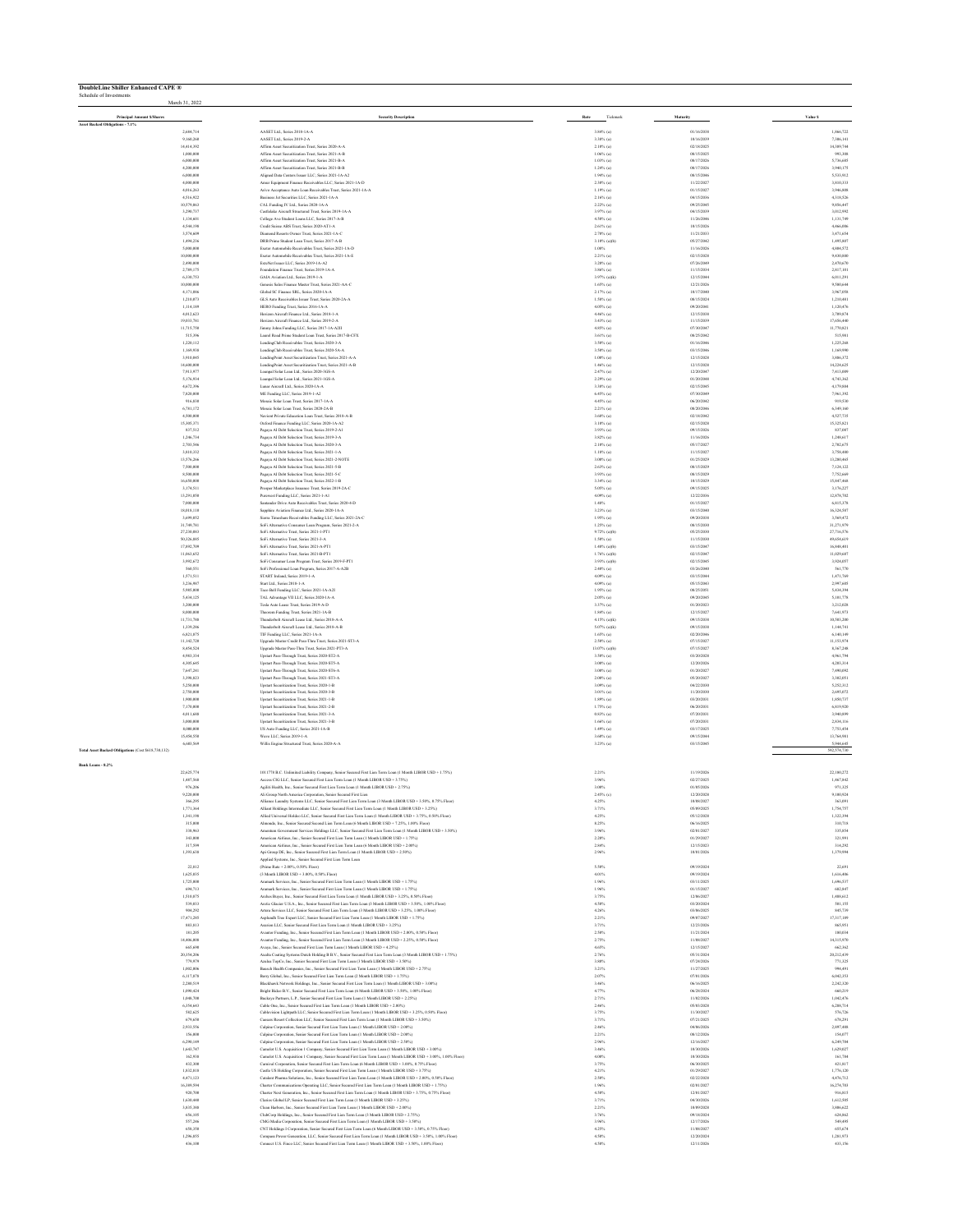| <b>DoubleLine Shiller Enhanced CAPE ®</b><br>Schedule of Investments |                          |                                                                                                                                                                                                                            |                                 |                          |                          |
|----------------------------------------------------------------------|--------------------------|----------------------------------------------------------------------------------------------------------------------------------------------------------------------------------------------------------------------------|---------------------------------|--------------------------|--------------------------|
|                                                                      | March 31, 2022           |                                                                                                                                                                                                                            |                                 |                          |                          |
| <b>Principal Amount S/Share</b><br>Asset Backed Obligations - 7.1%   |                          | <b>Security Description</b>                                                                                                                                                                                                | Tickmark<br>Rate                | Maturity                 | Value \$                 |
|                                                                      | 2,684,714                | AASET Ltd., Series 2018-1A-A<br>AASET Ltd., Series 2019-2-A                                                                                                                                                                | $3.84\%$ (a)<br>3.38% (a)       | 01/16/2038<br>10/16/2039 | 1,866,722<br>7,306,141   |
|                                                                      | 9,160,260<br>14.414.392  | Affirm Asset Securitization Trust. Series 2020-A-A                                                                                                                                                                         | $2.10\%$ (a)                    | 02/18/2025               | 14.389.744               |
|                                                                      | 1,000,000<br>6,000,000   | Affirm Asset Securitization Trust. Series 2021-A-B<br>Affirm Asset Securitization Trust, Series 2021-B-A                                                                                                                   | $1.06\%$ (a)<br>$1.03\%$ (a)    | 08/15/2025<br>08/17/2026 | 993,308<br>5,736,685     |
|                                                                      | 4,200,000<br>6,000,000   | Affirm Asset Securitization Trust. Series 2021-B-B                                                                                                                                                                         | $1.24\%$ (a)                    | 08/17/2026<br>08/15/2046 | 3,940,175<br>5,533,912   |
|                                                                      | 4,000,000                | Aligned Data Centers Issuer LLC, Series 2021-1A-A2<br>Amar Equipment Finance Receivables LLC, Series 2021-1A-D                                                                                                             | $1.94\%$ (a)<br>$2.30\%$ (a)    | 11/22/2027               | 3,810,333                |
|                                                                      | 4,016,263<br>4,516,922   | Arivo Acceptance Auto Loan Receivables Trust. Series 2021-1A-A<br>Business Jet Securities LLC, Series 2021-1A-A                                                                                                            | $1.19%$ (a)<br>$2.16\%$ (a)     | 01/15/2027<br>04/15/2036 | 3,946,808<br>4,318,526   |
|                                                                      | 10,579,063               | CAL Funding IV Ltd., Series 2020-1A-A                                                                                                                                                                                      | $2.22\%$ (a)                    | 09/25/2045               | 9.856,447                |
|                                                                      | 3,290,737<br>1,134,601   | Castlelake Aircraft Structured Trust. Series 2019-1A-A<br>College Ave Student Louns LLC, Series 2017-A-B                                                                                                                   | 3.97% (a)<br>$4.50\%$ (a)       | 04/15/2039<br>11/26/2046 | 3.012.992<br>1,131,749   |
|                                                                      | 4,544,198                | Credit Suisse ABS Trust, Series 2020-AT1-A                                                                                                                                                                                 | $2.61\%$ (a)                    | 10/15/2026               | 4,466,006                |
|                                                                      | 3,574,609<br>1,494,236   | Diamond Resorts Owner Trust, Series 2021-1A-0<br>DRB Prime Student Loan Trust, Series 2017-A-B                                                                                                                             | $2.70\%$ (a)<br>$3.10\%$ (a)(b) | 11/21/2033<br>05/27/2042 | 3,471,654<br>1,495,807   |
|                                                                      | 5,000,000<br>10,000,000  | Exeter Automobile Receivables Trust, Series 2021-1A-D<br>Exeter Automobile Receivables Trust, Series 2021-1A-E                                                                                                             | 1.08%<br>2.21% (a)              | 11/16/2026<br>02/15/2028 | 4,804,572<br>9,430,880   |
|                                                                      | 2,490,000                | ExteNet Issuer LLC. Series 2019-1A-A2                                                                                                                                                                                      | $3.20\%$ (a)                    | 07/26/2049               | 2,470,670                |
|                                                                      | 2.789.175<br>6,330,753   | Equipment Finance Trust, Series 2019-14-4<br>GAIA Aviation Ltd., Series 2019-1-A                                                                                                                                           | 3.86% (a)<br>3.97% (a)(k)       | 11/15/2034<br>12/15/2044 | 2.817.101<br>6.011.291   |
|                                                                      | 10,000,000<br>4,171,086  | Genesis Sales Finance Master Trust, Series 2021-AA-C<br>Global SC Finance SRL, Series 2020-1A-A                                                                                                                            | $1.65\%$ (a)<br>$2.17%$ (a)     | 12/21/2026<br>10/17/2040 | 9,580,644<br>3,967,058   |
|                                                                      | 1,210,073                | GLS Auto Receivables Issuer Trust, Series 2020-2A-A                                                                                                                                                                        | 1.58% (a)                       | 08/15/2024               | 1,210,481                |
|                                                                      | 1,114,189<br>4,012,623   | HERO Funding Trust, Series 2016-1A-A<br>Horizon Aircraft Finance Ltd., Series 2018-1-A                                                                                                                                     | $4.05\%$ (a)<br>4.46% (a)       | 09/20/2041<br>12/15/2038 | 1,120,476<br>3,709,874   |
|                                                                      | 19,033,781<br>11,715,750 | Horizon Aircraft Finance Ltd., Series 2019-2-A                                                                                                                                                                             | 3.43% (a)<br>4.85% (a)          | 11/15/2039<br>07/30/2047 | 17,656,440<br>11.770.821 |
|                                                                      | \$15,396                 | Jimmy Johns Funding LLC, Series 2017-1A-A2II<br>Laurel Road Prime Student Loan Trust, Series 2017-B-CFX                                                                                                                    | 3.61% (a)                       | 08/25/2042               | 515,981                  |
|                                                                      | 1,220,112<br>1,169,938   | LendingClub Receivables Trust, Series 2020-3-A<br>LendingClub Receivables Trust, Series 2020-5A-A                                                                                                                          | 3.50% (a)<br>3.50% (a)          | 01/16/2046<br>03/15/2046 | 1,225,268<br>1,169,990   |
|                                                                      | 3,910,045                | LendingPoint Asset Securitization Trust, Series 2021-A-A                                                                                                                                                                   | $1.00\%$ (a)                    | 12/15/2028               | 3,886,372                |
|                                                                      | 14,600,000<br>7,913,977  | LendingPoint Asset Securitization Trust, Series 2021-A-B<br>Loanpal Solar Loan Ltd., Series 2020-3GS-A                                                                                                                     | $1.46\%$ (a)<br>2.47% (a)       | 12/15/2028<br>12/20/2047 | 14,224,625<br>7,413,009  |
|                                                                      | 5,176,934<br>4,672,396   | Loanpal Solar Loan Ltd., Series 2021-1GS-A<br>Long Aircraft Ltd., Series 2020-14-A                                                                                                                                         | $2.29%$ (a)                     | 01/20/2048<br>02/15/2045 | 4,743,362<br>4.179.884   |
|                                                                      | 7,820,000                | ME Funding LLC, Series 2019-1-A2                                                                                                                                                                                           | 3.38% (a)<br>$6.45\%$ (a)       | 07/30/2049               | 7,961,392                |
|                                                                      | 916,830<br>6,781,172     | Mosaic Solar Loan Trust, Series 2017-1A-A<br>Mosaic Solar Loan Trust, Series 2020-2A-B                                                                                                                                     | $4.45\%$ (a)<br>$2.21\%$ (a)    | 06/20/2042<br>08/20/2046 | 919,530<br>6,349,160     |
|                                                                      | 4,500,000                | Navient Private Education Loan Trust, Series 2018-A-B                                                                                                                                                                      | $3.68\%$ (a)                    | 02/18/2042               | 4,527,735                |
|                                                                      | 15,305,371<br>837,512    | Oxford Finance Funding LLC, Series 2020-1A-A2<br>Pagaya AI Debt Selection Trust, Series 2019-2-A1                                                                                                                          | $3.10\%$ (a)<br>3.93% (a)       | 02/15/2028<br>09/15/2026 | 15,325,821<br>837,087    |
|                                                                      | 1,246,734<br>2,703,546   | Pagaya Al Debt Selection Trust. Series 2019-3-A<br>Pagaya Al Debt Selection Trust, Series 2020-3-A                                                                                                                         | 3.82% (a)<br>$2.10\%$ (a)       | 11/16/2026<br>05/17/2027 | 1,248,617<br>2,702,675   |
|                                                                      | 3,810,332                | Pagaya Al Debt Selection Trust, Series 2021-1-A                                                                                                                                                                            | $1.18\%$ (a)                    | 11/15/2027               | 3,758,480                |
|                                                                      | 13,576,266<br>7,500,000  | Pagaya AI Debt Selection Trust, Series 2021-2-NOTE<br>Pagaya AI Debt Selection Trust, Series 2021-5-B                                                                                                                      | 3.00% (a)<br>$2.63\%$ (a)       | 01/25/2029<br>08/15/2029 | 13.280.465<br>7,124,122  |
|                                                                      | 8,500,000                | Pagaya AI Debt Selection Trust, Series 2021-5-C                                                                                                                                                                            | $3.93\%$ (a)                    | 08/15/2029               | 7,752,669                |
|                                                                      | 16,650,000<br>3,174,511  | Pagaya Al Debt Selection Trust, Series 2022-1-B<br>Prosper Marketplace Issuance Trust, Series 2019-2A-C                                                                                                                    | 3.34% (a)<br>$5.05\%$ (a)       | 10/15/2029<br>09/15/2025 | 15,847,468<br>3,176,227  |
|                                                                      | 13,291,050<br>7,000,000  | Purewest Funding LLC, Series 2021-1-A1<br>Santander Drive Auto Receivables Trust, Series 2020-4-D                                                                                                                          | 4.09% (a)<br>1.48%              | 12/22/2036<br>01/15/2027 | 12,878,702<br>6,815,378  |
|                                                                      | 18,018,110               | Sarohire Aviation Finance Ltd., Series 2020-1A-A                                                                                                                                                                           | 3.23% (a)                       | 03/15/2040               | 16.324.587               |
|                                                                      | 3,699.052<br>31,749,781  | Sierra Timeshare Receivables Funding LLC, Series 2021-2A-C<br>SoFi Alternative Consumer Loan Program, Series 2021-2-A                                                                                                      | $1.95\%$ (a)<br>$1.25\%$ (a)    | 09/20/2038<br>08/15/2030 | 3.569.472<br>31,271,979  |
|                                                                      | 27,230,083               | SoFi Alternative Trust, Series 2021-1-PT1                                                                                                                                                                                  | 9.72% (a)(b)                    | 05/25/2030               | 27,716,576               |
|                                                                      | 50,326,885<br>17,892,709 | SoFi Alternative Trust, Series 2021-3-A<br>SoFi Alternative Trust, Series 2021-A-PT                                                                                                                                        | $1.50\%$ (a)<br>$1.48\%$ (a)(b) | 11/15/2030<br>03/15/2047 | 49,654,619<br>16,848,401 |
|                                                                      | 11,063,652<br>3,992,672  | SoFi Alternative Trust, Series 2021-B-PT1<br>SoFi Consumer Loan Program Trust, Series 2019-F-PT1                                                                                                                           | $1.76\%$ (a)(b)<br>3.93% (a)(b) | 02/15/2047<br>02/15/2045 | 11,029,687<br>3,924,057  |
|                                                                      | 560,551                  | SoFi Professional Loan Program, Series 2017-A-A2B                                                                                                                                                                          | $2.40\%$ (a)                    | 03/26/2040               | 561,770                  |
|                                                                      | 1,571,511<br>3,236,987   | START Ireland, Series 2019-1-A<br>Start Ltd., Series 2018-1-A                                                                                                                                                              | 4.09% (a)<br>$4.09\%$ (a)       | 03/15/2044<br>05/15/2043 | 1,471,769<br>2,997,605   |
|                                                                      | 5,985,000                | Taco Bell Funding LLC, Series 2021-1A-A21                                                                                                                                                                                  | $1.95\%$ (a)                    | 08/25/2051               | 5,434,394                |
|                                                                      | 5,434,125<br>3,200,000   | TAL Advantage VII LLC, Series 2020-1A-A<br>Tesla Auto Lease Trust, Series 2019-A-D                                                                                                                                         | $2.05\%$ (a)<br>$3.37%$ (a)     | 09/20/2045<br>01/20/2023 | 5,101,778<br>3,212,028   |
|                                                                      | 8,000,000<br>11,731,788  | Theorem Funding Trust, Series 2021-1A-B<br>Thunderbolt Aircraft Lease Ltd., Series 2018-A-A                                                                                                                                | $1.84\%$ (a)<br>4.15% (a)(k)    | 12/15/2027<br>09/15/2038 | 7,641,973<br>10,503,200  |
|                                                                      | 1,339,286                | Thunderbolt Aircraft Lease Ltd., Series 2018-A-B                                                                                                                                                                           | 5.07% (a)(k)                    | 09/15/2038               | 1,144,741                |
|                                                                      | 6.821.875<br>11.142.720  | TIF Funding LLC, Series 2021-1A-A<br>Upgrade Master Credit Pass-Thru Trust, Series 2021-ST3-A                                                                                                                              | $1.65%$ (a)<br>2.50% (a)        | 02/20/2046<br>07/15/2027 | 6.140.149<br>11.153.974  |
|                                                                      | 8,454,524                | Upgrade Master Pass-Thru Trust, Series 2021-PT3-A                                                                                                                                                                          | 13.07% (a)(b)                   | 07/15/2027               | 8,367,248                |
|                                                                      | 4,983,334<br>4,305,645   | Upstart Pass-Through Trust, Series 2020-ST2-A<br>Upstart Pass-Through Trust, Series 2020-ST5-A                                                                                                                             | $3.50\%$ (a)<br>$3.00\%$ (a)    | 03/20/2028<br>12/20/2026 | 4,961,794<br>4,203,314   |
|                                                                      | 7,647,241<br>3,398,823   | Upstart Pass-Through Trust, Series 2020-ST6-A<br>Upstart Pass-Through Trust, Series 2021-ST3-A                                                                                                                             | $3.00\%$ (a)<br>$2.00\%$ (a)    | 01/20/2027<br>05/20/2027 | 7,490,092<br>3,302,051   |
|                                                                      | 5,250,000                | Upstart Securitization Trust, Series 2020-1-B                                                                                                                                                                              | 3.09% (a)                       | 04/22/2030               | 5,252,312                |
|                                                                      | 2,750,000<br>1,900,000   | Upstart Securitization Trust, Series 2020-3-B<br>Unstart Securitization Trust, Series 2021-1-B                                                                                                                             | 3.01% (a)<br>$1.89\%$ (a)       | 11/20/2030<br>03/20/2031 | 2,695,072<br>1,850,737   |
|                                                                      | 7,170,000                | Upstart Securitization Trust, Series 2021-2-B                                                                                                                                                                              | $1.75%$ (a)                     | 06/20/2031<br>07/20/2031 | 6,819,920                |
|                                                                      | 4,011,688<br>3,000,000   | Upstart Securitization Trust, Series 2021-3-A<br>Upstart Securitization Trust, Series 2021-3-B                                                                                                                             | $0.83\%$ (a)<br>$1.66\%$ (a)    | 07/20/2031               | 3,940,899<br>2,834,116   |
|                                                                      | 8,000,000<br>15,454,550  | US Auto Funding LLC, Series 2021-1A-B<br>Wave LLC, Series 2019-1-A                                                                                                                                                         | $1.49\%$ (a)<br>3.60% (a)       | 03/17/2025<br>09/15/2044 | 7,753,454<br>13,764,981  |
|                                                                      | 6,603,569                | Willis Engine Structured Trust, Series 2020-A-A                                                                                                                                                                            | $3.23\%$ (a)                    | 03/15/2045               | 5,944,645                |
| Total Asset Backed Obligations (Cost \$618,730,132)                  |                          |                                                                                                                                                                                                                            |                                 |                          | \$92,574,730             |
| Bank Loans - 8.2%                                                    | 22.625.774               | 1011778 B.C. Unlimited Liability Company, Senior Secured First Lien Term Loan (1 Month LIBOR USD + 1.75%)                                                                                                                  | 2.21%                           | 11/19/2026               | 22,180,272               |
|                                                                      | 1,487,568                | Access CIG LLC, Senior Secured First Lien Term Loan (1 Month LIBOR USD + 3.75%)                                                                                                                                            | 3.96%                           | 02/27/2025               | 1,467,842                |
|                                                                      | 9,220,000                | Agiliti Health, Inc., Senior Secured First Lien Term Loan (1 Month LIBOR USD + 2.75%)<br>Ali Group North America Corporation, Senior Secured First Lien                                                                    | 2.45% (c)                       | 01/05/202<br>12/20/2028  | 971,325<br>9,100,924     |
|                                                                      | 366,295<br>1,771,364     | Alliance Laundry Systems LLC, Senior Secured First Lien Term Loan (3 Month LIBOR USD + 3.50%, 0.75% Floor)<br>Alliant Holdings Intermediate LLC, Senior Secured First Lien Term Loan (1 Month LIBOR USD + 3.25%)           | 4.25%<br>3.71%                  | 10/08/2027<br>05/09/2025 | 363,091<br>1,754,757     |
|                                                                      | 1,341,198                | Allied Universal Holdco LLC, Senior Secured First Lien Term Loan (1 Month LIBOR USD + 3.75%, 0.50% Floor)                                                                                                                  | 4.25%                           | 05/12/2028               | 1.322.394                |
|                                                                      | 315,000<br>338,963       | Almonde, Inc., Senior Secured Second Lien Term Loan (6 Month LIBOR USD + 7.25%, 1.00% Floor)<br>Amentum Government Services Holdings LLC. Senior Secured First Lien Term Loan (1 Month LIBOR USD + 3.50%)                  | 8.25%<br>3,96%                  | 06/16/2025<br>02/01/2027 | 310,718<br>335,854       |
|                                                                      | 343,000<br>317,599       | American Airlines, Inc., Senior Secured First Lien Term Loan (1 Month LIBOR USD + 1.75%)                                                                                                                                   | 2.20%<br>2.84%                  | 01/29/2027<br>12/15/2023 | 321,991<br>314,292       |
|                                                                      | 1,393,638                | American Airlines, Inc., Senior Secured First Lien Term Loan (6 Month LIBOR USD + 2.00%)<br>Api Group DE, Inc., Senior Secured First Lien Term Loan (1 Month LIBOR USD + 2.50%)                                            | 2.96%                           | 10/01/2026               | 1,379,994                |
|                                                                      | 22,812                   | Applied Systems, Inc., Senior Secured First Lien Term Loan<br>(Prime Rate + 2.00%, 0.50% Floor)                                                                                                                            | 5.50%                           | 09/19/2024               | 22,691                   |
|                                                                      | 1,625,035                | (3 Month LIBOR USD + 3 00% 0.50% Floor).<br>Aramark Services, Inc., Senice Secured First Lien Term Loan (1 Month LIBOR USD + 1.75%).                                                                                       | 4.01%                           | 09/19/2024               | 1,616,406                |
|                                                                      | 1,725,000<br>694,713     | Aramark Services, Inc., Senior Secured First Lien Term Loan (1 Month LIBOR USD + 1.75%)                                                                                                                                    | 1,96%<br>1.96%                  | 03/11/2025<br>01/15/2027 | 1,696,537<br>682,847     |
|                                                                      | 1,510,875<br>539,033     | Arches Buyer, Inc., Senior Secured First Lien Term Loan (1 Month LIBOR USD + 3.25%, 0.50% Floor)<br>Arctic Glacier U.S.A., Inc., Senior Secured First Lien Term Loan (3 Month LIBOR USD + 3.50%, 1.00% Floor)              | 3.75%<br>4.50%                  | 12/06/2027<br>03/20/2024 | 1,488,612<br>501,155     |
|                                                                      | 904,292                  | Artera Services LLC, Senior Secured First Lien Term Loan (3 Month LIBOR USD + 3.25%, 1.00% Floor)                                                                                                                          | 4.26%                           | 03/06/2025               | 845,739                  |
|                                                                      | 17,471,285<br>\$83,813   | Asplundh Tree Expert LLC, Senior Secured First Lien Term Loan (1 Month LIBOR USD + 1.75%)<br>Astrion LLC, Senior Secured First Lien Term Loan (1 Month LIBOR USD + 3.25%)                                                  | 2.21%<br>3.71%                  | 09/07/2027<br>12/23/2026 | 17,317,189<br>865,951    |
|                                                                      | 181,205<br>14,406,008    | Avantor Funding, Inc., Senior Secured First Lien Term Loan (1 Month LIBOR USD + 2.00%, 0.50% Floor).<br>Avantor Funding, Inc., Senior Secured First Lien Term Loan (3 Month LIBOR USD + 2.25%, 0.50% Floor)                | 2.50%<br>2.75%                  | 11/21/2024<br>11/08/2027 | 180,034<br>14.315.970    |
|                                                                      | 665,690                  | Avaya, Inc., Senior Secured First Lien Term Loan (1 Month LIBOR USD + 4.25%)                                                                                                                                               | 4.65%                           | 12/15/2027               | 662,362                  |
|                                                                      | 20,354,206<br>779,979    | Axalta Coating Systems Datch Holding B B.V., Senior Secured First Lien Term Loan (3 Month LIBOR USD + 1.75%)<br>Azalea TopCo, Inc., Senior Secured First Lien Term Loan (3 Month LIBOR USD + 3.50%)                        | 2.76%<br>3.80%                  | 05/31/2024<br>07/24/2026 | 20,212,439<br>771,325    |
|                                                                      | 1,002,006                | Bausch Health Companies, Inc., Senior Secured First Lien Term Loan (1 Month LIBOR USD + 2.75%)                                                                                                                             | 3.21%                           | 11/27/2025               | 994,491                  |
|                                                                      | 6,117,878<br>2,280,519   | Berry Global, Inc., Senior Secured First Lien Term Loan (2 Month LIBOR USD + 1.75%)<br>Blackhawk Network Holdings, Inc., Senior Secured First Lien Term Loan (1 Month LIBOR USD + 3.00%)                                   | 2.07%<br>3.46%                  | 07/01/2026<br>06/16/2025 | 6,042,353<br>2,242,320   |
|                                                                      | 1,090,424<br>1,048,700   | Bright Bidco B.V., Senior Secured First Lien Term Loan (6 Month LIBOR USD + 3.50%, 1.00% Floor)<br>Backeve Partners, L.P., Senior Secured First Lien Term Loan (1 Month LIBOR USD + 2.25%)                                 | 4.77%<br>2.71%                  | 06/28/2024<br>11/02/2026 | 660,219<br>1.042.476     |
|                                                                      | 6,354,643                | Cable One, Inc., Senior Secured First Lien Term Loan (1 Month LIBOR USD + 2.00%)                                                                                                                                           | 2,46%                           | 05/03/2028               | 6.288.714                |
|                                                                      | 582,625<br>679,650       | Cablevision Lightpath LLC, Senior Secured First Lien Term Loan (1 Month LIBOR USD + 3.25%, 0.50% Floor)<br>Caesars Resort Collection LLC, Senior Secured First Lien Term Loan (1 Month LIBOR USD + 3.50%)                  | 3.75%<br>3.71%                  | 11/30/2027<br>07/21/2025 | 576,726<br>678,291       |
|                                                                      | 2,933,556                | Calpine Corporation, Senior Secured First Lien Term Loan (1 Month LIBOR USD + 2.00%)                                                                                                                                       | 2.46%                           | 04/06/2026               | 2,897,488                |
|                                                                      | 156,000<br>6,290,149     | Calpine Corporation, Senior Secured First Lien Term Loan (1 Month LIBOR USD + 2.00%)<br>Calpine Corporation, Senior Secured First Lien Term Loan (1 Month LIBOR USD + 2.50%)                                               | 2.21%<br>2.96%                  | 08/12/2026<br>12/16/2027 | 154,077<br>6,249,704     |
|                                                                      | 1,643,747                | Camelot U.S. Acquisition 1 Company, Senior Secured First Lien Term Loan (1 Month LIBOR USD + 3.00%)                                                                                                                        | 3.46%                           | 10/30/2026               | 1,629,027                |
|                                                                      | 162,938<br>432,300       | Camelot U.S. Acquisition 1 Company, Senior Secured First Lien Term Loan (1 Month LIBOR USD + 3.00%, 1.00% Floor)<br>Carnival Corporation: Sexior Secured First Lien Term Loan (6 Month LIBOR USD + 3.00%, 0.75% Floor)     | 4.00%<br>3.75%                  | 10/30/2026<br>06/30/2025 | 161,784<br>421.817       |
|                                                                      | 1,832,818<br>4,471,123   | Castle US Holding Corporation, Senior Secured First Lien Term Loan (1 Month LIBOR USD + 3.75%)<br>Catalent Pharma Solutions, Inc., Senior Secured First Lien Term Loan (1 Month LIBOR USD + 2.00%, 0.50% Floor)            | 4.21%<br>2.50%                  | 01/29/2027<br>02/22/2028 | 1,776,120<br>4,476,712   |
|                                                                      | 16,389,594               | Charter Communications Operating LLC, Senior Secured First Lien Term Loan (1 Month LIBOR USD + 1.75%)                                                                                                                      | 1.96%                           | 02/01/2027               | 16,274,703               |
|                                                                      | 920,700<br>1,630,440     | Charter Next Generation, Inc., Senior Secured First Lien Term Loan (1 Month LIBOR USD + 3.75%, 0.75% Floor)<br>Clarios Global LP, Senior Secured First Lien Term Loan (1 Month LIBOR USD + 3.25%)                          | 4.50%<br>3.71%                  | 12/01/2027<br>04/30/2026 | 916,815<br>1,612,505     |
|                                                                      | 3,835,388<br>656,105     | Clean Harbors, Inc., Senior Secured First Lien Term Loan (1 Month LIBOR USD + 2.00%)<br>ClubCorp Holdings, Inc., Senior Secured First Lien Term Loan (3 Month LIBOR USD + 2.75%)                                           | 2.21%<br>3.76%                  | 10/09/2028<br>09/18/2024 | 3,806,622<br>624.862     |
|                                                                      | \$57,246                 | CMG Media Corporation, Senior Secured First Lien Term Loan (1 Month LIBOR USD + 3.50%)                                                                                                                                     | 3.96%                           | 12/17/2026               | 549,495                  |
|                                                                      | 658,350<br>1,296,855     | CNT Holdings I Corporation, Senior Secured First Lien Term Loan (6 Month LIBOR USD + 3.50%, 0.75% Floor)<br>Compass Power G<br>seration, LLC, Senior Secured First Lien Term Loan (1 Month LIBOR USD + 3.50%, 1.00% Floor) | 4.25%<br>4.50%                  | 11/08/2027<br>12/20/2024 | 655,674<br>1,281,973     |
|                                                                      | 436,100                  | Connect U.S. Finco LLC, Senior Secured First Lien Term Loan (1 Month LIBOR USD + 3.50%, 1.00% Floor)                                                                                                                       | 4.50%                           | 12/11/2026               | 433,156                  |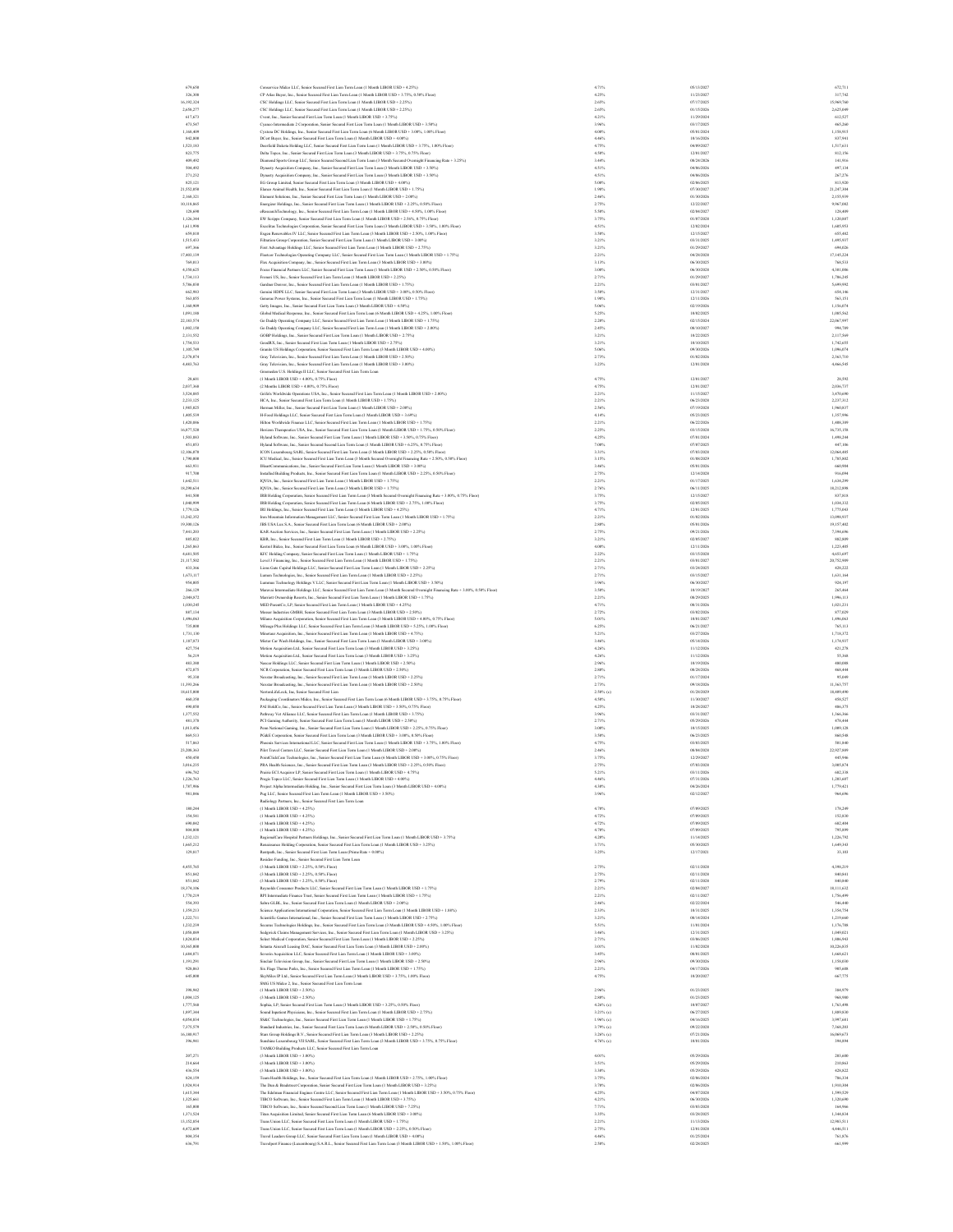6%,69 Concernic Make LLC, Smir Seared Fran Lim Tam Lane(1 Mond: LIBOR USD + 4.2%) (1990) - 4.2% 4.2%) - 4.2% 4.2% (1990) - 4.2% 4.2% (1990) - 4.2% (1990) - 4.2% (1990) - 4.2% (1990) - 4.2% (1990) - 4.2% (1990) - 4.2% (1990  $\begin{tabular}{l|c|c|c} \hline $248.77$ & \hline $\text{CC}, \text{Euler}, \text{Kawier} & \text{Rairierierierierier for linear Dular.} & \text{Rairierierierier for linear Dular.} \\ \hline $43.79$ & \hline $\text{Culer}, \text{Kawier} & \text{Rairierierierierier for linear Dular.} \\ \hline $43.70$ & \hline $\text{Culer}, \text{Kawier} & \text{Rairierierierier for linear Dular.} \\ \hline $43.70$ & \hline $\text{Culer}, \text{Kawier} & \text{Rairierierierier for linear Dular.} \\ \hline $43$  EG Group Limited, Senior Secured F 825,121 irst Lien Term Loan (3 Month LIBOR USD + 4.00%) 5.00% 02/06/2025 813,920 Elanco Animal Health, Inc., Senior Sec 21,552,050 ured First Lien Term Loan (1 Month LIBOR USD + 1.75%) 1.98% 07/30/2027 21,247,304 Element Solutions, Inc., Senior Secur 2,168,321 ed First Lien Term Loan (1 Month LIBOR USD + 2.00%) 2.46% 01/30/2026 2,155,939 Energizer Holdings, Inc., Senior Secur 10,118,865 ed First Lien Term Loan (1 Month LIBOR USD + 2.25%, 0.50% Floor) 2.75% 12/22/2027 9,967,082 eResearchTechnology, Inc., Senior 128,690 Secured First Lien Term Loan (1 Month LIBOR USD + 4.50%, 1.00% Floor) 5.50% 02/04/2027 128,409 EW Scripps Company, Senior Secured Fi 1,126,344 rst Lien Term Loan (1 Month LIBOR USD + 2.56%, 0.75% Floor) 3.75% 01/07/2028 1,120,887 Excelitas Technologies Corporation, S 1,611,998 enior Secured First Lien Term Loan (3 Month LIBOR USD + 3.50%, 1.00% Floor) 4.51% 12/02/2024 1,605,953 Exgen Renewables IV LLC, Senior Se 659,810 cured First Lien Term Loan (3 Month LIBOR USD + 2.50%, 1.00% Floor) 3.50% 12/15/2027 655,482 Filtration Group Corporation, Senior 1,515,433 Secured First Lien Term Loan (1 Month LIBOR USD + 3.00%) 3.21% 03/31/2025 1,495,937 First Advantage Holdings LLC, Seni 697,366 or Secured First Lien Term Loan (1 Month LIBOR USD + 2.75%) 3.21% 01/29/2027 694,026 Fleetcor Technologies Operating Compan 17,403,139 y LLC, Senior Secured First Lien Term Loan (1 Month LIBOR USD + 1.75%) 2.21% 04/28/2028 17,145,224 Flex Acquisition Company, Inc., Se 769,013 nior Secured First Lien Term Loan (3 Month LIBOR USD + 3.00%) 3.13% 06/30/2025 768,533 Focus Financial Partners LLC, Senior 4,350,625 Secured First Lien Term Loan (1 Month LIBOR USD + 2.50%, 0.50% Floor) 3.00% 06/30/2028 4,301,006 Froneri US, Inc., Senior Secured Firs 1,734,113 t Lien Term Loan (1 Month LIBOR USD + 2.25%) 2.71% 01/29/2027 1,706,245 Gardner Denver, Inc., Senior Secured 5,786,030 First Lien Term Loan (1 Month LIBOR USD + 1.75%) 2.21% 03/01/2027 5,699,992 Gemini HDPE LLC, Senior Secured Fi 662,983 rst Lien Term Loan (3 Month LIBOR USD + 3.00%, 0.50% Floor) 3.50% 12/31/2027 654,146 Generac Power Systems, Inc., Senio 563,855 r Secured First Lien Term Loan (1 Month LIBOR USD + 1.75%) 1.98% 12/11/2026 563,151 Getty Images, Inc., Senior Secured Fi 1,160,909 rst Lien Term Loan (3 Month LIBOR USD + 4.50%) 5.06% 02/19/2026 1,156,074 Global Medical Response, Inc., Senior 1,091,188 Secured First Lien Term Loan (6 Month LIBOR USD + 4.25%, 1.00% Floor) 5.25% 10/02/2025 1,085,562 Go Daddy Operating Company LLC, Senior 22,183,574 Secured First Lien Term Loan (1 Month LIBOR USD + 1.75%) 2.20% 02/15/2024 22,067,997 Go Daddy Operating Company LLC, Senio 1,002,150 r Secured First Lien Term Loan (1 Month LIBOR USD + 2.00%) 2.45% 08/10/2027 994,789 GOBP Holdings, Inc., Senior Secured F 2,131,552 irst Lien Term Loan (1 Month LIBOR USD + 2.75%) 3.21% 10/22/2025 2,117,569 GoodRX, Inc., Senior Secured First Li 1,754,533 en Term Loan (1 Month LIBOR USD + 2.75%) 3.21% 10/10/2025 1,742,655 Granite US Holdings Corporation, Seni 1,105,749 or Secured First Lien Term Loan (3 Month LIBOR USD + 4.00%) 5.06% 09/30/2026 1,096,074 Gray Television, Inc., Senior Secured 2,378,074 First Lien Term Loan (1 Month LIBOR USD + 2.50%) 2.73% 01/02/2026 2,363,710 Gray Television, Inc., Senior Secured 4,483,763 First Lien Term Loan (1 Month LIBOR USD + 3.00%) 3.23% 12/01/2028 4,466,545 Greeneden U.S. Holdings II LLC, Senior Secured First Lien Term Loan (1 Month LIBOR USD + 4.00%, 0.75 28,601 % Floor) 4.75% 12/01/2027 28,592 (2 Months LIBOR USD + 4.00%, 0.75% Fl 2,037,368 oor) 4.75% 12/01/2027 2,036,737 Grifols Worldwide Operations USA, Inc 3,524,885 ., Senior Secured First Lien Term Loan (1 Month LIBOR USD + 2.00%) 2.21% 11/15/2027 3,470,690 HCA, Inc., Senior Secured First Lien 2,233,125 Term Loan (1 Month LIBOR USD + 1.75%) 2.21% 06/23/2028 2,237,312 Herman Miller, Inc., Senior Secured F 1,985,025 irst Lien Term Loan (1 Month LIBOR USD + 2.00%) 2.56% 07/19/2028 1,960,837 H-Food Holdings LLC, Senior Secured F 1,405,539 irst Lien Term Loan (1 Month LIBOR USD + 3.69%) 4.14% 05/23/2025 1,357,996 Hilton Worldwide Finance LLC, Senior 1,420,886 Secured First Lien Term Loan (1 Month LIBOR USD + 1.75%) 2.21% 06/22/2026 1,408,389 Horizon Therapeutics USA, Inc., Senior 16,877,520 Secured First Lien Term Loan (1 Month LIBOR USD + 1.75%, 0.50% Floor) 2.25% 03/15/2028 16,735,158 Hyland Software, Inc., Senior Secured 1,503,883 First Lien Term Loan (1 Month LIBOR USD + 3.50%, 0.75% Floor) 4.25% 07/01/2024 1,498,244 Hyland Software, Inc., Senior Secu 451,053 red Second Lien Term Loan (1 Month LIBOR USD + 6.25%, 0.75% Floor) 7.00% 07/07/2025 447,106 ICON Luxembourg SARL, Senior Secured F 12,106,070 irst Lien Term Loan (3 Month LIBOR USD + 2.25%, 0.50% Floor) 3.31% 07/03/2028 12,064,485 ICU Medical, Inc., Senior Secured Fir 1,790,000 st Lien Term Loan (3 Month Secured Overnight Financing Rate + 2.50%, 0.50% Floor) 3.15% 01/08/2029 1,785,802 IHeartCommunications, Inc., Senior 663,931 Secured First Lien Term Loan (1 Month LIBOR USD + 3.00%) 3.46% 05/01/2026 660,904 Installed Building Products, Inc., 917,700 Senior Secured First Lien Term Loan (1 Month LIBOR USD + 2.25%, 0.50% Floor) 2.75% 12/14/2028 916,094 IQVIA, Inc., Senior Secured First Lie 1,642,511 n Term Loan (1 Month LIBOR USD + 1.75%) 2.21% 01/17/2025 1,634,299 IQVIA, Inc., Senior Secured First Lien 18,290,634 Term Loan (3 Month LIBOR USD + 1.75%) 2.76% 06/11/2025 18,212,898 IRB Holding Corporation, Senior Se 841,500 cured First Lien Term Loan (3 Month Secured Overnight Financing Rate + 3.00%, 0.75% Floor) 3.75% 12/15/2027 837,818 IRB Holding Corporation, Senior Secur 1,040,999 ed First Lien Term Loan (6 Month LIBOR USD + 2.75%, 1.00% Floor) 3.75% 02/05/2025 1,034,332 IRI Holdings, Inc., Senior Secured Fi 1,779,126 rst Lien Term Loan (1 Month LIBOR USD + 4.25%) 4.71% 12/01/2025 1,775,043 Iron Mountain Information Management L 13,242,352 LC, Senior Secured First Lien Term Loan (1 Month LIBOR USD + 1.75%) 2.21% 01/02/2026 13,098,937 JBS USA Lux S.A., Senior Secured First 19,300,126 Lien Term Loan (6 Month LIBOR USD + 2.00%) 2.80% 05/01/2026 19,157,402 KAR Auction Services, Inc., Senior Se 7,441,203 cured First Lien Term Loan (1 Month LIBOR USD + 2.25%) 2.75% 09/21/2026 7,394,696 KBR, Inc., Senior Secured First Li 885,022 en Term Loan (1 Month LIBOR USD + 2.75%) 3.21% 02/05/2027 882,809 Kestrel Bidco, Inc., Senior Secured F 1,265,863 irst Lien Term Loan (6 Month LIBOR USD + 3.00%, 1.00% Floor) 4.00% 12/11/2026 1,223,405 KFC Holding Company, Senior Secured F 4,681,505 irst Lien Term Loan (1 Month LIBOR USD + 1.75%) 2.22% 03/15/2028 4,653,697 Level 3 Financing, Inc., Senior Secure 21,117,502 d First Lien Term Loan (1 Month LIBOR USD + 1.75%) 2.21% 03/01/2027 20,752,909 Lions Gate Capital Holdings LLC, S 433,366 enior Secured First Lien Term Loan (1 Month LIBOR USD + 2.25%) 2.71% 03/24/2025 428,222 Lumen Technologies, Inc., Senior Secu 1,673,117 red First Lien Term Loan (1 Month LIBOR USD + 2.25%) 2.71% 03/15/2027 1,631,164 Lummus Technology Holdings V LLC, 954,005 Senior Secured First Lien Term Loan (1 Month LIBOR USD + 3.50%) 3.96% 06/30/2027 924,197 Maravai Intermediate Holdings LLC, 266,129 Senior Secured First Lien Term Loan (3 Month Secured Overnight Financing Rate + 3.00%, 0.50% Floor) 3.50% 10/19/2027 265,464 Marriott Ownership Resorts, Inc., Sen 2,048,872 ior Secured First Lien Term Loan (1 Month LIBOR USD + 1.75%) 2.21% 08/29/2025 1,996,113 MED ParentCo, LP, Senior Secured Firs 1,030,245 t Lien Term Loan (1 Month LIBOR USD + 4.25%) 4.71% 08/31/2026 1,021,231 Messer Industries GMBH, Senior Sec 887,134 ured First Lien Term Loan (3 Month LIBOR USD + 2.50%) 2.72% 03/02/2026 877,029 Milano Acquisition Corporation, Senio 1,496,063 r Secured First Lien Term Loan (3 Month LIBOR USD + 4.00%, 0.75% Floor) 5.01% 10/01/2027 1,496,063 Mileage Plus Holdings LLC, Senior 735,000 Secured First Lien Term Loan (3 Month LIBOR USD + 5.25%, 1.00% Floor) 6.25% 06/21/2027 765,113 Minotaur Acquisition, Inc., Senior Se 1,731,130 cured First Lien Term Loan (1 Month LIBOR USD + 4.75%) 5.21% 03/27/2026 1,718,372 Mister Car Wash Holdings, Inc., Senio 1,187,873 r Secured First Lien Term Loan (1 Month LIBOR USD + 3.00%) 3.46% 05/14/2026 1,174,937 Motion Acquisition Ltd., Senior Se 427,754 cured First Lien Term Loan (3 Month LIBOR USD + 3.25%) 4.26% 11/12/2026 421,278 Motion Acquisition Ltd., Senior 56,219 Secured First Lien Term Loan (3 Month LIBOR USD + 3.25%) 4.26% 11/12/2026 55,368 Nascar Holdings LLC, Senior Secure 483,380 d First Lien Term Loan (1 Month LIBOR USD + 2.50%) 2.96% 10/19/2026 480,088 NCR Corporation, Senior Secured Fi 472,875 rst Lien Term Loan (3 Month LIBOR USD + 2.50%) 2.80% 08/28/2026 468,444 Nexstar Broadcasting, Inc., Seni 95,330 or Secured First Lien Term Loan (1 Month LIBOR USD + 2.25%) 2.71% 01/17/2024 95,049 Nexstar Broadcasting, Inc., Senior Sec 11,393,266 ured First Lien Term Loan (1 Month LIBOR USD + 2.50%) 2.73% 09/18/2026 11,363,757 18,45,000 Novemal Records (Records For Line of March 2008) - 1999, 1999, 1999, 1999, 1999, 2009, 2009, 2009, 2<br>1990, 2009 - Բանական Construct Parties Construction Parties (Record For Line of March 2009), 2009, 2009, 2009<br> Penn National Gaming, Inc., Senior Se 1,013,456 cured First Lien Term Loan (1 Month LIBOR USD + 2.25%, 0.75% Floor) 3.00% 10/15/2025 1,009,128 PG&E Corporation, Senior Secured F 869,513 irst Lien Term Loan (3 Month LIBOR USD + 3.00%, 0.50% Floor) 3.50% 06/23/2025 860,548 Phoenix Services International LLC 517,863 , Senior Secured First Lien Term Loan (1 Month LIBOR USD + 3.75%, 1.00% Floor) 4.75% 03/03/2025 501,840 Pilot Travel Centers LLC, Senior Secur 23,208,363 ed First Lien Term Loan (1 Month LIBOR USD + 2.00%) 2.46% 08/04/2028 22,927,889 PointClickCare Technologies, Inc., 450,450 Senior Secured First Lien Term Loan (6 Month LIBOR USD + 3.00%, 0.75% Floor) 3.75% 12/29/2027 445,946 PRA Health Sciences, Inc., Senior Sec 3,016,235 ured First Lien Term Loan (3 Month LIBOR USD + 2.25%, 0.50% Floor) 2.75% 07/03/2028 3,005,874 Prairie ECI Acquiror LP, Senior Se 696,782 cured First Lien Term Loan (1 Month LIBOR USD + 4.75%) 5.21% 03/11/2026 682,338 Pregis Topco LLC, Senior Secured Firs 1,226,763 t Lien Term Loan (1 Month LIBOR USD + 4.00%) 4.46% 07/31/2026 1,203,607 Project Alpha Intermediate Holding, I 1,787,986 nc., Senior Secured First Lien Term Loan (3 Month LIBOR USD + 4.00%) 4.30% 04/26/2024 1,779,421 Pug LLC, Senior Secured First Lien 981,046 Term Loan (1 Month LIBOR USD + 3.50%) 3.96% 02/12/2027 964,696 Radiology Partners, Inc., Senior Secured First Lien Term Loan (1 Month LIBOR USD + 4.25%) 180,244 4.70% 07/09/2025 178,249 (1 Month LIBOR USD + 4.25%) 154,541 4.72% 07/09/2025 152,830 (1 Month LIBOR USD + 4.25%) 690,042 4.72% 07/09/2025 682,404 (1 Month LIBOR USD + 4.25%) 804,808 4.70% 07/09/2025 795,899 RegionalCare Hospital Partners Holdin 1,232,121 gs, Inc., Senior Secured First Lien Term Loan (1 Month LIBOR USD + 3.75%) 4.20% 11/14/2025 1,226,792 Renaissance Holding Corporation, Seni 1,665,212 or Secured First Lien Term Loan (1 Month LIBOR USD + 3.25%) 3.71% 05/30/2025 1,649,343 Rentpath, Inc., Senior Secured Fir 129,817 st Lien Term Loan (Prime Rate + 0.00%) 3.25% 12/17/2021 33,103 Resideo Funding, Inc., Senior Secured First Lien Term Loan (3 Month LIBOR USD + 2.25%, 0.50% Flo 4,455,765 or) 2.75% 02/11/2028 4,398,219 (3 Month LIBOR USD + 2.25%, 0.50% 851,842 Floor) 2.75% 02/11/2028 840,841 (3 Month LIBOR USD + 2.25%, 0.50% 851,842 Floor) 2.79% 02/11/2028 840,840 Reynolds Consumer Products LLC, Senior 18,374,106 Secured First Lien Term Loan (1 Month LIBOR USD + 1.75%) 2.21% 02/04/2027 18,111,632 RPI Intermediate Finance Trust, Senio 1,770,219 r Secured First Lien Term Loan (1 Month LIBOR USD + 1.75%) 2.21% 02/11/2027 1,756,499 Sabre GLBL, Inc., Senior Secured F 554,393 irst Lien Term Loan (1 Month LIBOR USD + 2.00%) 2.46% 02/22/2024 546,440 Science Applications International Co 1,359,213 rporation, Senior Secured First Lien Term Loan (1 Month LIBOR USD + 1.88%) 2.33% 10/31/2025 1,354,754 Scientific Games International, Inc., 1,222,711 Senior Secured First Lien Term Loan (1 Month LIBOR USD + 2.75%) 3.21% 08/14/2024 1,219,660 Securus Technologies Holdings, Inc., 1,232,239 Senior Secured First Lien Term Loan (3 Month LIBOR USD + 4.50%, 1.00% Floor) 5.51% 11/01/2024 1,176,788 Sedgwick Claims Management Services, 1,058,089 Inc., Senior Secured First Lien Term Loan (1 Month LIBOR USD + 3.25%) 3.46% 12/31/2025 1,049,021 Select Medical Corporation, Senior Se 1,824,034 cured First Lien Term Loan (1 Month LIBOR USD + 2.25%) 2.71% 03/06/2025 1,806,943 Setanta Aircraft Leasing DAC, Senior S 10,365,000 ecured First Lien Term Loan (3 Month LIBOR USD + 2.00%) 3.01% 11/02/2028 10,226,835 Severin Acquisition LLC, Senior Secur 1,684,871 ed First Lien Term Loan (1 Month LIBOR USD + 3.00%) 3.45% 08/01/2025 1,668,621 Sinclair Television Group, Inc., Seni 1,191,291 or Secured First Lien Term Loan (1 Month LIBOR USD + 2.50%) 2.96% 09/30/2026 1,158,030 Six Flags Theme Parks, Inc., Senio 928,063 r Secured First Lien Term Loan (1 Month LIBOR USD + 1.75%) 2.21% 04/17/2026 905,608 SkyMiles IP Ltd., Senior Secured F 645,000 irst Lien Term Loan (3 Month LIBOR USD + 3.75%, 1.00% Floor) 4.75% 10/20/2027 667,775 SMG US Midco 2, Inc., Senior Secured First Lien Term Loan (1 Month LIBOR USD + 2.50%) 398,942 2.96% 01/23/2025 384,979 (3 Month LIBOR USD + 2.50%) 1,004,125 2.80% 01/23/2025 968,980 Sophia, LP, Senior Secured First Lien 1,777,568 Term Loan (3 Month LIBOR USD + 3.25%, 0.50% Floor) 4.26% (c) 10/07/2027 1,763,498 Sound Inpatient Physicians, Inc., Sen 1,897,344 ior Secured First Lien Term Loan (1 Month LIBOR USD + 2.75%) 3.21% (c) 06/27/2025 1,889,830 SS&C Technologies, Inc., Senior Secur 4,054,834 ed First Lien Term Loan (1 Month LIBOR USD + 1.75%) 1.96% (c) 04/16/2025 3,997,681 Standard Industries, Inc., Senior Sec 7,375,579 ured First Lien Term Loan (6 Month LIBOR USD + 2.50%, 0.50% Floor) 3.79% (c) 09/22/2028 7,368,203 Stars Group Holdings B.V., Senior Secu 16,180,917 red First Lien Term Loan (3 Month LIBOR USD + 2.25%) 3.26% (c) 07/21/2026 16,069,673 Sunshine Luxembourg VII SARL, Seni 396,941 or Secured First Lien Term Loan (3 Month LIBOR USD + 3.75%, 0.75% Floor) 4.76% (c) 10/01/2026 394,894 TAMKO Building Products LLC, Senior Secured First Lien Term Loan (3 Month LIBOR USD + 3.00%) 207,271 4.01% 05/29/2026 203,600 (3 Month LIBOR USD + 3.00%) 214,664 3.51% 05/29/2026 210,863 (3 Month LIBOR USD + 3.00%) 436,554 3.30% 05/29/2026 428,822 Team Health Holdings, Inc., Senior 824,159 Secured First Lien Term Loan (1 Month LIBOR USD + 2.75%, 1.00% Floor) 3.75% 02/06/2024 786,334 The Dun & Bradstreet Corporation, Sen 1,924,914 ior Secured First Lien Term Loan (1 Month LIBOR USD + 3.25%) 3.70% 02/06/2026 1,910,304 The Edelman Financial Engines Centre 1,615,344 LLC, Senior Secured First Lien Term Loan (1 Month LIBOR USD + 3.50%, 0.75% Floor) 4.25% 04/07/2028 1,599,529 TIBCO Software, Inc., Senior Secured 1,325,661 First Lien Term Loan (1 Month LIBOR USD + 3.75%) 4.21% 06/30/2026 1,320,690 TIBCO Software, Inc., Senior Secur 165,000 ed Second Lien Term Loan (1 Month LIBOR USD + 7.25%) 7.71% 03/03/2028 164,966 Titan Acquisition Limited, Senior Sec 1,371,524 ured First Lien Term Loan (6 Month LIBOR USD + 3.00%) 3.35% 03/28/2025 1,344,834 Trans Union LLC, Senior Secured First 13,152,854 Lien Term Loan (1 Month LIBOR USD + 1.75%) 2.21% 11/13/2026 12,983,511 Trans Union LLC, Senior Secured First 4,472,609 Lien Term Loan (1 Month LIBOR USD + 2.25%, 0.50% Floor) 2.75% 12/01/2028 4,446,511 Travel Leaders Group LLC, Senior S 804,354 ecured First Lien Term Loan (1 Month LIBOR USD + 4.00%) 4.46% 01/25/2024 761,876 Travelport Finance (Luxembourg) S. 636,791 A.R.L., Senior Secured First Lien Term Loan (3 Month LIBOR USD + 1.50%, 1.00% Floor) 2.50% 02/28/2025 661,999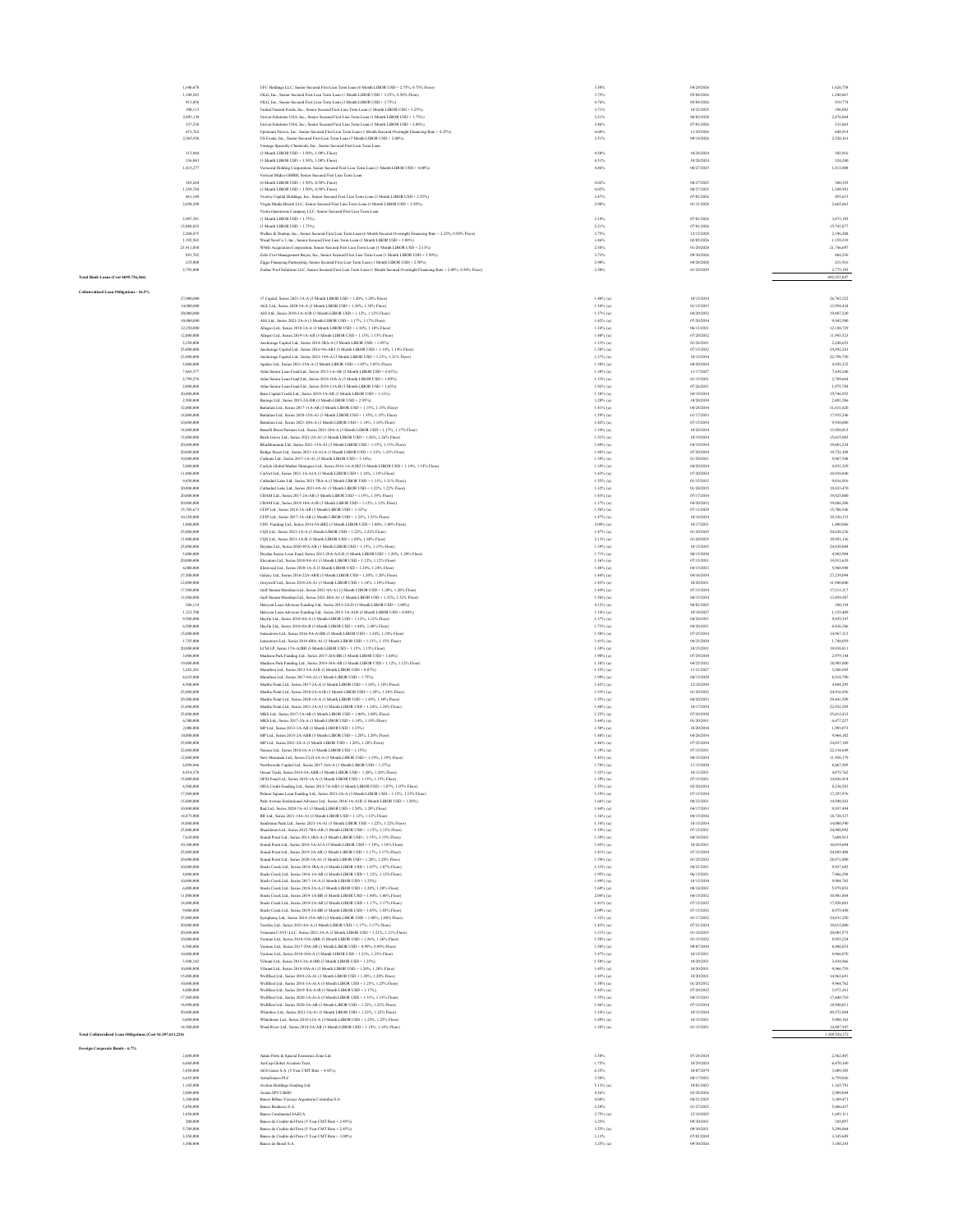|                                                              | 1,640,670                | UFC Holdings LLC, Senior Secured First Lien Term Loan (6 Month LIBOR USD + 2.75%, 0.75% Floor)                                                                                                         | 3.50%                        | 04/29/2026               | 1,626,758                |
|--------------------------------------------------------------|--------------------------|--------------------------------------------------------------------------------------------------------------------------------------------------------------------------------------------------------|------------------------------|--------------------------|--------------------------|
|                                                              | 1,249,243                | UKG, Inc., Senior Secured First Lien Term Loan (1 Month LIBOR USD + 3.25%, 0.50% Floor)                                                                                                                | 3.75%                        | 05/04/2026               | 1,240,867                |
|                                                              | 913,056<br>198,113       | UKG, Inc., Senior Secured First Lien Term Loan (3 Month LIBOR USD + 3.75%)<br>United Natural Foods, Inc., Senior Secured First Lien Term Loan (1 Month LIBOR USD + 3.25%)                              | 4.76%<br>3.71%               | 05/04/2026<br>10/22/2025 | 910.774<br>196,80        |
|                                                              | 2,893,138                | Univar Solutions USA, Inc., Senior Secured First Lien Term Loan (1 Month LIBOR USD + 1.75%)                                                                                                            | 2.21%                        | 06/02/2028               | 2,876,864                |
|                                                              | 337,238<br>651,762       | Univar Solutions USA, Inc., Senior Secured First Lien Term Loan (1 Month LIBOR USD + 2.00%)<br>eam Newco, Inc., Senior Secured First Lien Term Loan (1 Month Secured Overnight Financing Rate + 4.25%) | 2.46%                        | 07/01/2026<br>11/20/2026 | 333,865<br>648,914       |
|                                                              | 2,565,938                | US Foods, Inc., Senior Secured First Lien Term Loan (3 Month LIBOR USD + 2.00%)                                                                                                                        | 4,68%<br>2.51%               | 09/14/2026               | 2,520,16                 |
|                                                              |                          | Vantage Specialty Chemicals, Inc., Senior Secured First Lien Term Loan                                                                                                                                 |                              |                          |                          |
|                                                              | 313,944<br>336,043       | (3 Month LIBOR USD + 3 50%, 1 00% Floor).<br>(3 Month LIBOR USD + 3.50%, 1.00% Floor)                                                                                                                  | 4.50%<br>4.51%               | 10/28/2024<br>10/28/2024 | 302.916<br>324,240       |
|                                                              | 1,815,277                | Verseend Holding Corporation, Senior Secured First Lien Term Loan (1 Month LIBOR USD + 4.00%)                                                                                                          | 4.46%                        | 08/27/2025               | 1,813,008                |
|                                                              |                          | Vertical Midco GMBH, Senior Secured First Lien Term Loan                                                                                                                                               |                              |                          |                          |
|                                                              | 383,264<br>1,359,784     | (6 Month LIBOR USD + 3.50%, 0.50% Floor)<br>(3 Month LIBOR USD + 3.50%, 0.50% Floor)                                                                                                                   | 4.02%<br>4.02%               | 08/27/2025<br>08/27/2025 | 380,392<br>1,349,591     |
|                                                              | 461,149                  | Victory Capital Holdings, Inc., Senior Secured First Lien Term Loan (3 Month LIBOR USD + 2.25%)                                                                                                        | 2.47%                        | 07/01/2026               | 455,615                  |
|                                                              | 2,694,290                | Virgin Media Bristol LLC, Senior Secured First Lien Term Loan (1 Month LIBOR USD + 2.50%)                                                                                                              | 2.90%                        | 01/31/2028               | 2,665,663                |
|                                                              | 3,907,381                | Vistra Operations Company LLC, Senior Secured First Lien Term Loan<br>(1 Month LIBOR USD + 1.75%)                                                                                                      | 2.19%                        | 07/01/2026               | 3,873,192                |
|                                                              | 15,880,835               | (1 Month LIBOR USD + 1.75%)                                                                                                                                                                            | 2.21%                        | 07/01/2026               | 15.741.877               |
|                                                              | 2,204,475                | Walker & Danlop, Inc., Senior Secured First Lien Term Loan (6 Month Secured Overnight Financing Rate + 2.25%, 0.50% Floor)                                                                             | 2.75%                        | 12/15/2028               | 2,196,208                |
|                                                              | 1,192,503<br>21,911,030  | Wand NewCo 3, Inc., Senior Secured First Lien Term Loan (1 Month LIBOR USD + 3.00%)<br>WMG Acquisition Corporation, Senior Secured First Lien Term Loan (1 Month LIBOR USD + 2.13%)                    | 3.46%<br>2.58%               | 02/05/2026<br>01/20/2028 | 1,159,339<br>21,746,697  |
|                                                              | 891,702                  | Zelis Cost Management Bayer, Inc., Senior Secured First Lien Term Loan (1 Month LIBOR USD + 3.50%)                                                                                                     | 3.73%                        | 09/30/2026               | 884,256                  |
|                                                              | 235,000                  | Ziggo Financing Partnership, Senior Secured First Lien Term Loan (1 Month LIBOR USD + 2.50%)                                                                                                           | 2.90%                        | 04/28/2028               | 231,916                  |
| Total Bank Loans (Cost \$695,736,266)                        | 2,793,000                | Zodiac Pool Solutions LLC, Senior Secured First Lien Term Loan (1 Month Secured Overnight Financing Rate + 2.00%, 0.50% Floor)                                                                         | 2.50%                        | 01/29/2029               | 2,775,195<br>692,553,847 |
|                                                              |                          |                                                                                                                                                                                                        |                              |                          |                          |
| Collateralized Loan Obligations - 16.5%                      | 27,000,000               | 37 Capital, Series 2021-1A-A (3 Month LIBOR USD + 1.20%, 1.20% Floor)                                                                                                                                  | $1.40\%$ (a)                 | 10/15/2034               | 26,765,222               |
|                                                              | 14,000,000               | AGL Ltd., Series 2020-3A-A (3 Month LIBOR USD + 1.30%, 1.30% Floor)                                                                                                                                    | $1.54\%$ (a)                 | 01/15/2033               | 13,954,43                |
|                                                              | 20,000,000               | AIG Ltd., Series 2018-1A-A1R (3 Month LIBOR USD + 1.12%, 1.12% Floor)                                                                                                                                  | 1.37% (a)                    | 04/20/2032               | 19,887,220               |
|                                                              | 10,000,000<br>12,250,000 | AIG Ltd., Series 2021-2A-A (3 Month LIBOR USD + 1.17%, 1.17% Floor)<br>Allegro Ltd., Series 2018-1A-A (3 Month LIBOR USD + 1.10%, 1.10% Floor)                                                         | $1.42\%$ (a)<br>$1.34\%$ (a) | 07/20/2034<br>06/13/2031 | 9,942,500<br>12,188,729  |
|                                                              | 12,000,000               | Allegro Ltd., Series 2019-1A-AR (3 Month LIBOR USD + 1.15%, 1.15% Floor)                                                                                                                               | $1.40\%$ (a)                 | 07/20/2032               | 11,943,523               |
|                                                              | 2.250,000                | Anchorage Capital Ltd., Series 2014-3RA-A (3 Month LIBOR USD + 1.05%)                                                                                                                                  | $1.33\%$ (a)                 | 01/28/2031               | 2,248,653                |
|                                                              | 25,000,000<br>23,000,000 | Anchorage Capital Ltd., Series 2016-9A-AR2 (3 Month LIBOR USD + 1.14%, 1.14% Floor)<br>Anchorage Capital Ltd., Series 2021-19A-A (3 Month LIBOR USD + 1.21%, 1.21% Floor)                              | 1.38% (a)<br>1.37% (a)       | 07/15/2032<br>10/15/2034 | 24,592,24<br>22,798,750  |
|                                                              | 5,000,000                | Apidos Ltd., Series 2021-35A-A (3 Month LIBOR USD + 1.05%, 1.05% Floor)                                                                                                                                | 1.30% (a)                    | 04/20/2034               | 4,928,232                |
|                                                              | 7,465,377                | Atlas Senior Loan Fand Ltd., Series 2013-1A-AR (3 Month LIBOR USD + 0.83%)                                                                                                                             | 1.30% (a)                    | 11/17/2027               | 7,430,246                |
|                                                              | 2,799,276<br>2,000,000   | Atlas Senior Loan Fund Ltd., Series 2018-10A-A (3 Month LIBOR USD + 1.09%)<br>Atlas Senior Loan Fund Ltd., Series 2018-11A-B (3 Month LIBOR USD + 1.65%)                                               | 1.33% (a)<br>$1.92\%$ (a)    | 01/15/2031<br>07/26/2031 | 2,789,664<br>1,975,78    |
|                                                              | 20,000,000               | Bain Capital Credit Ltd., Series 2019-1A-AR (3 Month LIBOR USD + 1.13%)                                                                                                                                | $1.38\%$ (a)                 | 04/19/2034               | 19,746,952               |
|                                                              | 2,500,000<br>32,000,000  | Barings Ltd., Series 2015-2A-DR (3 Month LIBOR USD + 2.95%)                                                                                                                                            | 3.20% (a)                    | 10/20/2030<br>04/24/2034 | 2,481,286                |
|                                                              | 18,000,000               | Battalion Ltd., Series 2017-11A-AR (3 Month LIBOR USD + 1.15%, 1.15% Floor)<br>Battalion Ltd., Series 2020-15A-A1 (3 Month LIBOR USD + 1.35%, 1.35% Floor)                                             | 1.41% (a)<br>1.59% (a)       | 01/17/2033               | 31,631,820<br>17,935,24  |
|                                                              | 10,000,000               | Battalion Ltd., Series 2021-20A-A (3 Month LIBOR USD + 1.18%, 1.18% Floor)                                                                                                                             | 1.42% (a)                    | 07/15/2034               | 9,930,000                |
|                                                              | 14,000,000<br>15,000,000 | Benefit Street Partners Ltd., Series 2021-24A-A (3 Month LIBOR USD + 1.17%, 1.17% Floor)                                                                                                               | $1.34\%$ (a)<br>1.51% (a)    | 10/20/2034<br>10/19/2034 | 13,920,015<br>15,015,885 |
|                                                              | 20,000,000               | Birch Grove Ltd., Series 2021-2A-A1 (3 Month LIBOR USD + 1.26%, 1.26% Floor)<br>BlueMountain Ltd., Series 2021-31A-A1 (3 Month LIBOR USD + 1.15%, 1.15% Floor)                                         | $1.40\%$ (a)                 | 04/19/2034               | 19,881,234               |
|                                                              | 20,000,000               | Bridge Street Ltd., Series 2021-1A-A1A (3 Month LIBOR USD + 1.23%, 1.23% Floor)                                                                                                                        | $1.48\%$ (a)                 | 07/20/2034               | 19,722,308               |
|                                                              | 10,000,000<br>5,000,000  | Carbone Ltd., Series 2017-1A-A1 (3 Month LIBOR USD + 1.14%)<br>Carlyle Global Market Strategies Ltd., Series 2016-1A-A1R2 (3 Month LIBOR USD + 1.14%, 1.14% Floor)                                     | $1.39\%$ (a)<br>$1.39\%$ (a) | 01/20/2031<br>04/20/2034 | 9.967.548<br>4.931.329   |
|                                                              | 11,000,000               | CarVal Ltd., Series 2021-1A-A1A (3 Month LIBOR USD + 1.18%, 1.18% Floor)                                                                                                                               | 1.43% (a)                    | 07/20/2034               | 10,910,84                |
|                                                              | 9,850,000                | Cathedral Lake Ltd., Series 2021-7RA-A (3 Month LIBOR USD + 1.31%, 1.31% Floor)                                                                                                                        | 1.55% (a)                    | 01/15/2032               | 9,816,916                |
|                                                              | 20,000,000<br>20,000,000 | Cathedral Lake Ltd., Series 2021-8A-A1 (3 Month LIBOR USD + 1.22%, 1.22% Floor)<br>CBAM Ltd., Series 2017-2A-AR (3 Month LIBOR USD + 1.19%, 1.19% Floor)                                               | $1.32\%$ (a)<br>$1.43%$ (a)  | 01/20/2035<br>07/17/2034 | 19,833,470<br>19,825,000 |
|                                                              | 20,000,000               | CBAM Ltd., Series 2019-10A-A1R (3 Month LIBOR USD + 1.12%, 1.12% Floor)                                                                                                                                | 1.37% (a)                    | 04/20/2032               | 19,886,206               |
|                                                              | 15,705,673               | CFIP Ltd., Series 2014-1A-AR (3 Month LIBOR USD + 1.32%)                                                                                                                                               | $1.56\%$ (a)                 | 07/13/2029               | 15,706,546               |
|                                                              | 10,350,000<br>1,800,000  | CFIP Ltd., Series 2017-1A-AR (3 Month LIBOR USD + 1.23%, 1.23% Floor)<br>CIFC Funding Ltd., Series 2014-5A-BR2 (3 Month LIBOR USD + 1.80%, 1.80% Floor)                                                | 1.47% (a)<br>$2.04\%$ (a)    | 10/18/2034<br>10/17/2031 | 10.326,333<br>1,800,086  |
|                                                              | 25,000,000               | CQS Ltd., Series 2021-1A-A (3 Month LIBOR USD + 1.22%, 1.22% Floor)                                                                                                                                    | 1.47% (a)                    | 01/20/2035               | 24,628,236               |
|                                                              | 11,000,000               | $\rm CQS$ Ltd., Series 2021-1A-B (3 Month LIBOR USD + 1.88%, 1.88% Floor)                                                                                                                              | 2.13% (a)                    | 01/20/2035               | 10,953,136               |
|                                                              | 25,000,000<br>5,000,000  | Dryden Ltd., Series 2020-85A-AR (3 Month LIBOR USD + 1.15%, 1.15% Floor)<br>Dryden Senior Loan Fund, Series 2013-28A-AILR (3 Month LIBOR USD + 1.20%, 1.20% Floor)                                     | 1.39% (a)<br>$1.71%$ (a)     | 10/15/2035<br>08/15/2030 | 24,830,084<br>4,982,904  |
|                                                              | 20,000,000               | Elevation Ltd., Series 2018-9A-A1 (3 Month LIBOR USD + 1.12%, 1.12% Floor)                                                                                                                             | $1.36\%$ (a)                 | 07/15/2031               | 19,913,629               |
|                                                              | 6,000,000                | Elmwood Ltd., Series 2020-1A-A (3 Month LIBOR USD + 1.24%, 1.24% Floor)                                                                                                                                | $1.48\%$ (a)                 | 04/15/2033               | 5,960,948                |
|                                                              | 27,500,000<br>12,000,000 | Galaxy Ltd., Series 2016-22A-ARR (3 Month LIBOR USD + 1.20%, 1.20% Floor)<br>Greywolf Ltd., Series 2018-2A-A1 (3 Month LIBOR USD + 1.18%, 1.18% Floor)                                                 | $1.44\%$ (a)<br>$1.43%$ (a)  | 04/16/2034<br>10/20/2031 | 27,239,094<br>11,940,000 |
|                                                              | 17,500,000               | Gulf Stezan Meridian Ltd., Series 2021-4A-A1 (3 Month LIBOR USD + 1.20%, 1.20% Floor)                                                                                                                  | $1.44\%$ (a)                 | 07/15/2034               | 17.313.317               |
|                                                              | 13,500,000<br>206,114    | Gulf Stezam Meridian Ltd., Series 2021-IIIA-A1 (3 Month LIBOR USD + 1.32%, 1.32% Floor)                                                                                                                | 1.56% (a)                    | 04/15/2034<br>08/01/2025 | 13,459,587               |
|                                                              | 1,123,700                | Halcyon Loan Advisors Funding Ltd., Series 2013-2A-D (3 Month LIBOR USD + 3.80%)<br>Halcyon Loan Advisors Funding Ltd., Series 2015-3A-A1R (3 Month LIBOR USD + 0.90%)                                 | 4.12% (a)<br>$1.14\%$ (a)    | 10/18/2027               | 180,15<br>1,125,409      |
|                                                              | 9,500,000                | Hayfin Ltd., Series 2018-8A-A (3 Month LIBOR USD + 1.12%, 1.12% Floor)                                                                                                                                 | 1.37% (a)                    | 04/20/2031               | 9,459,347                |
|                                                              | 6,500,000<br>15,000,000  | Hayfin Ltd., Series 2018-8A-B (3 Month LIBOR USD + 1.48%, 1.48% Floor)<br>Jamestown Ltd., Series 2016-9A-A1RR (3 Month LIBOR USD + 1.24%, 1.24% Floor)                                                 | $1.73%$ (a)                  | 04/20/2031               | 6,436,386<br>14,967,312  |
|                                                              | 1,755,000                | Jamestown Ltd., Series 2018-6RA-A1 (3 Month LIBOR USD + 1.15%, 1.15% Floor)                                                                                                                            | $1.50\%$ (a)<br>1.41% (a)    | 07/25/2034<br>04/25/2030 | 1,744,059                |
|                                                              | 20,000,000               | LCM LP, Series 17A-A2RR (3 Month LIBOR USD + 1.15%, 1.15% Floor)                                                                                                                                       | $1.39\%$ (a)                 | 10/15/2031               | 19.838.811               |
|                                                              | 3,000,000<br>19,000,000  | Madison Park Funding Ltd., Series 2017-26A-BR (3 Month LIBOR USD + 1.60%)<br>Madison Park Funding Ltd., Series 2019-34A-AR (3 Month LIBOR USD + 1.12%, 1.12% Floor)                                    | 1.90% (a)<br>1.38% (a)       | 07/29/2030<br>04/25/2032 | 2,979,14<br>18,905,000   |
|                                                              | 3,282,281                | Marathon Ltd., Series 2013-5A-A1R (3 Month LIBOR USD + $0.87\%$ )                                                                                                                                      | 1.35% (a)                    | 11/21/2027               | 3,286,945                |
|                                                              | 8,625,000                | Marathon Ltd., Series 2017-9A-A2 (3 Month LIBOR USD + 1.75%)                                                                                                                                           | $1.99\%$ (a)                 | 04/15/2029               | 8,518,790                |
|                                                              | 4,500,000<br>25,000,000  | Marble Point Ltd., Series 2017-2A-A (3 Month LIBOR USD + 1.18%, 1.18% Floor)<br>Marble Point Ltd., Series 2018-2A-A1R (3 Month LIBOR USD + 1.28%, 1.28% Floor)                                         | $1.42\%$ (a)<br>$1.53\%$ (a) | 12/18/2030<br>01/20/2032 | 4,484,295<br>24,916,456  |
|                                                              | 29,500,000               | Marble Point Ltd., Series 2020-1A-A (3 Month LIBOR USD + 1.30%, 1.30% Floor)                                                                                                                           | 1.55% (a)                    | 04/20/2033               | 29.441.599               |
|                                                              | 23,000,000               | Marble Point Ltd., Series 2021-3A-A1 (3 Month LIBOR USD + 1.24%, 1.24% Floor)                                                                                                                          | $1.48\%$ (a)                 | 10/17/2034               | 22,932,295               |
|                                                              | 25,000,000<br>6,500,000  | MKS Ltd., Series 2017-1A-AR (3 Month LIBOR USD + 1.00%, 1.00% Floor)<br>MKS Ltd., Series 2017-2A-A (3 Month LIBOR USD + 1.19%, 1.19% Floor)                                                            | $1.25\%$ (a)<br>1.44% (a)    | 07/20/2030<br>01/20/2031 | 25,012,433<br>6,477,22   |
|                                                              | 2,000,000                | MP Ltd., Series 2013-1A-AR (3 Month LIBOR USD + 1.25%)                                                                                                                                                 | 1.50% (a)                    | 10/20/2030               | 1,993,073                |
|                                                              | 10,000,000               | MP Ltd., Series 2015-2A-ARR (3 Month LIBOR USD + 1.20%, 1.20% Floor)                                                                                                                                   | $1.48%$ (a)                  | 04/28/2034               | 9,964,102                |
|                                                              | 25,000,000<br>22,600,000 | MP Ltd., Series 2021-2A-A (3 Month LIBOR USD + 1.20%, 1.20% Floor)<br>Nassau Ltd., Series 2018-IA-A (3 Month LIBOR USD + 1.15%)                                                                        | $1.46%$ (a)<br>$1.39\%$ (a)  | 07/25/2034<br>07/15/2031 | 24,837,189<br>22,134,649 |
|                                                              | 12,000,000               | New Mountain Ltd., Series CLO-2A-A (3 Month LIBOR USD + 1.19%, 1.19% Floor)                                                                                                                            | $1.43\%$ (a)                 | 04/15/2034               | 11,950,179               |
|                                                              | 8,898,846<br>4.914.578   | Northwoods Capital Ltd., Series 2017-16A-A (3 Month LIBOR USD + 1.27%)                                                                                                                                 | $1.78\%$ (a)<br>$1.52\%$ (a) | 11/15/2030<br>10/13/2031 | 8,867,505                |
|                                                              | 15,000,000               | Ocean Trails, Series 2014-5A-ARR (3 Month LIBOR USD + 1.28%, 1.28% Floor)<br>OFSI Fund Ltd., Series 2018-1A-A (3 Month LIBOR USD + 1.15%, 1.15% Floor)                                                 | $1.39\%$ (a)                 | 07/15/2031               | 4,875,762<br>14,856,914  |
|                                                              | 8,500,000                | OHA Credit Funding Ltd., Series 2012-7A-AR3 (3 Month LIBOR USD + 1.07%, 1.07% Floor)                                                                                                                   | $1.55\%$ (a)                 | 02/20/2034               | 8,236,581                |
|                                                              | 17,500,000<br>15,000,000 | Palmer Square Loan Funding Ltd., Series 2021-2A-A (3 Month LIBOR USD + 1.15%, 1.15% Floor)<br>Park Avenue Institutional Advisers Ltd., Series 2016-1A-AIR (3 Month LIBOR USD + 1.20%)                  | 1.39% (a)<br>$1.66\%$ (a)    | 07/15/2034<br>08/23/2031 | 17,297,976<br>14,948,563 |
|                                                              | 10,000,000               | Rad Ltd., Series 2020-7A-A1 (3 Month LIBOR USD + 1.20%, 1.20% Floor)                                                                                                                                   | $1.44\%$ (a)                 | 04/17/2033               | 9,937,494                |
|                                                              | 18,875,000               | RR Ltd., Series 2021-14A-A1 (3 Month LIBOR USD + 1.12%, 1.12% Floor)                                                                                                                                   | $1.36\%$ (a)                 | 04/15/2036               | 18,728,527               |
|                                                              | 14,000,000<br>25,000,000 | Sandstone Peak Ltd., Series 2021-1A-A1 (3 Month LIBOR USD + 1.22%, 1.22% Floor)<br>Shackleton Ltd., Series 2015-7RA-AR (3 Month LIBOR USD + 1.15%, 1.15% Floor)                                        | $1.34\%$ (a)<br>$1.39\%$ (a) | 10/15/2034<br>07/15/2031 | 14.000.590<br>24,908,992 |
|                                                              | 7,630,000                | Sound Point Ltd., Series 2013-3RA-A (3 Month LIBOR USD + 1.15%, 1.15% Floor)                                                                                                                           | $1.39\%$ (a)                 | 04/18/2031               | 7,604,913                |
|                                                              | 10,100,000               | Sound Point Ltd., Series 2018-3A-A1A (3 Month LIBOR USD + 1.18%, 1.18% Floor)                                                                                                                          | $1.45\%$ (a)                 | 10/26/2031               | 10,019,604               |
|                                                              | 25,000,000<br>29,000,000 | Sound Point Ltd., Series 2019-2A-AR (3 Month LIBOR USD + 1.17%, 1.17% Floor)<br>Sound Point Ltd., Series 2020-3A-A1 (3 Month LIBOR USD + 1.28%, 1.28% Floor)                                           | $1.41%$ (a)<br>$1.54\%$ (a)  | 07/15/2034<br>01/25/2032 | 24,805,408<br>28,971,000 |
|                                                              | 10,000,000               | Steele Creek Ltd., Series 2014-1RA-A (3 Month LIBOR USD + 1.07%, 1.07% Floor)                                                                                                                          | $1.33\%$ (a)                 | 04/21/2031               | 9,927,682                |
|                                                              | 8,000,000                | Steele Creek Ltd., Series 2016-1A-AR (3 Month LIBOR USD + 1.12%, 1.12% Floor)                                                                                                                          | $1.95\%$ (a)                 | 06/15/2031               | 7,966,298                |
|                                                              | 10,000,000<br>6,000,000  | Steele Creek Ltd., Series 2017-1A-A (3 Month LIBOR USD + 1.25%)<br>Steele Creek Ltd., Series 2018-2A-A (3 Month LIBOR USD + 1.20%, 1.20% Floor)                                                        | $1.49\%$ (a)<br>$1.69\%$ (a) | 10/15/2030<br>08/18/2031 | 9.984.783<br>5.979.853   |
|                                                              | 11,000,000               | Steele Creek Ltd., Series 2019-1A-BR (3 Month LIBOR USD + 1.80%, 1.80% Floor)                                                                                                                          | $2.04\%$ (a)                 | 04/15/2032               | 10,981,804               |
|                                                              | 18,000,000<br>9,000,000  | Steele Creek Ltd., Series 2019-2A-AR (3 Month LIBOR USD + 1.17%, 1.17% Floor)                                                                                                                          | $1.41\%$ (a)<br>2.09% (a)    | 07/15/2032<br>07/15/2032 | 17,920,883<br>8,975,448  |
|                                                              | 25,000,000               | Steele Creek Ltd., Series 2019-2A-BR (3 Month LIBOR USD + 1.85%, 1.85% Floor)<br>Symphony Ltd., Series 2014-15A-AR3 (3 Month LIBOR USD + 1.08%, 1.08% Floor)                                           | $1.32\%$ (a)                 | 01/17/2032               | 24,831,250               |
|                                                              | 20,000,000               | Trestles Ltd., Series 2021-4A-A (3 Month LIBOR USD + 1.17%, 1.17% Floor)                                                                                                                               | 1.43% (a)                    | 07/21/2034               | 19,815,000               |
|                                                              | 20,000,000<br>10,000,000 | Trimaran CAVU LLC, Series 2021-3A-A (3 Month LIBOR USD + 1.21%, 1.21% Floor)<br>Venture Ltd., Series 2014-19A-ARR (3 Month LIBOR USD + 1.26%, 1.26% Floor)                                             | 1.31% (a)<br>$1.50\%$ (a)    | 01/18/2035<br>01/15/2032 | 20,001,573<br>9,955,22   |
|                                                              | 8,500,000                | Venture Ltd., Series 2017-29A-AR (3 Month LIBOR USD + 0.99%, 0.99% Floor)                                                                                                                              | 1.50% (a)                    | 09/07/2030               | 8,496,853                |
|                                                              | 10,000,000               | Venture Ltd., Series 2018-34A-A (3 Month LIBOR USD + 1.23%, 1.23% Floor).                                                                                                                              | $1.47%$ (a)                  | 10/15/2031               | 9,966,070                |
|                                                              | 3,948,182<br>10,000,000  | Vibrant Ltd., Series 2015-3A-A1RR (3 Month LIBOR USD + 1.25%)<br>Vibrant Ltd., Series 2018-10A-A1 (3 Month LIBOR USD + 1.20%, 1.20% Floor)                                                             | 1.50% (a)<br>1.45% (a)       | 10/20/2031<br>10/20/2031 | 3,934,966<br>9,966,759   |
|                                                              | 15,000,000               | Wellfleet Ltd., Series 2018-2A-A1 (3 Month LIBOR USD + 1.20%, 1.20% Floor)                                                                                                                             | 1.45% (a)                    | 10/20/2031               | 14,962,691               |
|                                                              | 10,000,000               | Wellfleet Ltd., Series 2018-3A-AIA (3 Month LIBOR USD + 1.25%, 1.25% Floor)                                                                                                                            | 1.50% (a)                    | 01/20/2032               | 9,964,762                |
|                                                              | 4,000,000<br>17,500,000  | Wellfleet Ltd., Series 2019-XA-A1R (3 Month LIBOR USD + 1.17%)<br>Wellfleet Ltd., Series 2020-1A-A1A (3 Month LIBOR USD + 1.31%, 1.31% Floor)                                                          | $1.42\%$ (a)<br>1.55% (a)    | 07/20/2032<br>04/15/2033 | 3,973,361<br>17,440,710  |
|                                                              | 18,990,000               | Wellfleet Ltd., Series 2020-2A-AR (3 Month LIBOR USD + 1.22%, 1.22% Floor)                                                                                                                             | $1.46\%$ (a)                 | 07/15/2034               | 18,940,011               |
|                                                              | 50,000,000               | Whitebox Ltd., Series 2021-3A-A1 (3 Month LIBOR USD + 1.22%, 1.22% Floor)                                                                                                                              | $1.34\%$ (a)                 | 10/15/2034               | 49.572.904               |
|                                                              | 6.000.000<br>14,500,000  | Whitehorse Ltd., Series 2018-12A-A (3 Month LIBOR USD + 1.25%, 1.25% Floor)<br>Wind River Ltd., Series 2014-2A-AR (3 Month LIBOR USD + 1.14%, 1.14% Floor)                                             | 1.49% (a)<br>1.38% (a)       | 10/15/2031<br>01/15/2031 | 5,980,103<br>14,407,547  |
| Fotal Collateralized Loan Obligations (Cost \$1,397,611,224) |                          |                                                                                                                                                                                                        |                              |                          | 1,389,526,37             |
|                                                              |                          |                                                                                                                                                                                                        |                              |                          |                          |
| Foreign Corporate Bonds - 6.7%                               | 2,600,000                | Adani Ports & Special Economic Zone Ltd.                                                                                                                                                               | 3.38%                        | 07/24/2024               | 2,562,407                |
|                                                              | 6,860,000                | AcrCap Global Aviation Trust                                                                                                                                                                           | 1.75%                        | 10/29/2024               | 6,470,160                |
|                                                              | 3,850,000<br>6,655,000   | AES Gener S.A. (5 Year CMT Rate + 4.92%)<br>AstraZeneca PLC                                                                                                                                            | 6.35%<br>3.50%               | 10/07/2079<br>08/17/2023 | 3,809,305<br>6,759,026   |
|                                                              |                          |                                                                                                                                                                                                        |                              |                          |                          |

| 2,600,000 | Adani Ports & Special Economic Zone Ltd.            | 3.38%        | 07/24/2024 | 2.562.407 |
|-----------|-----------------------------------------------------|--------------|------------|-----------|
| 6,860,000 | AcrCap Global Aviation Trust                        | 1.75%        | 10/29/2024 | 6,470,160 |
| 3,850,000 | AES Gener S.A. (5 Year CMT Rate + 4.92%)            | 6.35%        | 10/07/2079 | 3,809,305 |
| 6,655,000 | AstraZeneca PLC                                     | 3.50%        | 08/17/2023 | 6,759,026 |
| 1.145.000 | Avolon Holdings Funding Ltd.                        | $5.13\%$ (a) | 10/01/2023 | 1,165,791 |
| 2,800,000 | Axiata SPV2 BHD                                     | 4.36%        | 03/24/2026 | 2,909.84  |
| 3,100,000 | Banco Bilbao Vizcaya Argentaria Colombia S.A.       | 4.88%        | 04/21/2025 | 3,109,47  |
| 5,450,000 | Banco Bradesco S.A.                                 | 3.20%        | 01/27/2025 | 5.406.427 |
| 1,850,000 | Banco Continental SAECA                             | $2.75%$ (a)  | 12/10/2025 | 1,693,111 |
| 200,000   | Banco de Credito del Peru (5 Year CMT Rate + 2.45%) | 3.25%        | 09/30/2031 | 185,897   |
| 5,700,000 | Banco de Credito del Peru (5 Year CMT Rate + 2.45%) | $3.25\%$ (a) | 09/30/2031 | 5.298.064 |
| 3,550,000 | Banco de Credito del Peru (5 Year CMT Rate + 3.00%) | 3.13%        | 07/01/2030 | 3,345,609 |
| 3,300,000 | Banco do Brasil S.A.                                | 3.25% (a)    | 09/30/2026 | 3.180.243 |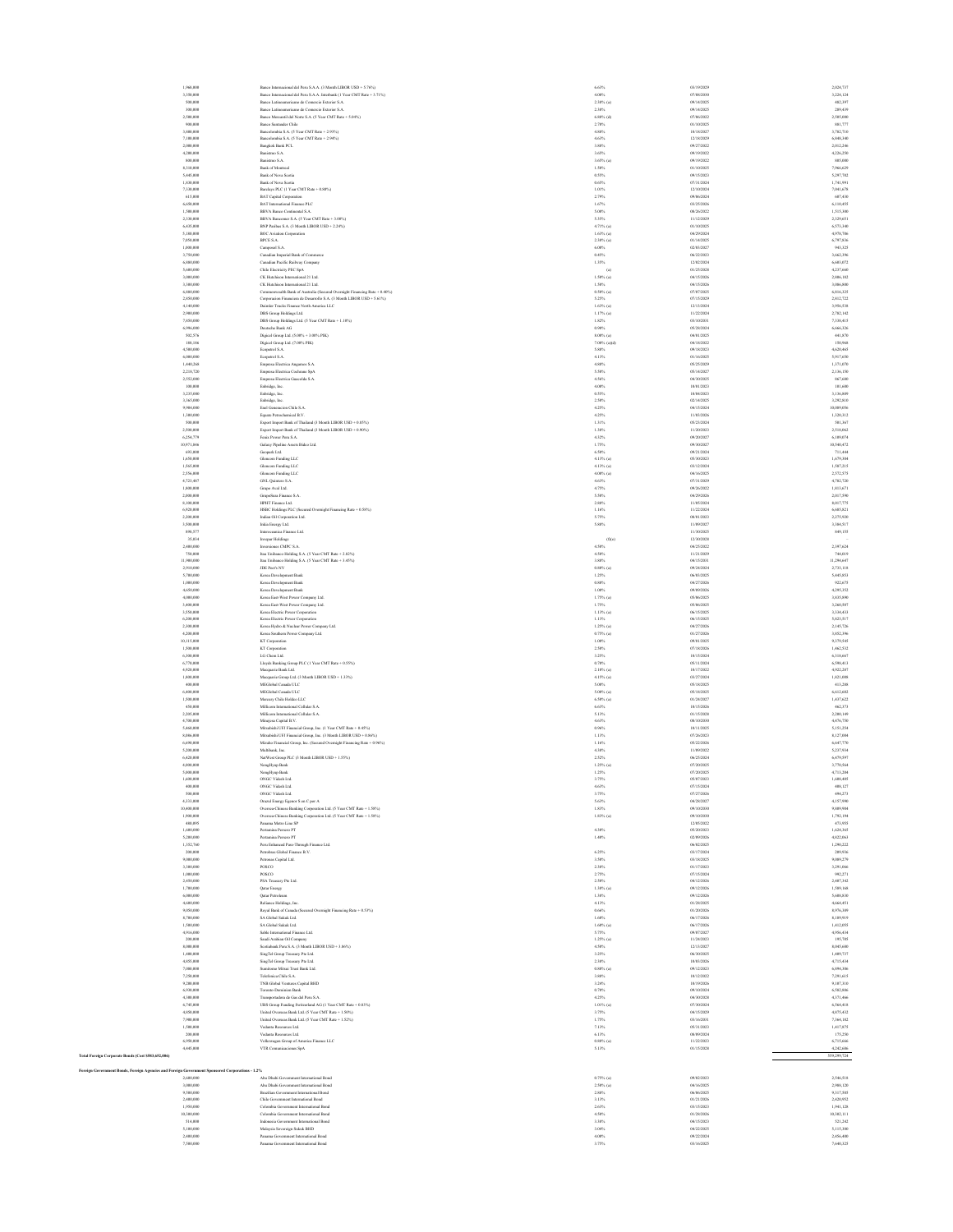| 1,968,000                                                                                        | Banco Internacional del Peru S.A.A. (3 Month LIBOR USD + 5.76%)                                                                          | 6.63%                        | 03/19/2029               | 2,024,737               |
|--------------------------------------------------------------------------------------------------|------------------------------------------------------------------------------------------------------------------------------------------|------------------------------|--------------------------|-------------------------|
| 3,350,000                                                                                        | Banco Internacional del Peru S.A.A. Interbank (1 Year CMT Rate + 3.71%)                                                                  | 4.00%                        | 07/08/2030               | 3.224.124<br>482.397    |
| 500,000<br>300,000                                                                               | Banco Latinoamericano de Comercio Exterior S.A.<br>Banco Latinoamericano de Comercio Exterior S.A.                                       | 2.38% (a)<br>2.38%           | 09/14/2025<br>09/14/2025 | 289,439                 |
| 2,500,000                                                                                        | Banco Mercantil del Norte S.A. (5 Year CMT Rate + 5.04%)                                                                                 | $6.88\%$ (d)                 | 07/06/2022               | 2,505,000               |
| 900,000                                                                                          | Banco Santander Chile                                                                                                                    | 2.70%                        | 01/10/2025               | 881,773                 |
| 3,800,000<br>7,100,000                                                                           | Bancolombia S.A. (5 Year CMT Rate + 2.93%)<br>Bancolombia S.A. (5 Year CMT Rate + 2.94%)                                                 | $4.88\%$<br>4.63%            | 10/18/2027<br>12/18/2029 | 3,782,710<br>6,848,340  |
| 2,000,000                                                                                        | Bangkok Bank PCL                                                                                                                         | 3.88%                        | 09/27/2022               | 2,012,246               |
| 4,200,000                                                                                        | Banistmo S.A.                                                                                                                            | 3.65%                        | 09/19/2022               | 4.226.25                |
| 800,000<br>8,310,000                                                                             | Banistmo S.A.<br>Bank of Montreal                                                                                                        | 3.65% (a)<br>1.50%           | 09/19/2022<br>01/10/2025 | 805,000                 |
| 5,445,000                                                                                        | Bank of Nova Scotia                                                                                                                      | 0.55%                        | 09/15/2023               | 7,966,62<br>5,297,702   |
| 1,830,000                                                                                        | Bank of Nova Scotia                                                                                                                      | 0.65%                        | 07/31/2024               | 1,741,991               |
| 7,330,000                                                                                        | Barclays PLC (1 Year CMT Rate + 0.80%)                                                                                                   | 1.01%                        | 12/10/2024               | 7,041,678               |
| 615,000<br>6,650,000                                                                             | BAT Capital Corporation<br>BAT International Finance PLC                                                                                 | 2.79%<br>1.67%               | 09/06/2024<br>03/25/2026 | 607,430<br>6,110,45     |
| 1,500,000                                                                                        | BBVA Banco Continental S.A.                                                                                                              | 5.00%                        | 08/26/2022               | 1,515,300               |
| 2,330,000                                                                                        | BBVA Bancomer S.A. (5 Year CMT Rate + 3.00%)                                                                                             | 5.35%                        | 11/12/2029               | 2.329.65                |
| 6,435,000                                                                                        | BNP Paribas S.A. (3 Month LIBOR USD + 2.24%)                                                                                             | 4.71% (a)                    | 01/10/2025               | 6,573,340               |
| 5,180,000<br>7,050,000                                                                           | <b>BOC</b> Aviation Corporation<br><b>BPCE S.A.</b>                                                                                      | $1.63\%$ (a)<br>$2.38\%$ (a) | 04/29/2024<br>01/14/2025 | 4,978,706<br>6,797,836  |
| 1,000,000                                                                                        | Camposol S.A.                                                                                                                            | $6.00\%$                     | 02/03/2027               | 943,32                  |
| 3,750,000                                                                                        | Canadian Imperial Bank of Com                                                                                                            | 0.45%                        | 06/22/2023               | 3,662,396               |
| 6,880,000                                                                                        | Canadian Pacific Railway Company                                                                                                         | 1.35%                        | 12/02/2024               | 6,603,072               |
| 5,600,000<br>3,000,000                                                                           | Chile Electricity PEC SpA<br>CK Hutchison International 21 Ltd                                                                           | (a)<br>$1.50\%$ (a)          | 01/25/2028<br>04/15/2026 | 4,237,660<br>2.806,182  |
| 3,300,000                                                                                        | CK Hutchison International 21 Ltd.                                                                                                       | 1.50%                        | 04/15/2026               | 3,086,800               |
| 6,880,000                                                                                        | Commonwealth Bank of Australia (Secured Overnight Financing Rate + 0.40%)                                                                | $0.50\%$ (a)                 | 07/07/2025               | 6,816,32                |
| 2,850,000                                                                                        | Corporacion Financiera de Desarrollo S.A. (3 Month LIBOR USD + 5.61%)                                                                    | 5.25%                        | 07/15/2029               | 2,812,72                |
| 4,140,000<br>2,900,000                                                                           | Daimler Trucks Finance North America LLC<br>DBS Group Holdings Ltd.                                                                      | $1.63\%$ (a)<br>$1.17\%$ (a) | 12/13/2024<br>11/22/2024 | 3,956,538<br>2,782,142  |
| 7,850,000                                                                                        | DBS Group Holdings Ltd. (5 Year CMT Rate + 1.10%)                                                                                        | 1.82%                        | 03/10/2031               | 7,338,415               |
| 6,996,000                                                                                        | Deutsche Bank AG                                                                                                                         | 0.90%                        | 05/28/2024               | 6,666,326               |
| 502,576                                                                                          | Digicel Group Ltd. (5.00% + 3.00% PIK)                                                                                                   | 8.00% (a)                    | 04/01/2025               | 441,870                 |
| 188,186<br>4,500,000                                                                             | Digicel Group Ltd. (7.00% PIK)<br>Ecopetrol S.A.                                                                                         | 7,00% (a)(d)<br>5.88%        | 04/18/2022<br>09/18/2023 | 150,968<br>4,620,465    |
| 6,000,000                                                                                        | Ecopetrol S.A.                                                                                                                           | 4.13%                        | 01/16/2025               | 5,917,650               |
| 1,440,268                                                                                        | Empresa Electrica Angamos S.A.                                                                                                           | $4.88\%$                     | 05/25/2029               | 1,371,070               |
| 2,218,720                                                                                        | Empresa Electrica Cochrane SpA                                                                                                           | 5.50%                        | 05/14/2027               | 2,136,150               |
| 2,552,000<br>100,000                                                                             | Empresa Electrica Guacolda S.A.<br>Enbridge, Inc.                                                                                        | 4.56%<br>4.00%               | 04/30/2025<br>10/01/2023 | 867,680<br>101,60       |
| 3,235,000                                                                                        | Enbridge, Inc.                                                                                                                           | 0.55%                        | 10/04/2023               | 3,136,809               |
| 3,365,000                                                                                        | Enbridge, Inc.                                                                                                                           | 2.50%                        | 02/14/2025               | 3,292,810               |
| 9,904,000                                                                                        | Enel Generacion Chile S.A.                                                                                                               | 4.25%                        | 04/15/2024               | 10.089.056              |
| 1,300,000<br>500,000                                                                             | Equate Petrochemical B.V.<br>Export Import Bank of Thailand (3 Month LIBOR USD $+$ 0.85%) $\,$                                           | 4.25%<br>$1.31\%$            | 11/03/2026<br>05/23/2024 | 1,320,312<br>501,367    |
| 2,500,000                                                                                        | Export Import Bank of Thailand (3 Month LIBOR USD + 0.90%)                                                                               | $1.38\%$                     | 11/20/2023               | 2,518,06                |
| 6,254,779                                                                                        | Fenix Power Peru S.A.                                                                                                                    | 4.32%                        | 09/20/2027               | 6,109,074               |
| 10,971,846                                                                                       | Galaxy Pipeline Assets Bidco Ltd.                                                                                                        | 1.75%                        | 09/30/2027               | 10,540,472              |
| 693,000<br>1,650,000                                                                             | Geopark Ltd.<br>Glencore Funding LLC                                                                                                     | 6.50%<br>4.13% (a)           | 09/21/2024<br>05/30/2023 | 711,44<br>1,679,304     |
| 1,565,000                                                                                        | Glencore Funding LLC                                                                                                                     | 4.13% (a)                    | 03/12/2024               | 1,587,215               |
| 2,556,000                                                                                        | Glencore Funding LLC                                                                                                                     | $4.00\%$ (a)                 | 04/16/2025               | 2,572,575               |
| 4,723,487                                                                                        | GNL Quintero S.A.                                                                                                                        | 4.63%                        | 07/31/2029               | 4,782,720               |
| 1,800,000<br>2,000,000                                                                           | Grupo Aval Ltd.<br>GrupoSura Finance S.A.                                                                                                | 4.75%<br>5.50%               | 09/26/2022<br>04/29/2026 | 1,813,67<br>2,017,590   |
| 8,100,000                                                                                        | HPHT Finance Ltd.                                                                                                                        | 2.88%                        | 11/05/2024               | 8,017,775               |
| 6,920,000                                                                                        | HSBC Holdings PLC (Secured Overnight Financing Rate + 0.58%)                                                                             | 1.16%                        | 11/22/2024               | 6,685,82                |
| 2,200,000                                                                                        | Indian Oil Corporation Ltd.                                                                                                              | 5.75%                        | 08/01/2023               | 2.275.920               |
| 3,500,000<br>898,577                                                                             | Inkia Energy Ltd.<br>Interoceanica Finance Ltd.                                                                                          | 5.88%                        | 11/09/2027<br>11/30/2025 | 3,384,517<br>849,153    |
| 35,034                                                                                           | Invepar Holdings                                                                                                                         | (f)(c)                       | 12/30/2028               |                         |
| 2,400,000                                                                                        | <b>Inversiones CMPC S.A.</b>                                                                                                             | 4.50%                        | 04/25/2022               | 2,397,62                |
| 750,000                                                                                          | Itaa Unibanco Holding S.A. (5 Year CMT Rate + 2.82%)                                                                                     | 4.50%                        | 11/21/2029               | 744,019                 |
| 11,900,000<br>2,910,000                                                                          | Itaa Unibanco Holding S.A. (5 Year CMT Rate + 3.45%)<br>JDE Peer's NV                                                                    | $3.88\%$<br>$0.80\%$ (a)     | 04/15/2031<br>09/24/2024 | 11,294,647<br>2,733,118 |
| 5,700,000                                                                                        | Korea Development Bank                                                                                                                   | 1.25%                        | 06/03/2025               | 5,445,853               |
| 1,000,000                                                                                        | Korea Development Bank                                                                                                                   | $0.80\%$                     | 04/27/2026               | 922.675                 |
| 4,650,000                                                                                        | Korea Development Bank                                                                                                                   | 1.00%                        | 09/09/2026               | 4.295.352               |
| 4,000,000<br>3,400,000                                                                           | Korea East-West Power Company Ltd.<br>Korea East-West Power Company Ltd.                                                                 | $1.75%$ (a)<br>1.75%         | 05/06/2025<br>05/06/2025 | 3,835,89<br>3,260,507   |
| 3,550,000                                                                                        | Korea Electric Power Corporation                                                                                                         | $1.13\%$ (a)                 | 06/15/2025               | 3,334,433               |
| 6,200,000                                                                                        | Korea Electric Power Corporation                                                                                                         | 1.13%                        | 06/15/2025               | 5,823,517               |
| 2,300,000                                                                                        | Korea Hydro & Nuclear Power Company Ltd.                                                                                                 | $1.25\%$ (a)                 | 04/27/2026               | 2,145,726               |
| 4,200,000<br>10.115.000                                                                          | Korea Southern Power Company Ltd.<br>KT Corporation                                                                                      | $0.75\%$ (a)<br>1.00%        | 01/27/2026<br>09/01/2025 | 3,852,396<br>9.379.545  |
| 1,500,000                                                                                        | KT Corporation                                                                                                                           | 2.50%                        | 07/18/2026               | 1,462.532               |
| 6,300,000                                                                                        | LG Chem Ltd.                                                                                                                             | 3.25%                        | 10/15/2024               | 6,318,667               |
| 6,770,000                                                                                        | Lloyds Banking Group PLC (1 Year CMT Rate + 0.55%)                                                                                       | 0.70%                        | 05/11/2024               | 6,598,413               |
| 4,920,000<br>1,800,000                                                                           | Macquarie Bank Ltd.<br>Macquarie Group Ltd. (3 Month LIBOR USD + 1.33%)                                                                  | $2.10\%$ (a)<br>4.15% (a)    | 10/17/2022<br>03/27/2024 | 4,922,287<br>1,821,008  |
| 400,000                                                                                          | MEGlobal Canada ULC                                                                                                                      | 5.00%                        | 05/18/2025               | 413,288                 |
| 6,400,000                                                                                        | MEGlobal Canada ULC                                                                                                                      | 5.00% (a)                    | 05/18/2025               | 6,612,602               |
| 1,500,000                                                                                        | Mercury Chile Holdco LLC                                                                                                                 | 6.50% (a)                    | 01/24/2027               | 1,437,622               |
| 450,000<br>2,205,000                                                                             | Millicom International Cellular S.A.                                                                                                     | 6.63%                        | 10/15/2026<br>01/15/2028 | 462.373                 |
| 4,700,000                                                                                        | Millicom International Cellular S.A.<br>Minejesa Capital B.V.                                                                            | 5.13%<br>4.63%               | 08/10/2030               | 2,200,14<br>4,476,750   |
| 5,460,000                                                                                        | Mitsubishi UFJ Financial Group, Inc. (1 Year CMT Rate + 0.45%)                                                                           | $0.96\%$                     | 10/11/2025               | 5,151,25                |
| 8,086,000                                                                                        | Mitsubishi UFJ Financial Group, Inc. (3 Month LIBOR USD + 0.86%)                                                                         | 1.13%                        | 07/26/2023               | 8,127,00                |
| 6,690,000<br>5,200,000                                                                           | Mizuho Financial Group, Inc. (Secured Overnight Financing Rate + 0.96%)<br>Multibank, Inc.                                               | 1.16%<br>4.38%               | 05/22/2026<br>11/09/2022 | 6,647,776<br>5,237,934  |
| 6,420,000                                                                                        | NatWest Group PLC (3 Month LIBOR USD + 1.55%)                                                                                            | 2.52%                        | 06/25/2024               | 6,479,597               |
| 4,000,000                                                                                        | NongHyup Bank                                                                                                                            | $1.25\%$ (a)                 | 07/20/2025               | 3,770,564               |
| 5,000,000                                                                                        | NongHyup Bank                                                                                                                            | 1.25%                        | 07/20/2025               | 4.713.20                |
| 1,600.00<br>400,000                                                                              | ONGC Videsh Ltd<br>ONGC Videsh Ltd                                                                                                       | 3.79%<br>4.63%               | 05/07/2023<br>07/15/2024 | 1,608,405<br>408,127    |
| 500,000                                                                                          | ONGC Videsh Ltd.                                                                                                                         | 3.75%                        | 07/27/2026               | 494,273                 |
| 4,333,000                                                                                        | Orazul Energy Egenor S en C por A                                                                                                        | 5.63%                        | 04/28/2027               | 4,157,990               |
| 10,400,000<br>1,900,000                                                                          | Oversea-Chinese Banking Corporation Ltd. (5 Year CMT Rate + 1.58%)<br>Oversea-Chinese Banking Corporation Ltd. (5 Year CMT Rate + 1.58%) | 1.83%<br>$1.83%$ (a)         | 09/10/2030<br>09/10/2030 | 9,809,904<br>1,792,194  |
| 480,095                                                                                          | Parama Metro Line SP                                                                                                                     |                              | 12/05/2022               | 473.955                 |
| 1,600,000                                                                                        | Pertamina Persero PT                                                                                                                     | 4.30%                        | 05/20/2023               | 1,624,365               |
| 5,200,000                                                                                        | Pertamina Persero PT                                                                                                                     | 1.40%                        | 02/09/2026               | 4,822,063               |
| 1,352,760<br>200,000                                                                             | Peru Enhanced Pass-Through Finance Ltd.<br>Petrobeas Global Finance B.V.                                                                 | 6.25%                        | 06/02/2025<br>03/17/2024 | 1,290,222<br>209,934    |
| 9,000,000                                                                                        | Petronas Capital Ltd.                                                                                                                    | 3.50%                        | 03/18/2025               | 9,089,279               |
| 3,300,000                                                                                        | POSCO                                                                                                                                    | 2.38%                        | 01/17/2023               | 3,291,066               |
| 1,000,000                                                                                        | POSCO                                                                                                                                    | 2.75%                        | 07/15/2024               | 992,271                 |
| 2,450,000<br>1,700,000                                                                           | PSA Treasury Pte Ltd.<br>Qutar Energy                                                                                                    | 2.50%<br>$1.38\%$ (a)        | 04/12/2026<br>09/12/2026 | 2,407.342<br>1,589,168  |
| 6,000,000                                                                                        | Qutar Petroleum                                                                                                                          | 1.38%                        | 09/12/2026               | 5,608,83                |
| 4,600,000                                                                                        | Reliance Holdings, Inc.                                                                                                                  | 4.13%                        | 01/28/2025               | 4,664,451               |
| 9,050,000                                                                                        | Royal Bank of Canada (Secured Overnight Financing Rate + 0.53%)                                                                          | $0.66\%$                     | 01/20/2026               | 8,976,389               |
| 8,700,000<br>1,500,000                                                                           | SA Global Sukuk Ltd.<br>SA Global Sukuk Ltd.                                                                                             | 1.60%<br>$1.60\%$ (a)        | 06/17/2026<br>06/17/2026 | 8,189,919<br>1,412,055  |
| 4,916,000                                                                                        | Sable International Finance Ltd.                                                                                                         | 5.75%                        | 09/07/2027               | 4,956,43                |
| 200,000                                                                                          | Saudi Arabian Oil Company                                                                                                                | $1.25\%$ (a)                 | 11/24/2023               | 195,703                 |
| 8,000,000<br>1,400,000                                                                           | Scotiabank Peru S.A. (3 Month LIBOR USD + 3.86%)                                                                                         | 4.50%<br>3.25%               | 12/13/2027<br>06/30/2025 | 8,045,680<br>1,409.737  |
| 4,855,000                                                                                        | SingTel Group Treasury Pte Ltd.<br>SingTel Group Treasury Pte Ltd.                                                                       | 2.38%                        | 10/03/2026               | 4,715,43                |
| 7,080,000                                                                                        | Sumitomo Mitsui Trust Bank Ltd                                                                                                           | $0.80\%$ (a)                 | 09/12/2023               | 6,894,306               |
| 7,250,000                                                                                        | Telefonica Chile S.A.                                                                                                                    | 3.88%                        | 10/12/2022               | 7,291,615               |
| 9,200,000                                                                                        | TNB Global Ventures Capital BHD                                                                                                          | 3.24%                        | 10/19/2026               | 9,107,310               |
| 6,930,000<br>4,300,000                                                                           | Toronto-Dominion Bank<br>Transportadora de Gas del Peru S.A.                                                                             | 0.70%<br>4.25%               | 09/10/2024<br>04/30/2028 | 6,582,886<br>4,371,466  |
| 6,745,000                                                                                        | UBS Group Funding Switzerland AG (1 Year CMT Rate + 0.83%)                                                                               | 1.01% (a)                    | 07/30/2024               | 6,564,418               |
| 4,850,000                                                                                        | United Overseas Bank Ltd. (5 Year CMT Rate + 1.50%)                                                                                      | 3.75%                        | 04/15/2029               | 4,875,432               |
| 7,900,000<br>1,500,000                                                                           | United Overseas Bank Ltd. (5 Year CMT Rate + 1.52%)<br>Vedanta Resources Ltd.                                                            | 1.75%<br>7.13%               | 03/16/2031<br>05/31/2023 | 7,364,182<br>1,417,87   |
| 200,000                                                                                          | Vedanta Resources Ltd.                                                                                                                   | 6.13%                        | 08/09/2024               | 175,250                 |
| 6,950,000                                                                                        | Volkswagen Group of America Finance LLC                                                                                                  | $0.88\%$ (a)                 | 11/22/2023               | 6,715,666               |
| 4,445,000                                                                                        | VTR Comunicaciones SpA                                                                                                                   | 5.13%                        | 01/15/2028               | 4,242,686               |
| Total Foreign Corporate Bonds (Cost \$583,652,016)                                               |                                                                                                                                          |                              |                          | 559,299,724             |
| Foreign Government Bonds, Foreign Agencies and Foreign Government Sp<br>ored Corporations - 1.2% |                                                                                                                                          |                              |                          |                         |
| 2,600,000                                                                                        | Abu Dhabi Government International Bond                                                                                                  | $0.75\%$ (a)                 | 09/02/2023               | 2,546,518               |
| 3,000,000                                                                                        | Abu Dhabi Government International Bond                                                                                                  | 2.50% (a)                    | 04/16/2025               | 2,988,120               |
| 9,500,000                                                                                        | Brazilian Government International Bond                                                                                                  | 2.88%<br>3.13%               | 06/06/2025<br>01/21/2026 | 9,317,505<br>2,420,952  |
| 2,400,000                                                                                        | Chile Government International Bond<br>Colombia Government International Bond                                                            |                              |                          |                         |

# 10,300,000 Colombia Government International Bond 10,300,111 and 10,300,111 and 10,300,111 and 10,302,111 and 10,302,111 and 10,300,111 and 10,302,111 and 10,302,111 and 10,302,111 and 10,302,111 and 10,302,111 and 10,302, S14,000 **Indonesia Government International Bond** S21,242 **Data 3.38%** 04/15/2023 04/15/2023 04/15/2023 521,242 5,100,000 Malaysia Sovereign Sukuk BHD 5,115,300 3.04% 04/22/2025 04/22/2025 5,115,300 3.04% 05:00:00 5,115,300 Panama Government International Bond 2,400,000 4.00% 09/22/2024 2,456,400 Panama Government International Bond 7,500,000 3.75% 03/16/2025 7,640,325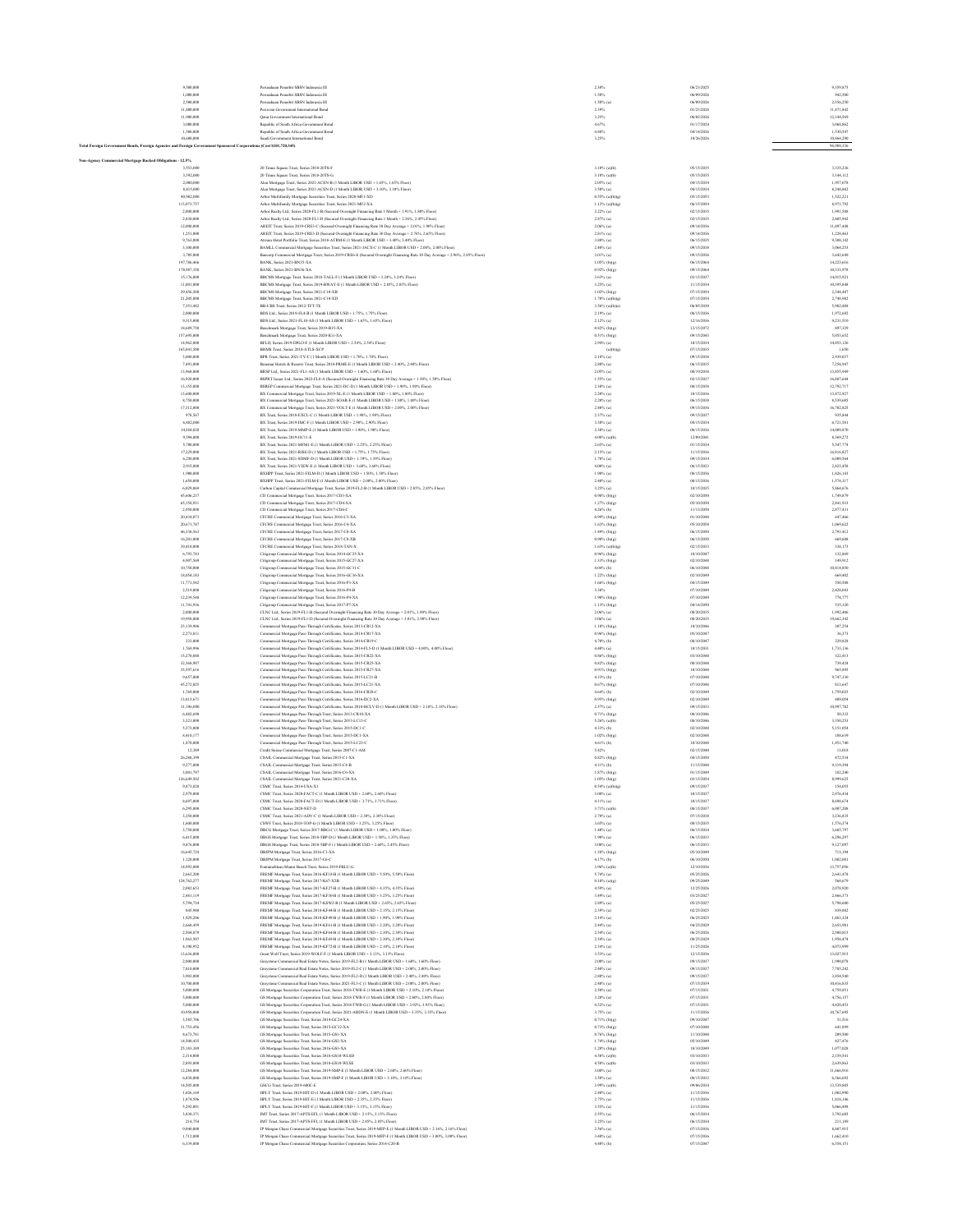| 9,500,000<br>1,000,000                                                                                              | Perusahaan Penerbit SBSN Indonesia III<br>Perusahaan Penerbit SBSN Indonesia III                                                                                                                                                     | 2.30%<br>1.50%                        | 06/23/2025<br>06/09/2026 | 9,359,875<br>942,500     |
|---------------------------------------------------------------------------------------------------------------------|--------------------------------------------------------------------------------------------------------------------------------------------------------------------------------------------------------------------------------------|---------------------------------------|--------------------------|--------------------------|
| 2,500,000                                                                                                           | Perusahaan Penerbit SBSN Indonesia III                                                                                                                                                                                               | 1,50% (a)                             | 06/09/2026               | 2.356,250                |
| 11,800,000                                                                                                          | Peruvian Government International Bond                                                                                                                                                                                               | 2.39%                                 | 01/23/2026               | 11,471,842               |
| 11,900,000                                                                                                          | Outar Government International Bond                                                                                                                                                                                                  | 3.25%                                 | 06/02/2026               | 12,144,569               |
| 3,000,000<br>1,500,000                                                                                              | Republic of South Africa Government Bond<br>Republic of South Africa Government Bond                                                                                                                                                 | 4,67%<br>4.88%                        | 01/17/2024<br>04/14/2026 | 3,068,862<br>1,530,547   |
| 10,600,000                                                                                                          | Sandi Government International Bond                                                                                                                                                                                                  | 3.25%                                 | 10/26/2026               | 10,864,290               |
| Total Foreign Government Bonds, Foreign Agencies and Foreign Government Sponsored Corporations (Cost \$101,720,345) |                                                                                                                                                                                                                                      |                                       |                          | 96,988,336               |
| Non-Agency Commercial Mortgage Backed Obligations - 12.5%                                                           |                                                                                                                                                                                                                                      |                                       |                          |                          |
| 3,553,000                                                                                                           | 20 Times Square Trust, Series 2018-20TS-F                                                                                                                                                                                            | $3.10\%$ (a)(b)                       | 05/15/2035               | 3,335,236                |
| 3,392,000                                                                                                           | 20 Times Square Trust, Series 2018-20TS-G                                                                                                                                                                                            | $3.10\%$ (a)(b)                       | 05/15/2035               | 3,144,112                |
| 2,000,000                                                                                                           | Alen Mortgage Trust, Series 2021-ACEN-B (1 Month LIBOR USD + 1.65%, 1.65% Floor)                                                                                                                                                     | $2.05\%$ (a)                          | 04/15/2034               | 1,957,078                |
| 8,415,000<br>40,902,000                                                                                             | Alen Mortgage Trust, Series 2021-ACEN-D (1 Month LIBOR USD + 3.10%, 3.10% Floor)<br>Arbor Multifamily Mortgage Securities Trust, Series 2020-MF1-XD                                                                                  | $3.50\%$ (a)<br>$0.55\%$ (a)(b)(g)    | 04/15/2034<br>05/15/2053 | 8,248,882<br>1,522,221   |
| 113,073,757                                                                                                         | Arbor Multifamily Mortgage Securities Trust, Series 2021-MF2-XA                                                                                                                                                                      | $1.12\%$ (a)(b)(g)                    | 06/15/2054               | 8,971,792                |
| 2,000,000                                                                                                           | Arbor Realty Ltd., Series 2020-FLI-B (Secured Overnight Financing Rate 1 Month + 1.91%, 1.80% Floor)                                                                                                                                 | $2.22\%$ (a)                          | 02/15/2035               | 1,991,588                |
| 2,830,000<br>12,000,000                                                                                             | Arbor Realty Ltd., Series 2020-FL1-D (Secured Overnight Financing Rate 1 Month + 2.56%, 2.45% Floor)<br>AREIT Trust, Series 2019-CRE3-C (Secured Overnight Financing Rate 30 Day Average + 2.01%, 1.90% Floor)                       | 2.87% (a)<br>$2.06\%$ (a)             | 02/15/2035<br>09/14/2036 | 2.805.942<br>11.897.448  |
| 1,251,000                                                                                                           | AREIT Trust, Series 2019-CRE3-D (Secured Overnight Financing Rate 30 Day Average + 2.76%, 2.65% Floor)                                                                                                                               | $2.81\%$ (a)                          | 09/14/2036               | 1,228,463                |
| 9,763,000                                                                                                           | Atrium Hotel Portfolio Trust, Series 2018-ATRM-E (1 Month LIBOR USD + 3.40%, 3.40% Floor)                                                                                                                                            | 3.80% (a)                             | 06/15/2035               | 9,308,142                |
| 3,100,000<br>3,705,000                                                                                              | BAMLL Commercial Mortgage Securities Trust, Series 2021-JACX-C (1 Month LIBOR USD + 2.00%, 2.00% Floor)                                                                                                                              | 2.40% (a)<br>3.01% (a)                | 09/15/2038<br>09/15/2036 | 3,064,253<br>3,642,649   |
| 197,786,466                                                                                                         | Bancorp Commercial Mortgage Trust, Series 2019-CRE6-E (Secured Overnight Financing Rate 30 Day Average + 2.96%, 2.85% Floor)<br>BANK, Series 2021-BN35-XA                                                                            | $1.05%$ (b)(g)                        | 06/15/2064               | 14,223,616               |
| 178,987,358                                                                                                         | BANK, Series 2021-BN36-XA                                                                                                                                                                                                            | $0.92\%$ (b)(g)                       | 09/15/2064               | 10,333,978               |
| 15,176,000                                                                                                          | BBCMS Mortgage Trust, Series 2018-TALL-F (1 Month LIBOR USD + 3.24%, 3.24% Floor)                                                                                                                                                    | 3.63% (a)                             | 03/15/2037               | 14.015.921               |
| 11,001,000<br>29,456,500                                                                                            | BBCMS Mortgage Trust, Series 2019-BWAY-E (1 Month LIBOR USD + 2.85%, 2.85% Floor)<br>BBCMS Mortgage Trust, Series 2021-C10-XB                                                                                                        | 3.25% (a)<br>$1.02\%$ (b)(g)          | 11/15/2034<br>07/15/2054 | 10,395,848<br>2,344,487  |
| 21,205,000                                                                                                          | BBCMS Mortgage Trust, Series 2021-C10-XD                                                                                                                                                                                             | 1.70% (a)(b)(g)                       | 07/15/2054               | 2,748,982                |
| 7,351,482                                                                                                           | BB-UBS Trust, Series 2012-TFT-TE                                                                                                                                                                                                     | $3.56\%$ (a)(b)(e)                    | 06/05/2030               | 5,982,488                |
| 2,000,000                                                                                                           | BDS Ltd., Series 2019-FL4-B (1 Month LIBOR USD + 1.75%, 1.75% Floor)                                                                                                                                                                 | $2.19%$ (a)                           | 08/15/2036               | 1,972,692                |
| 9,315,000<br>18,689,758                                                                                             | BDS Ltd., Series 2021-FL10-AS (1 Month LIBOR USD + 1.65%, 1.65% Floor)<br>Benchmark Mortgage Trust, Series 2019-B15-XA                                                                                                               | $2.12\%$ (a)<br>$0.82\%$ (b)(g)       | 12/16/2036<br>12/15/2072 | 9,231,510<br>897,329     |
| 157,695,000                                                                                                         | Benchmark Mortgage Trust, Series 2020-IG1-XA                                                                                                                                                                                         | $0.51%$ (b)(g)                        | 09/15/2043               | 5.053.652                |
| 14,962,000                                                                                                          | BFLD, Series 2019-DPLO-F (1 Month LIBOR USD + 2.54%, 2.54% Floor)                                                                                                                                                                    | $2.94\%$ (a)                          | 10/15/2034               | 14.453.126               |
| 165,041,500<br>3,000,000                                                                                            | BHMS Trust, Series 2018-ATLS-XCP<br>BPR Trust, Series 2021-TY-C (1 Month LIBOR USD + 1.70%, 1.70% Floor)                                                                                                                             | (a)(b)(g)<br>$2.10\%$ (a)             | 07/15/2035<br>09/15/2038 | 1,650<br>2,939,037       |
| 7,491,000                                                                                                           | Braemar Hotels & Resorts Trust, Series 2018-PRME-E (1 Month LIBOR USD + 2.40%, 2.40% Floor)                                                                                                                                          | $2.80\%$ (a)                          | 06/15/2035               | 7,258,947                |
| 13,968,000                                                                                                          | BRSP Ltd., Series 2021-FL1-AS (1 Month LIBOR USD + 1.60%, 1.60% Floor)                                                                                                                                                               | $2.05\%$ (a)                          | 08/19/2038               | 13,855,949               |
| 16,920,000                                                                                                          | BSPRT Issuer Ltd., Series 2022-FL8-A (Secured Overnight Financing Rate 30 Day Average + 1.50%, 1.50% Floor)                                                                                                                          | 1.55% (a)                             | 02/15/2037               | 16,887,644               |
| 13,155,000<br>13,600,000                                                                                            | BSREP Commercial Mortgage Trust, Series 2021-DC-D (1 Month LIBOR USD + 1.90%, 1.90% Floor)<br>BX Commercial Mortgage Trust, Series 2019-XL-E (1 Month LIBOR USD + 1.80%, 1.80% Floor)                                                | $2.30\%$ (a)<br>$2.20\%$ (a)          | 08/15/2038<br>10/15/2036 | 12,792,717<br>13,472,927 |
| 8,750,000                                                                                                           | BX Commercial Mortgage Trust, Series 2021-SOAR-E (1 Month LIBOR USD + 1.80%, 1.80% Floor)                                                                                                                                            | 2.20% (a)                             | 06/15/2038               | 8,539,685                |
| 17,312,000                                                                                                          | BX Commercial Mortgage Trust, Series 2021-VOLT-E (1 Month LIBOR USD + 2.00%, 2.00% Floor)                                                                                                                                            | $2.40\%$ (a)                          | 09/15/2036               | 16.702.825               |
| 978,567<br>6,882,000                                                                                                | BX Trust, Series 2018-EXCL-C (1 Month LIBOR USD + 1.98%, 1.98% Floor)<br>BX Trust, Series 2019-IMC-F (1 Month LIBOR USD + 2.90%, 2.90% Floor)                                                                                        | $2.37%$ (a)<br>3.30% (a)              | 09/15/2037<br>04/15/2034 | 935,844<br>6,721,581     |
| 14,384,020                                                                                                          | BX Trust, Series 2019-MMP-E (1 Month LIBOR USD + 1.90%, 1.90% Floor)                                                                                                                                                                 | 2.30% (a)                             | 08/15/2036               | 14,009,870               |
| 9,594,000                                                                                                           | BX Trust, Series 2019-OC11-E                                                                                                                                                                                                         | $4.08\%$ (a)(b)                       | 12/09/204                | 8,369,272                |
| 5,700,000<br>17,229,000                                                                                             | BX Trust, Series 2021-MFM1-E (1 Month LIBOR USD + 2.25%, 2.25% Floor)<br>BX Trust, Series 2021-RISE-D (1 Month LIBOR USD + 1.75%, 1.75% Floor)                                                                                       | $2.65%$ (a)<br>$2.15%$ (a)            | 01/15/2034<br>11/15/2036 | 5,547,774                |
| 6,250,000                                                                                                           | BX Trust. Series 2021-SDMF-D (1 Month LIBOR USD + 1.39%, 1.39% Floor)                                                                                                                                                                | 1.78% (a)                             | 09/15/2034               | 16,816,827<br>6,009,564  |
| 2.915,000                                                                                                           | BX Trust, Series 2021; VIEW; E (1 Month J IROR USD + 3.60% 3.60% Floor).                                                                                                                                                             | 4.00% (a)                             | 06/15/2023               | 2.823,458                |
| 1,900,000                                                                                                           | BXHPP Trust, Series 2021-FILM-D (1 Month LIBOR USD + 1.50%, 1.50% Floor)                                                                                                                                                             | $1.90\%$ (a)                          | 08/15/2036               | 1,826,143                |
| 1,650,000<br>6,029,069                                                                                              | BXHPP Trust, Series 2021-FILM-E (1 Month LIBOR USD + 2.00%, 2.00% Floor)<br>Carbon Capital Commercial Mortgage Trust, Series 2019-FL2-B (1 Month LIBOR USD + 2.85%, 2.85% Floor)                                                     | 2.40% (a)<br>3.25% (a)                | 08/15/2036<br>10/15/2035 | 1,574,317<br>5,864,676   |
| 45,606,237                                                                                                          | CD Commercial Mortgage Trust, Series 2017-CD3-XA                                                                                                                                                                                     | $0.98\%$ (b)(g)                       | 02/10/2050               | 1,749,879                |
| 65,158,931                                                                                                          | CD Commercial Mortgage Trust, Series 2017-CD4-XA                                                                                                                                                                                     | $1.27%$ (b)(g)                        | 05/10/2050               | 2,841,933                |
| 2,950,000                                                                                                           | CD Commercial Mortgage Trust, Series 2017-CD6-C                                                                                                                                                                                      | $4.26\%$ (b)                          | 11/13/2050               | 2,877,431                |
| 20,434,073<br>20,671,747                                                                                            | CFCRE Commercial Mortgage Trust, Series 2016-C3-XA<br>CFCRE Commercial Mortgage Trust, Series 2016-C4-XA                                                                                                                             | $0.99\%$ (b)(g)<br>$1.63\%$ (b)(g)    | 01/10/2048<br>05/10/2058 | 647,466<br>1,069,622     |
| 46,338,563                                                                                                          | CFCRE Commercial Mortgage Trust, Series 2017-C8-XA                                                                                                                                                                                   | $1.49%$ (b)(g)                        | 06/15/2050               | 2,791,412                |
| 16,201,000                                                                                                          | CFCRE Commercial Mortgage Trust, Series 2017-C8-XB                                                                                                                                                                                   | $0.90\%$ (b)(g)                       | 06/15/2050               | 669,608                  |
| 39,410,000<br>6,793,743                                                                                             | CFCRE Cor<br>mercial Mortgage Trust, Series 2018-TAN-X<br>Citigroup Commercial Mortgage Trust, Series 2014-GC25-XA                                                                                                                   | 1.63% (a)(b)(g)<br>$0.96\%$ (b)(g)    | 02/15/2033<br>10/10/2047 | 338,173<br>132,869       |
| 4,907,569                                                                                                           | Citigroup Commercial Mortgage Trust, Series 2015-GC27-XA                                                                                                                                                                             | $1.33\%$ (b)(g)                       | 02/10/2048               | 149,912                  |
| 10,750,000                                                                                                          | Citigroup Commercial Mortgage Trust, Series 2015-GC31-C                                                                                                                                                                              | 4.04% (b)                             | 06/10/2048               | 10,414,850               |
| 18,054,183<br>11,771,542                                                                                            | Citigroup Commercial Mortgage Trust, Series 2016-GC36-XA                                                                                                                                                                             | $1.22\%$ (b)(g)<br>$1.66\%$ (b)(g)    | 02/10/2049<br>04/15/2049 | 669,402<br>550,508       |
| 2.519,000                                                                                                           | Citigroup Commercial Mortgage Trust, Series 2016-P3-XA<br>Citigroup Commercial Mortgage Trust, Series 2016-P4-B                                                                                                                      | 3.38%                                 | 07/10/2049               | 2.428.043                |
| 12,239,548                                                                                                          | Citigroup Commercial Mortgage Trust, Series 2016-P4-XA                                                                                                                                                                               | $1.90\%$ (b)(g)                       | 07/10/2049               | 774,777                  |
| 11,741,936                                                                                                          | Citigroup Commercial Mortgage Trust, Series 2017-P7-XA                                                                                                                                                                               | $1.13%$ (b)(g)                        | 04/14/2050               | 535,320                  |
| 2,000,000<br>19,958,000                                                                                             | CLNC Ltd., Series 2019-FL1-B (Secured Overnight Financing Rate 30 Day Average + 2.01%, 1.90% Floor)<br>CLNC Ltd., Series 2019-FL1-D (Secured Overnight Financing Rate 30 Day Average + 3.01%, 2.90% Floor)                           | $2.06\%$ (a)<br>3.06% (a)             | 08/20/2035<br>08/20/2035 | 1,992,406<br>19,662,342  |
| 23,139,906                                                                                                          | Commercial Mortgage Pass-Through Certificates, Series 2013-CR12-XA                                                                                                                                                                   | $1.10\%$ (b)(g)                       | 10/10/2046               | 307,254                  |
| 2,273,811                                                                                                           | Commercial Mortgage Pass-Through Certificates, Series 2014-CR17-XA                                                                                                                                                                   | $0.96\%$ (b)(g)                       | 05/10/2047               | 36,373                   |
| 233,000<br>1,769,996                                                                                                | Commercial Mortgage Pass-Through Certificates, Series 2014-CR19-C<br>Commercial Mortgage Pass-Through Certificates, Series 2014-FL5-D (1 Month LIBOR USD + 4.00%, 4.00% Floor)                                                       | 4.70% (b)<br>4.40% (a)                | 08/10/2047<br>10/15/2031 | 229,828<br>1.733.136     |
| 15,270,888                                                                                                          | mercial Mortgage Pass-Through Certificates, Series 2015-CR22-XA                                                                                                                                                                      | $0.86\%$ (b)(g)                       | 03/10/2048               | 322,413                  |
| 32,368,987                                                                                                          | ercial Mortgage Pass-Through Certificates, Series 2015-CR25-XA                                                                                                                                                                       | $0.82%$ (b)(g)                        | 08/10/2048               | 739,424                  |
| 35,597,616                                                                                                          | Commercial Mortgage Pass-Through Certificates, Series 2015-CR27-XA                                                                                                                                                                   | $0.91\%$ (b)(g)                       | 10/10/2048               | 965,895                  |
| 9,657,000<br>45,272,025                                                                                             | reveial Mortgage Pass-Through Certificates, Series 2015-LC21-B<br>Commercial Mortgage Pass-Through Certificates, Series 2015-LC21-XA                                                                                                 | 4.33% (b)<br>$0.67%$ (b)(g)           | 07/10/2048<br>07/10/2048 | 9,747,330<br>813,647     |
| 1,769,000                                                                                                           | Commercial Mortgage Pass-Through Certificates, Series 2016-CR28-C                                                                                                                                                                    | 4.64% (b)                             | 02/10/2049               | 1,759,025                |
| 13,815,671                                                                                                          | Commercial Mortgage Pass-Through Certificates, Series 2016-DC2-XA                                                                                                                                                                    | $0.95\%$ (b)(g)                       | 02/10/2049               | 409,054                  |
| 11,396,000<br>6,482,690                                                                                             | Commercial Mortgage Pass-Through Certificates, Series 2018-HCLV-D (1 Month LIBOR USD + 2.18%, 2.18% Floor)<br>creial Mortgage Pass-Through Trust, Series 2013-CR10-XA                                                                | 2.57% (a)                             | 09/15/2033<br>08/10/2046 | 10.997.782<br>50,332     |
| 3,321,000                                                                                                           | Commercial Mortgage Pass-Through Trust, Series 2013-LC13-C                                                                                                                                                                           | $0.71%$ (b)(g)<br>5.26% (a)(b)        | 08/10/2046               | 3,350,253                |
| 5,373,000                                                                                                           | rcial Mortgage Pass-Through Trust, Series 2015-DC1-C                                                                                                                                                                                 | 4.33% (b)                             | 02/10/2048               | 5,151,054                |
| 8,410,177<br>1,470,000                                                                                              | Commercial Mortgage Pass-Through Trust, Series 2015-DC1-XA                                                                                                                                                                           | $1.02\%$ (b)(g)                       | 02/10/2048<br>10/10/2048 | 188,639<br>1,451,740     |
| 12,389                                                                                                              | cial Mortgage Pass-Through Trust, Series 2015-LC23-C<br>Credit Suisse Commercial Mortgage Trust, Series 2007-C1-AM                                                                                                                   | 4.61% (b)<br>5.42%                    | 02/15/2040               | 13,018                   |
| 26,288,399                                                                                                          | CSAIL Commercial Mortgage Trust, Series 2015-C1-XA                                                                                                                                                                                   | $0.82\%$ (b)(g)                       | 04/15/2050               | 472,534                  |
| 9,277,000                                                                                                           | CSAIL Commercial Mortgage Trust, Series 2015-C4-B                                                                                                                                                                                    | 4.31% (b)                             | 11/15/2048               | 9.319.394                |
| 3,001,797                                                                                                           | CSAIL Commercial Mortgage Trust, Series 2016-C6-XA                                                                                                                                                                                   | $1.87%$ (b)(g)                        | 01/15/2049<br>03/15/2054 | 182,240                  |
| 126,649,502<br>9.873.828                                                                                            | CSAIL Commercial Mortgage Trust, Series 2021-C20-XA<br>CSMC Trust, Series 2014-USA-X1                                                                                                                                                | $1.05\%$ (b)(g)<br>$0.54\%$ (a)(b)(g) | 09/15/2037               | 8,999,625<br>154,055     |
| 2,979,000                                                                                                           | CSMC Trust, Series 2020-FACT-C (1 Month LIBOR USD + 2.60%, 2.60% Floor)                                                                                                                                                              | 3.00% (a)                             | 10/15/2037               | 2,976,434                |
| 8,697,000<br>6,295,000                                                                                              | CSMC Trust, Series 2020-FACT-D (1 Month LIBOR USD + 3.71%, 3.71% Floor)                                                                                                                                                              | $4.11\%$ (a)<br>3.71% (a)(b)          | 10/15/2037<br>08/15/2037 | 8,698,674<br>6,007,208   |
| 3,350,000                                                                                                           | CSMC Trust, Series 2020-NET-D<br>CSMC Trust, Series 2021-ADV-C (1 Month LIBOR USD + 2.30%, 2.30% Floor)                                                                                                                              | $2.70\%$ (a)                          | 07/15/2038               | 3,236,835                |
| 1,600,000                                                                                                           | CSWF Trust. Scries 2018-TOP-G (1 Month LIBOR USD + 3.25%, 3.25% Floor)                                                                                                                                                               | 3.65% (a)                             | 08/15/2035               | 1,576,374                |
| 3,750,000<br>6,415,000                                                                                              | DBCG Mortagge Trust, Series 2017-BBG-C (1 Month LIBOR USD + 1.00%, 1.00% Floor)<br>DBGS Mortgage Trust, Series 2018-5BP-D (1 Month LIBOR USD + 1.50%, 1.35% Floor)                                                                   | $1.40\%$ (a)                          | 06/15/2034<br>06/15/2033 | 3,685,797<br>6,296,297   |
| 9,876,000                                                                                                           | DBGS Mortgage Trust, Series 2018-5BP-F (1 Month LIBOR USD + 2.60%, 2.45% Floor)                                                                                                                                                      | $1.90\%$ (a)<br>3.00% (a)             | 06/15/2033               | 9,127,097                |
| 16,645,724                                                                                                          | DBJPM Mortgage Trust, Series 2016-C1-XA                                                                                                                                                                                              | $1.38\%$ (b)(g)                       | 05/10/2049               | 713,194                  |
| 1,120,000                                                                                                           | DBJPM Mortgage Trust, Series 2017-C6-C<br>Fontainebleau Miami Beach Trust, Series 2019-FBLU-G                                                                                                                                        | 4.17% (b)                             | 06/10/2050               | 1,082,001                |
| 14,992,000<br>2,663,200                                                                                             | FREMF Mortgage Trust, Series 2016-KF18-B (1 Month LIBOR USD + 5.50%, 5.50% Floor)                                                                                                                                                    | 3.96% (a)(b)<br>$5.74\%$ (a)          | 12/10/2036<br>05/25/2026 | 13,757,056<br>2,641,478  |
| 124.762.277                                                                                                         | FREMF Mortgage Trust, Series 2017-K67-X2B                                                                                                                                                                                            | $0.10\%$ (a)(g)                       | 09/25/2049               | 568,679                  |
| 2.082.653                                                                                                           | FREMF Mortgage Trust, Series 2017-KF27-B (1 Month LIBOR USD + 4.35%, 4.35% Floor)                                                                                                                                                    | 4.59% (a)                             | 12/25/2026               | 2.078,920                |
| 2,481,119<br>5,794,734                                                                                              | FREMF Mortgage Trust, Series 2017-KF30-B (1 Month LIBOR USD + 3.25%, 3.25% Floor)<br>FREMF Mortgage Trust, Series 2017-KSW2-B (1 Month LIBOR USD + 2.65%, 2.65% Floor)                                                               | $3.49\%$ (a)<br>2.89% (a)             | 03/25/2027<br>05/25/2027 | 2,466,373<br>5,798,600   |
| 845,940                                                                                                             | FREMF Mortgage Trust, Series 2018-KF44-B (1 Month LIBOR USD + 2.15%, 2.15% Floor)                                                                                                                                                    | 2.39% (a)                             | 02/25/2025               | 839,882                  |
| 1,929,206                                                                                                           | FREMF Mortgage Trust, Series 2018-KF49-B (1 Month LIBOR USD + 1.90%, 1.90% Floor)                                                                                                                                                    | $2.14\%$ (a)                          | 06/25/2025               | 1,863,324                |
| 2,668,459                                                                                                           | FREMF Mortgage Trust, Series 2019-KF61-B (1 Month LIBOR USD + 2.20%, 2.20% Floor)                                                                                                                                                    | $2.44\%$ (a)                          | 04/25/2029               | 2,653,981                |
| 2,504,879<br>1,963,507                                                                                              | FREMF Mortgage Trust, Series 2019-KF64-B (1 Month LIBOR USD + 2.30%, 2.30% Floor)<br>FREMF Mortgage Trust, Series 2019-KF69-B (1 Month LIBOR USD + 2.30%, 2.30% Floor)                                                               | $2.54\%$ (a)<br>$2.54\%$ (a)          | 06/25/2026<br>08/25/2029 | 2,500,815<br>1,958,474   |
| 4.190.952                                                                                                           | FREME Mortosae Teat. Series 2019;KE72;B (1 Morth LIBOR USD + 2 10% 2 10% Eloye)                                                                                                                                                      | $2.34\%$ (a)                          | 11/25/2026               | 4.073,999                |
| 13,636,000                                                                                                          | Great Wolf Trust, Series 2019-WOLF-F (1 Month LIBOR USD + 3.13%, 3.13% Floor)                                                                                                                                                        | 3.53% (a)                             | 12/15/2036               | 13.027.915               |
| 2,000,000<br>7,810,000                                                                                              | Greystone Commercial Real Estate Notes, Series 2019-FL2-B (1 Month LIBOR USD + 1.60%, 1.60% Floor)<br>Greystone Commercial Real Estate Notes, Series 2019-FL2-C (1 Month LIBOR USD + 2.00%, 2.00% Floor)                             | $2.00\%$ (a)<br>2.40% (a)             | 09/15/2037<br>09/15/2037 | 1,990,078<br>7,785,242   |
| 3,903,000                                                                                                           | Greystone Commercial Real Estate Notes, Series 2019-FL2-D (1 Month LIBOR USD + 2.40%, 2.40% Floor)                                                                                                                                   | $2.80\%$ (a)                          | 09/15/2037               | 3,854,540                |
| 10,700,000                                                                                                          | Greystone Commercial Real Estate Notes, Series 2021-FL3-C (1 Month LIBOR USD + 2.00%, 2.00% Floor)                                                                                                                                   | $2.40\%$ (a)                          | 07/15/2039               | 10,416,835               |
| 5,000,000                                                                                                           | GS Mortgage Securities Corporation Trust, Series 2018-TWR-E (1 Month LIBOR USD + 2.10%, 2.10% Floor)                                                                                                                                 | $2.50\%$ (a)                          | 07/15/2031               | 4,759,851                |
| 5,000,000<br>5,000,000                                                                                              | GS Mortgage Securities Corporation Trust, Series 2018-TWR-F (1 Month LIBOR USD + 2.80%, 2.80% Floor)<br>GS Mortgage Securities Corporation Trust, Series 2018-TWR-G (1 Month LIBOR USD + 3.92%, 3.93% Floor)                         | $3.20\%$ (a)<br>4.32% (a)             | 07/15/2031<br>07/15/2031 | 4,756,157<br>4.420.453   |
| 10,950,000                                                                                                          | GS Mortgage Securities Corporation Trust, Series 2021-ARDN-E (1 Month LIBOR USD + 3.35%, 3.35% Floor)                                                                                                                                | 3.75% (a)                             | 11/15/2036               | 10.767,695               |
| 3,585,706                                                                                                           | GS Mortgage Securities Trust, Series 2014-GC24-XA                                                                                                                                                                                    | $0.71%$ (b)(g)                        | 09/10/2047               | 51,516                   |
| 31,753,456<br>8,673,781                                                                                             | GS Mortgage Securities Trust, Series 2015-GC32-XA<br>GS Mortgage Securities Trust, Series 2015-GSI-XA                                                                                                                                | $0.73%$ (b)(g)<br>$0.76\%$ (b)(g)     | 07/10/2048<br>11/10/2048 | 641,899<br>209,500       |
| 14,500,435                                                                                                          | GS Mortgage Securities Trust, Series 2016-GS2-XA                                                                                                                                                                                     | $1.74%$ (b)(g)                        | 05/10/2049               | 827,476                  |
| 25,183,389                                                                                                          | GS Mortgage Securities Trust, Series 2016-GS3-XA                                                                                                                                                                                     | $1.20\%$ (b)(g)                       | 10/10/2049               | 1,077,028                |
| 2,314,000                                                                                                           | GS Mortgage Securities Trust, Series 2018-GS10-WLSD                                                                                                                                                                                  | 4.58% (a)(b)                          | 03/10/2033               | 2,159,541                |
| 2,893,000<br>12,284,000                                                                                             | GS Mortgage Securities Trust, Series 2018-GS10-WLSE<br>GS Mortgage Securities Trust, Series 2019-SMP-E (1 Month LIBOR USD + 2.60% 2.60% Floor)                                                                                       | 4.58% (a)(b)<br>3.00% (a)             | 03/10/2033<br>08/15/2032 | 2,639,863<br>11,666,916  |
| 6,838,000                                                                                                           | GS Mortgage Securities Trust, Series 2019-SMP-F (1 Month LIBOR USD + 3.10%, 3.10% Floor)                                                                                                                                             | $3.50\%$ (a)                          | 08/15/2032               | 6,366,692                |
| 14,505,000                                                                                                          | GSCG Trust, Series 2019-600C-E                                                                                                                                                                                                       | 3.99% (a)(b)                          | 09/06/2034               | 13,539,885               |
| 1,026,169<br>1,874,596                                                                                              | HPLY Trust, Series 2019-HIT-D (1 Month LIBOR USD + 2.00%, 2.00% Floor)                                                                                                                                                               | $2.40\%$ (a)<br>2.75% (a)             | 11/15/2036<br>11/15/2036 | 1,002,990<br>1,818,146   |
| 5,292,001                                                                                                           | HPLY Trust, Series 2019-HIT-E (1 Month LIBOR USD + 2.35%, 2.35% Floor)<br>HPLY Trust, Series 2019-HIT-F (1 Month LIBOR USD + 3.15%, 3.15% Floor)                                                                                     | 3.55% (a)                             | 11/15/2036               | 5,066,498                |
| 3,830,371                                                                                                           | IMT Trust, Series 2017-APTS-EFL (1 Month LIBOR USD + 2.15%, 2.15% Floor)                                                                                                                                                             | 2.55% (a)                             | 06/15/2034               | 3,792,685                |
| 214,754                                                                                                             | IMT Trust, Series 2017-APTS-FFL (1 Month LIBOR USD + 2.85%, 2.85% Floor)                                                                                                                                                             | $3.25\%$ (a)                          | 06/15/2034               | 213,189                  |
| 9,040,000<br>1.712.000                                                                                              | JP Morgan Chase Commercial Mortgage Securities Trust, Series 2019-MFP-E (1 Month LIBOR USD + 2.16%, 2.16% Floor)<br>JP Morgan Chase Commercial Mortgage Securities Trust, Series 2019-MFP-F (1 Month LIBOR USD + 3.00%, 3.00% Floor) | 2.56% (a)<br>3.40% (a)                | 07/15/2036<br>07/15/2036 | 8,807,915<br>1,662,410   |
| 6,339,000                                                                                                           | JP Morgan Chase Commercial Mortgage Securities Corporation, Series 2014-C20-B                                                                                                                                                        | 4.40% (b)                             | 07/15/2047               | 6,354,151                |
|                                                                                                                     |                                                                                                                                                                                                                                      |                                       |                          |                          |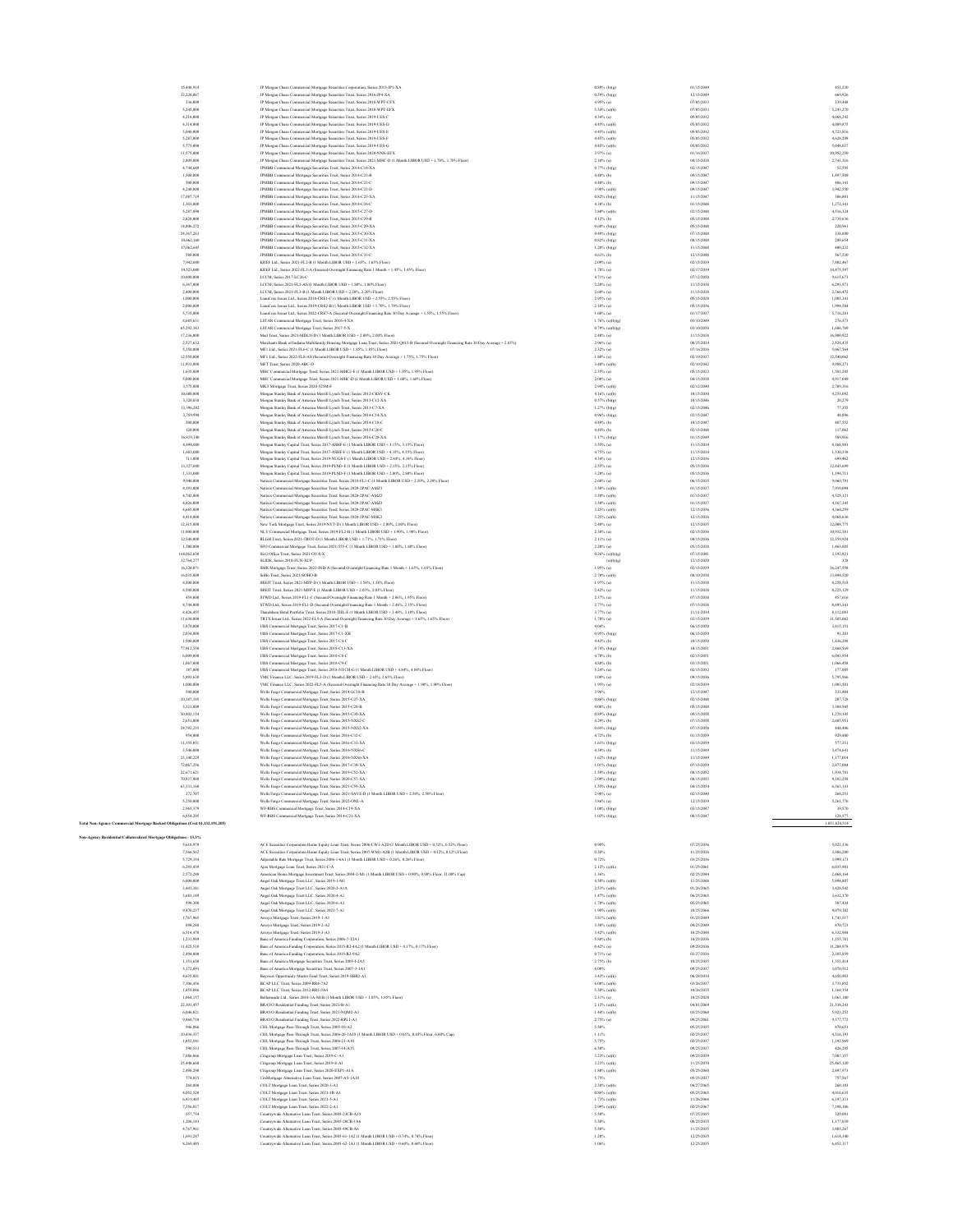| 15,448,914                                                                     | JP Morgan Chase Commercial Mortgage Securities Corporation, Series 2015-JPI-XA                                                                                                                                | $0.89\%$ (b)(g)                    | 01/15/2049               | 451.230                  |
|--------------------------------------------------------------------------------|---------------------------------------------------------------------------------------------------------------------------------------------------------------------------------------------------------------|------------------------------------|--------------------------|--------------------------|
| 32,220,067                                                                     | JP Morgan Chase Commercial Mortgage Securities Trust, Series 2016-JP4-XA                                                                                                                                      | $0.59\%$ (b)(g)                    | 12/15/2049               | 669,926                  |
| 336,000                                                                        | JP Morgan Chase Commercial Mortgage Securities Trust, Series 2018-WPT-CFX                                                                                                                                     | $4.95\%$ (a)                       | 07/05/2033               | 339,448                  |
| 5,245,000                                                                      | JP Morgan Chase Commercial Mortgage Securities Trust, Series 2018-WPT-EFX                                                                                                                                     | $5.54\%$ (a)(b)                    | 07/05/2033               | 5,243,270                |
| 4,216,000                                                                      | JP Morgan Chase Commercial Mortgage Securities Trust, Series 2019-UES-C                                                                                                                                       | $4.34\%$ (a)                       | 05/05/2032               | 4,068,242                |
| 4,314,000<br>5,040,000                                                         | JP Morgan Chase Commercial Mortgage Securities Trust, Series 2019-UES-D<br>JP Morgan Chase Commercial Mortgage Securities Trust, Series 2019-UES-E                                                            | 4.45% (a)(b)<br>4.45% (a)(b)       | 05/05/2032<br>05/05/2032 | 4,089,875<br>4,723,816   |
| 5,287,000                                                                      | JP Morgan Chase Commercial Mortgage Securities Trust, Series 2019-UES-F                                                                                                                                       | 4.45% (a)(b)                       | 05/05/2032               | 4,628,298                |
| 5,775,000                                                                      | JP Morgan Chase Commercial Mortgage Securities Trust, Series 2019-UES-G                                                                                                                                       | 4.45% (a)(b)                       | 05/05/2032               | 5.048.037                |
| 11,575,000                                                                     | JP Morgan Chase Commercial Mortgage Securities Trust, Series 2020-NNN-EFX                                                                                                                                     | 3.97% (a)                          | 01/16/2037               | 10,952,250               |
| 2,809,000                                                                      | JP Morgan Chase Commercial Mortgage Securities Trust, Series 2021-MHC-D (1 Month LIBOR USD + 1.70%, 1.70% Floor)                                                                                              | $2.10\%$ (a)                       | 04/15/2038               | 2,741,316                |
| 4,744,640<br>1,500,000                                                         | JPMBB Commercial Mortgage Securities Trust, Series 2014-C18-XA<br>JPMBB Commercial Mortgage Securities Trust, Series 2014-C23-B                                                                               | $0.77%$ (b)(g)<br>4.48% (b)        | 02/15/2047<br>09/15/2047 | 52,595<br>1,497,509      |
| 500,000                                                                        | JPMBB Commercial Mortgage Securities Trust, Series 2014-C23-C                                                                                                                                                 | 4.48% (b)                          | 09/15/2047               | 486,143                  |
| 4,240,000                                                                      | JPMBB Commercial Mortgage Securities Trust, Series 2014-C23-D                                                                                                                                                 | 3.98% (a)(b)                       | 09/15/2047               | 3,942,550                |
| 17,087,719                                                                     | JPMBB Commercial Mortgage Securities Trust, Series 2014-C25-XA                                                                                                                                                | $0.82%$ (b)(g)                     | 11/15/2047               | 306,801                  |
| 1,303,000                                                                      | JPMBB Commercial Mortgage Securities Trust, Series 2014-C26-C                                                                                                                                                 | 4.38% (b)                          | 01/15/2048               | 1,272,341                |
| 5,287,890                                                                      | JPMBB Commercial Mortgage Securities Trust, Series 2015-C27-D                                                                                                                                                 | 3,80% (a)(b)                       | 02/15/2048<br>05/15/2048 | 4.516.324                |
| 2,828,000<br>14,806,272                                                        | JPMBB Commercial Mortgage Securities Trust, Series 2015-C29-B<br>JPMBB Commercial Mortgage Securities Trust, Series 2015-C29-XA                                                                               | 4.12% (b)<br>$0.60\%$ (b)(g)       | 05/15/2048               | 2,739,636<br>220,961     |
| 24,367,263                                                                     | JPMBB Commercial Mortgage Securities Trust, Series 2015-C30-XA                                                                                                                                                | $0.49\%$ (b)(g)                    | 07/15/2048               | 338,890                  |
| 10,662,160                                                                     | JPMBB Commercial Mortgage Securities Trust, Series 2015-C31-XA                                                                                                                                                | $0.82\%$ (b)(g)                    | 08/15/2048               | 249,654                  |
| 17,062,645                                                                     | JPMBB Commercial Mortgage Securities Trust, Series 2015-C32-XA                                                                                                                                                | $1.20\%$ (b)(g)                    | 11/15/2048               | 400,232                  |
| 580,000                                                                        | JPMBB Commercial Mortgage Securities Trust, Series 2015-C33-C                                                                                                                                                 | 4.61% (b)                          | 12/15/2048               | 567,230                  |
| 7,942,000<br>14,523,000                                                        | KREF Ltd., Series 2021-FL2-B (1 Month LIBOR USD + 1.65%, 1.65% Floor)                                                                                                                                         | 2.09% (a)<br>$1.78\%$ (a)          | 02/15/2039<br>02/17/2039 | 7,882,467<br>14.475.597  |
| 10,000,000                                                                     | KREF Ltd., Series 2022-FL3-A (Secured Overnight Financing Rate 1 Month + 1.45%, 1.45% Floor)<br>LCCM, Series 2017-LC26-C                                                                                      | 4.71% (a)                          | 07/12/2050               | 9,615,673                |
| 6,367,000                                                                      | LCCM, Series 2021-FL3-AS (1 Month LIBOR USD + 1.80% 1.80% Floor)                                                                                                                                              | 2.20% (a)                          | 11/15/2038               | 6,293,971                |
| 2,400,000                                                                      | LCCM, Series 2021-FL3-B (1 Month LIBOR USD + 2.20%, 2.20% Floor)                                                                                                                                              | $2.60\%$ (a)                       | 11/15/2038               | 2,366,472                |
| 1,000,000                                                                      | LoanCore Issuer Ltd., Series 2018-CREI-C (1 Month LIBOR USD + 2.55%, 2.55% Floor)                                                                                                                             | 2.95% (a)                          | 05/15/2028               | 1,003,341                |
| 2,000,000                                                                      | LoanCore Issuer Ltd., Series 2019-CRE2-B (1 Month LIBOR USD + 1.70%, 1.70% Floor)                                                                                                                             | $2.10\%$ (a)                       | 05/15/2036               | 1,994,584                |
| 5,735,000<br>8,685,631                                                         | LoanCore Issuer Ltd., Series 2022-CRE7-A (Secured Overnight Financing Rate 30 Day Average + 1.55%, 1.55% Floor)                                                                                               | $1.60\%$ (a)<br>$1.76\%$ (a)(b)(g) | 01/17/2037<br>03/10/2049 | 5,716,281<br>276,573     |
| 65.292.343                                                                     | LSTAR Commercial Mortgage Trust, Series 2016-4-XA<br>LSTAR Commercial Mortgage Trust, Series 2017-5-X                                                                                                         | $0.79%$ (a)(b)(g)                  | 03/10/2050               | 1,686,769                |
| 17,236,000                                                                     | Med Trust, Series 2021-MDLN-D (1 Month LIBOR USD + 2.00%, 2.00% Floor)                                                                                                                                        | 2.40% (a)                          | 11/15/2038               | 16,900,922               |
| 2,527,632                                                                      | Merchants Bank of Indiana Multifamily Housing Mortgage Loan Trust, Series 2021-Q015-B (Secured Overnight Financing Rate 30 Day Average + 2.85%)                                                               | 2.96% (a)                          | 08/25/2024               | 2,528,435                |
| 5,150,000                                                                      | MF1 Ltd., Series 2021-FL6-C (1 Month LIBOR USD + 1.85%, 1.85% Floor)                                                                                                                                          | 2.32% (a)                          | 07/16/2036               | 5,067,564                |
| 12,550,000                                                                     | MF1 Ltd., Series 2022-FL8-AS (Secured Overnight Financing Rate 30 Day Average + 1.75%, 1.75% Floor)                                                                                                           | $1.80\%$ (a)                       | 02/19/2037               | 12,540,062               |
| 11,933,000<br>1,635,000                                                        | MFT Trust, Series 2020-ABC-D<br>MHC Commercial Mortgage Trust, Series 2021-MHC2-E (1 Month LIBOR USD + 1.95%, 1.95% Floor)                                                                                    | 3.48% (a)(b)<br>2.35% (a)          | 02/10/2042<br>05/15/2023 | 9,988,271<br>1,581,205   |
| 5,000,000                                                                      | MHC Commercial Mortgage Trust, Series 2021-MHC-D (1 Month LIBOR USD + 1.60%, 1.60% Floor)                                                                                                                     | $2.00\%$ (a)                       | 04/15/2038               | 4,917,049                |
| 3,575,000                                                                      | MKT Mortgage Trust, Series 2020-525M-F                                                                                                                                                                        | 2.94% (a)(b)                       | 02/12/2040               | 2.709.316                |
| 10,600,000                                                                     | Morgan Stanley Bank of America Merrill Lynch Trust. Series 2012-CKSV-CK                                                                                                                                       | 4.16% (a)(b)                       | 10/15/2030               | 9.253.092                |
| 3,320,838                                                                      | Morgan Stanley Bank of America Merrill Lynch Trust, Series 2013-C12-XA                                                                                                                                        | $0.57%$ (b)(g)                     | 10/15/2046               | 20,279                   |
| 13,396,282                                                                     | Morgan Stanley Bank of America Merrill Lynch Trust, Series 2013-C7-XA                                                                                                                                         | 1.27% (b)(g)                       | 02/15/2046               | 77,355                   |
| 3,759,998                                                                      | Morgan Stanley Bank of America Merrill Lynch Trust, Series 2014-C14-XA                                                                                                                                        | $0.96\%$ (b)(g)<br>4.49% (b)       | 02/15/2047<br>10/15/2047 | 48,896<br>487,552        |
| 500,000<br>120,000                                                             | Morgan Stanley Bank of America Merrill Lynch Trust, Series 2014-C18-C<br>Morgan Stanley Bank of America Merrill Lynch Trust, Series 2015-C20-C                                                                | 4.45% (b)                          | 02/15/2048               | 117,062                  |
| 16,819,140                                                                     | Morgan Stanley Bank of America Merrill Lynch Trust, Series 2016-C28-XA                                                                                                                                        | $1.17%$ (b)(g)                     | 01/15/2049               | 589,916                  |
| 8,494,000                                                                      | Morgan Stanley Capital Trust, Series 2017-ASHF-E (1 Month LIBOR USD + 3.15%, 3.15% Floor)                                                                                                                     | 3.55% (a)                          | 11/15/2034               | 8,168,901                |
| 1,683,000                                                                      | Morgan Stanley Capital Trust, Series 2017-ASHF-F (1 Month LIBOR USD + 4.35%, 4.35% Floor)                                                                                                                     | 4.75% (a)                          | 11/15/2034               | 1,530,338                |
| 711,000                                                                        | Morgan Stanley Capital Trust, Series 2019-NUGS-F (1 Month LIBOR USD + 2.84%, 4.34% Floor)                                                                                                                     | $4.34\%$ (a)                       | 12/15/2036               | 699,462                  |
| 13,327,000                                                                     | Morgan Stanley Capital Trust, Series 2019-PLND-E (1 Month LIBOR USD + 2.15%, 2.15% Floor)                                                                                                                     | 2.55% (a)                          | 05/15/2036               | 12,445,699               |
| 1,331,000<br>9,940,000                                                         | Morgan Stanley Capital Trust, Series 2019-PLND-F (1 Month LIBOR USD + 2.80%, 2.80% Floor)                                                                                                                     | 3.20% (a)                          | 05/15/2036<br>06/15/2035 | 1,194,711<br>9,060,791   |
| 8,191,000                                                                      | Natixis Commercial Mortgage Securities Trust, Series 2018-FL1-C (1 Month LIBOR USD + 2.20%, 2.20% Floor)<br>Natixis Commercial Mortgare Securities Trust. Series 2020-2PAC-AMZ1                               | 2.60% (a)<br>3.50% (a)(b)          | 01/15/2037               | 7,910,094                |
| 4,742,000                                                                      | Natixis Commercial Mortgage Securities Trust, Series 2020-2PAC-AMZ2                                                                                                                                           | 3.50% (a)(b)                       | 01/15/2037               | 4,525,121                |
| 4,426,000                                                                      | Natixis Commercial Mortgage Securities Trust, Series 2020-2PAC-AMZ3                                                                                                                                           | 3.50% (a)(b)                       | 01/15/2037               | 4.167.345                |
| 4,665,000                                                                      | Natixis Commercial Mortgage Securities Trust, Series 2020-2PAC-MSK1                                                                                                                                           | 3.25% (a)(b)                       | 12/15/2036               | 4.364.259                |
| 4,414,000                                                                      | Natixis Commercial Mortgage Securities Trust, Series 2020-2PAC-MSK2                                                                                                                                           | 3.25% (a)(b)                       | 12/15/2036               | 4,068,636                |
| 12,315,000                                                                     | New York Mortgage Trust, Series 2019-NYT-D (1 Month LIBOR USD + 2.00%, 2.00% Floor)                                                                                                                           | $2.40\%$ (a)                       | 12/15/2035               | 12,008,775               |
| 11,000,000<br>12,540,000                                                       | NLY Commercial Mortgage Trust, Series 2019-FL2-B (1 Month LIBOR USD + 1.90%, 1.90% Floor)<br>RLGH Trust, Series 2021-TROT-D (1 Month LIBOR USD + 1.71%, 1.71% Floor)                                          | 2.30% (a)<br>2.11% (a)             | 02/15/2036<br>04/15/2036 | 10,932,581<br>12,359,924 |
| 1,500,000                                                                      | SFO Commercial Mortgage Trust, Series 2021-555-C (1 Month LIBOR USD + 1.80%, 1.80% Floor)                                                                                                                     | $2.20\%$ (a)                       | 05/15/2038               | 1,463,885                |
| 168,062,650                                                                    | SLG Office Trust, Series 2021-OVA-X                                                                                                                                                                           | $0.26\%$ (a)(b)(g)                 | 07/15/2041               | 3,192,821                |
| 32,764,277                                                                     | SLIDE, Series 2018-FUN-XCP                                                                                                                                                                                    | (a)(b)(g)                          | 12/15/2020               | 328                      |
| 16,320,871                                                                     | SMR Mortgage Trust, Series 2022-IND-A (Secured Overnight Financing Rate 1 Month + 1.65%, 1.65% Floor)                                                                                                         | $1.95\%$ (a)                       | 02/15/2039               | 16.247.558               |
| 16,035,000                                                                     | Sollo Trust, Series 2021-SOHO-B                                                                                                                                                                               | 2.70% (a)(b)                       | 08/10/2038               | 13.894.520               |
| 8,500,000<br>8,500,000                                                         | SREIT Trust, Series 2021-MFP-D (1 Month LIBOR USD + 1.58%, 1.58% Floor)                                                                                                                                       | $1.97\%$ (a)<br>$2.42\%$ (a)       | 11/15/2038<br>11/15/2038 | 8,258,518<br>8,225,129   |
| 459,000                                                                        | SREIT Trust, Series 2021-MFP-E (1 Month LIBOR USD + 2.03%, 2.03% Floor)<br>STWD Ltd., Series 2019-FL1-C (Secured Overnight Financing Rate 1 Month + 2.06%, 1.95% Floor)                                       | 2.37% (a)                          | 07/15/2038               | 457,616                  |
| 8,744,000                                                                      | STWD Ltd., Series 2019-FL1-D (Secured Overnight Financing Rate 1 Month + 2.46%, 2.35% Floor)                                                                                                                  | 2.77% (a)                          | 07/15/2038               | 8,695,541                |
| 8,426,455                                                                      | Thanaldson Hotel Portfolio Trust, Series 2018-THL-E (1 Month LIBOR USD + 3.48%, 3.18% Floor)                                                                                                                  | 3.77% (a)                          | 11/11/2034               | 8,112,083                |
| 11,630,000                                                                     | TRTX Issuer Ltd., Series 2022-FL5-A (Secured Overnight Financing Rate 30 Day Average + 1.65% 1.65% Floor)                                                                                                     | $1.70\%$ (a)                       | 02/15/2039               | 11,585,062               |
| 3,870,000                                                                      | UBS Commercial Mortgage Trust, Series 2017-C1-B                                                                                                                                                               | 4.04%                              | 06/15/2050               | 3.815.151                |
| 2,034,000<br>1,500,000                                                         | UBS Commercial Mortgage Trust, Series 2017-C1-XB                                                                                                                                                              | $0.95\%$ (b)(g)                    | 06/15/2050               | 91.203                   |
| 77,912,550                                                                     | UBS Commercial Mortgage Trust, Series 2017-C4-C<br>UBS Commercial Mortgage Trust, Series 2018-C13-XA                                                                                                          | 4.43% (b)<br>$0.74\%$ (b)(g)       | 10/15/2050<br>10/15/2051 | 1,436,208<br>2,868,569   |
| 6,009,000                                                                      | UBS Commercial Mortgage Trust, Series 2018-C8-C                                                                                                                                                               | 4.70% (b)                          | 02/15/2051               | 6,043,954                |
| 1,067,000                                                                      | UBS Commercial Mortgage Trust, Series 2018-C9-C                                                                                                                                                               | 4.88% (b)                          | 03/15/2051               | 1,066,458                |
| 187,000                                                                        | UBS Commercial Mortgage Trust, Series 2018-NYCH-G (1 Month LIBOR USD + 4.84%, 4.84% Floor)                                                                                                                    | $5.24\%$ (a)                       | 02/15/2032               | 177,005                  |
| 5,893,630                                                                      | VMC Finance LLC, Series 2019-FL3-D (1 Month LIBOR USD + 2.65%, 2.65% Floor)                                                                                                                                   | 3.09% (a)                          | 09/15/2036               | 5,795,966                |
| 1,000,000                                                                      | VMC Finance LLC, Series 2022-FL5-A (Secured Overnight Financing Rate 30 Day Average + 1.90%, 1.90% Floor)                                                                                                     | 1.95% (a)                          | 02/18/2039               | 1,003,501                |
| \$40,000<br>10,187,105                                                         | Wells Fargo Commercial Mortgage Trust, Series 2014-LC18-B                                                                                                                                                     | 3.96%                              | 12/15/2047<br>02/15/2048 | 533,884<br>207,728       |
| 3,321,000                                                                      | Wells Fargo Commercial Mortgage Trust, Series 2015-C27-XA<br>Wells Fargo Commercial Mortgage Trust, Series 2015-C28-B                                                                                         | $0.86\%$ (b)(g)<br>4.08% (b)       | 05/15/2048               | 3,304,945                |
| 50,802,154                                                                     | Wells Fargo Commercial Mortgage Trust, Series 2015-C30-XA                                                                                                                                                     | $0.89\%$ (b)(g)                    | 09/15/2058               | 1,270,145                |
| 2,651,000                                                                      | Wells Fargo Commercial Mortgage Trust, Series 2015-NXS2-C                                                                                                                                                     | 4.29% (b)                          | 07/15/2058               | 2,605,951                |
| 24,792,235                                                                     | Wells Fargo Commercial Mortgage Trust, Series 2015-NXS2-XA                                                                                                                                                    | $0.65\%$ (b)(g)                    | 07/15/2058               | 444,406                  |
| 954,000                                                                        | Wells Fargo Commercial Mortgage Trust, Series 2016-C32-C                                                                                                                                                      | 4.72% (b)                          | 01/15/2059               | 929,480                  |
| 11,155,051<br>3,546,000                                                        | Wells Fargo Commercial Mortgage Trust, Series 2016-C33-XA                                                                                                                                                     | $1.61\%$ (b)(g)<br>4.39% (b)       | 03/15/2059<br>11/15/2049 | 577,351<br>3,474,641     |
| 23.140.229                                                                     | Wells Fargo Commercial Mortgage Trust, Series 2016-NXS6-C<br>Wells Fargo Commercial Mortgage Trust, Series 2016-NXS6-XA                                                                                       | $1.62\%$ (b)(g)                    | 11/15/2049               | 1.177,014                |
| 72.067.256                                                                     | Wells Fargo Commercial Mortgage Trust, Series 2017-C38-XA                                                                                                                                                     | 1.01% (b)(g)                       | 07/15/2050               | 2,877,004                |
| 22,671,621                                                                     | Wells Fargo Commercial Mortgage Trust, Series 2019-C52-XA                                                                                                                                                     | 1.59% (b)(g)                       | 08/15/2052               | 1,934,701                |
| 70,837,908                                                                     | Wells Fargo Commercial Mortgage Trust, Series 2020-C57-XA                                                                                                                                                     | $2.09\%$ (b)(g)                    | 08/15/2053               | 9,182,258                |
| 63,331,160                                                                     | Wells Fargo Commercial Mortgage Trust, Series 2021-C59-XA                                                                                                                                                     | 1.55% (b)(g)                       | 04/15/2054               | 6,363,141                |
| 272,707                                                                        | Wells Fargo Commercial Mortgage Trust, Series 2021-SAVE-D (1 Month LIBOR USD + 2.50%, 2.50% Floor)                                                                                                            | $2.90\%$ (a)                       | 02/15/2040               | 268,253                  |
| 5,250,000<br>2.965.379                                                         | Wells Fargo Commercial Mortgage Trust, Series 2022-ONL-A                                                                                                                                                      | $3.86\%$ (a)<br>$1.00\%$ (b)(g)    | 12/15/2039<br>03/15/2047 | 5,261,776<br>39,570      |
| 6,854,205                                                                      | WF-RBS Commercial Mortgage Trust, Series 2014-C19-XA<br>WF-RBS Commercial Mortgage Trust, Series 2014-C21-XA                                                                                                  | $1.02\%$ (b)(g)                    | 08/15/2047               | 128,577                  |
| Fotal Non-Agency Commercial Mortgage Backed Obligations (Cost \$1,132,191,205) |                                                                                                                                                                                                               |                                    |                          | 1,051,824,514            |
|                                                                                |                                                                                                                                                                                                               |                                    |                          |                          |
| Von-Agency Residential Collateralized Mortgage Obligations - 13.3%             |                                                                                                                                                                                                               |                                    |                          |                          |
| 5,618,970                                                                      | ACE Securities Corporation Home Equity Loan Trust, Series 2006-CW1-A2D (1 Month LIBOR USD + 0.52%, 0.52% Floor)                                                                                               | 0.98%                              | 07/25/2036               | 5,021,336                |
| 7,566,562<br>5,729,354                                                         | ACE Securities Corporation Home Equity Loan Trust, Series 2007-WMI-A2B (1 Month LIBOR USD + 0.12%, 0.12% Floor)<br>Adjustable Rate Mortgage Trust, Series 2006-1-6A1 (1 Month LIBOR USD + 0.26%, 0.26% Floor) | 0.58%<br>0.72%                     | 11/25/2036<br>03/25/2036 | 3,886,280<br>3,999,173   |
| 6,293,439                                                                      | Ajax Mortgage Loan Trust, Series 2021-C-A                                                                                                                                                                     | 2.12% (a)(k)                       | 01/25/2061               | 6,035,901                |
| 2.572.288                                                                      | American Home Mortgage Investment Trust, Series 2004-2-MI (1 Month LIBOR USD + 0.90%, 0.90% Floor, 11.00% Cap)                                                                                                | 1.36%                              | 02/25/2044               | 2,468,164                |
| 6,000,000                                                                      | Angel Oak Mortgage Trust LLC, Series 2019-1-M1                                                                                                                                                                | $4.50\%$ (a)(b)                    | 11/25/2048               | 5,894,807                |
| 3,441,381                                                                      | Angel Oak Mortgage Trust LLC, Series 2020-2-AIA                                                                                                                                                               | 2.53% (a)(b)                       | 01/26/2065               | 3,428,542                |
| 3,683,189                                                                      | Angel Oak Mortgage Trust LLC, Series 2020-4-A1                                                                                                                                                                | $1.47%$ (a)(b)                     | 06/25/2065               | 3,632,370                |
| 598,300                                                                        | Angel Oak Mortgage Trust LLC, Series 2020-6-A3                                                                                                                                                                | $1.78\%$ (a)(b)                    | 05/25/2065               | 587,434                  |
| 9,470,237<br>1,767,965                                                         | Angel Oak Mortgage Trust LLC, Series 2021-7-A1<br>Arroyo Mortgage Trust, Series 2019-1-A1                                                                                                                     | $1.98\%$ (a)(b)<br>3.81% (a)(b)    | 10/25/2066<br>01/25/2049 | 9,079,102<br>1,743,517   |
| 898,288                                                                        | Arrovo Mortgage Trust, Series 2019-2-A2                                                                                                                                                                       | 3.50% (a)(b)                       | 04/25/2049               | 870,723                  |
| 6,514,470                                                                      | Arroyo Mortgage Trust, Series 2019-3-A3                                                                                                                                                                       | 3.42% (a)(b)                       | 10/25/2048               | 6,332,904                |
| 1,231,989                                                                      | Banc of America Funding Corporation, Series 2006-7-T2A1                                                                                                                                                       | 5.88% (b)                          | 10/25/2036               | 1.155.781                |
| 11,425,510                                                                     | Banc of America Funding Corporation, Series 2015-R2-4A2 (1 Month LIBOR USD + 0.17%, 0.17% Floor)                                                                                                              | $0.42\%$ (a)                       | 09/29/2036               | 11,204,978               |
| 2,494,800<br>1,351,650                                                         | Banc of America Funding Corporation, Series 2015-R2-9A2<br>Banc of America Mortgage Securities Trust, Series 2005-1-2A5                                                                                       | $0.71\%$ (a)<br>$2.75%$ (b)        | 03/27/2036<br>10/25/2035 | 2,385,859<br>1,353,414   |
| 3,172,693                                                                      | Banc of America Mortgage Securities Trust, Series 2007-3-1A1                                                                                                                                                  | 6.00%                              | 09/25/2037               | 3,070,312                |
| 4,635,801                                                                      | Bayview Opportunity Master Fund Trust, Series 2019-SBR2-A1                                                                                                                                                    | $3.43%$ (a)(k)                     | 06/28/2034               | 4,650,903                |
| 7,106,456                                                                      | BCAP LLC Trust, Series 2009-RR4-7A2                                                                                                                                                                           | $6.00\%$ (a)(b)                    | 03/26/2037               | 3,733,852                |
| 1,455,086                                                                      | BCAP LLC Trust, Series 2012-RR1-3A4                                                                                                                                                                           | 5.50% (a)(b)                       | 10/26/2035               | 1.164.154                |
| 1.064.157                                                                      | Bellemeade Ltd., Series 2018-3A-MIB (1 Month LIBOR USD + 1.85%, 1.85% Floor)                                                                                                                                  | $2.31\%$ (a)                       | 10/25/2028               | 1,061,180                |
| 22,301,457<br>6,046,821                                                        | BRAVO Residential Funding Trust, Series 2021-B-A1                                                                                                                                                             | $2.12\%$ (a)(k)                    | 04/01/2069<br>03/25/2060 | 21,538,243<br>5,923,252  |
| 9,860,710                                                                      | BRAVO Residential Funding Trust, Series 2021-NQM2-A3<br>BRAVO Residential Funding Trust, Series 2022-RPL1-A1                                                                                                  | $1.44\%$ (a)(b)<br>2.75% (a)       | 09/25/2061               | 9,577,772                |
| 946,066                                                                        | CHL Mortgage Pass-Through Trust, Series 2005-10-A2                                                                                                                                                            | \$.50%                             | 05/25/2035               | 870,651                  |
| 10,436,337                                                                     | CHL Mortgage Pass-Through Trust, Series 2006-20-1A18 (1 Month LIBOR USD + 0.65%, 0.65% Floor, 6.00% Cap)                                                                                                      | 1.11%                              | 02/25/2037               | 4,516,193                |
| 1,852,541                                                                      | CHL Mortgage Pass-Through Trust, Series 2006-21-A10                                                                                                                                                           | 5.75%                              | 02/25/2037               | 1,192,969                |
| 590,533                                                                        | CHL Mortgage Pass-Through Trust, Series 2007-14-A15                                                                                                                                                           | 6.50%                              | 09/25/2037               | 426,295                  |
| 7,086,866                                                                      | Citigroup Mortgage Loan Trust, Series 2019-C-A1                                                                                                                                                               | 3.23% (a)(k)                       | 09/25/2059               | 7.087.157                |
| 25,448,660<br>2,498,290                                                        | Citigroup Mortgage Loan Trust, Series 2019-E-A1<br>Citigroup Mortgage Loan Trust, Series 2020-EXPI-AIA                                                                                                        | 3.23% (a)(k)<br>$1.80\%$ (a)(b)    | 11/25/2070<br>05/25/2060 | 25,465,120<br>2,497,973  |
| 774,015                                                                        | CitiMortgage Alternative Loan Trust, Series 2007-A5-1A10                                                                                                                                                      | 5.75%                              | 05/25/2037               | 757,567                  |
| 260,808                                                                        | COLT Mortgage Loan Trust, Series 2020-3-A3                                                                                                                                                                    | $2.38\%$ (a)(b)                    | 04/27/2065               | 260,103                  |
| 4,052,520                                                                      |                                                                                                                                                                                                               | $0.86\%$ (a)(b)                    | 05/25/2065               | 4,016,635                |
| 6,431,485                                                                      | COLT Mortgage Loan Trust, Series 2021-1R-A1                                                                                                                                                                   |                                    |                          | 6,197,331                |
| 7,356,017                                                                      | COLT Mortgage Loan Trust, Series 2021-5-A1                                                                                                                                                                    | $1.73%$ (a)(b)                     | 11/26/2066               |                          |
|                                                                                | COLT Mortgage Loan Trust, Series 2022-2-A1                                                                                                                                                                    | $2.99\%$ (a)(k)                    | 02/25/2067               | 7,198,186                |
| 357,754                                                                        | Countrywide Alternative Loan Trust, Series 2005-23CB-A15                                                                                                                                                      | 5.50%                              | 07/25/2035               | 329,091                  |
| 1,206,143                                                                      | Countrywide Alternative Loan Trust, Series 2005-28CB-1A6                                                                                                                                                      | 5.50%                              | 08/25/2035               | 1.177,039                |
| 4,767,961<br>1,691,287                                                         | Countrywide Alternative Loan Trust, Series 2005-49CB-A6                                                                                                                                                       | \$.50%<br>1.20%                    | 11/25/2035<br>12/25/2035 | 3,805,267<br>1,614,340   |
| 8,269,445                                                                      | Countrywide Alternative Loan Trust, Series 2005-61-1A2 (1 Month LIBOR USD + 0.74%, 0.74% Floor)<br>Countrywide Alternative Loan Trust, Series 2005-62-1A1 (1 Month LIBOR USD + 0.60%, 0.60% Floor)            | 1.06%                              | 12/25/2035               | 6,452,117                |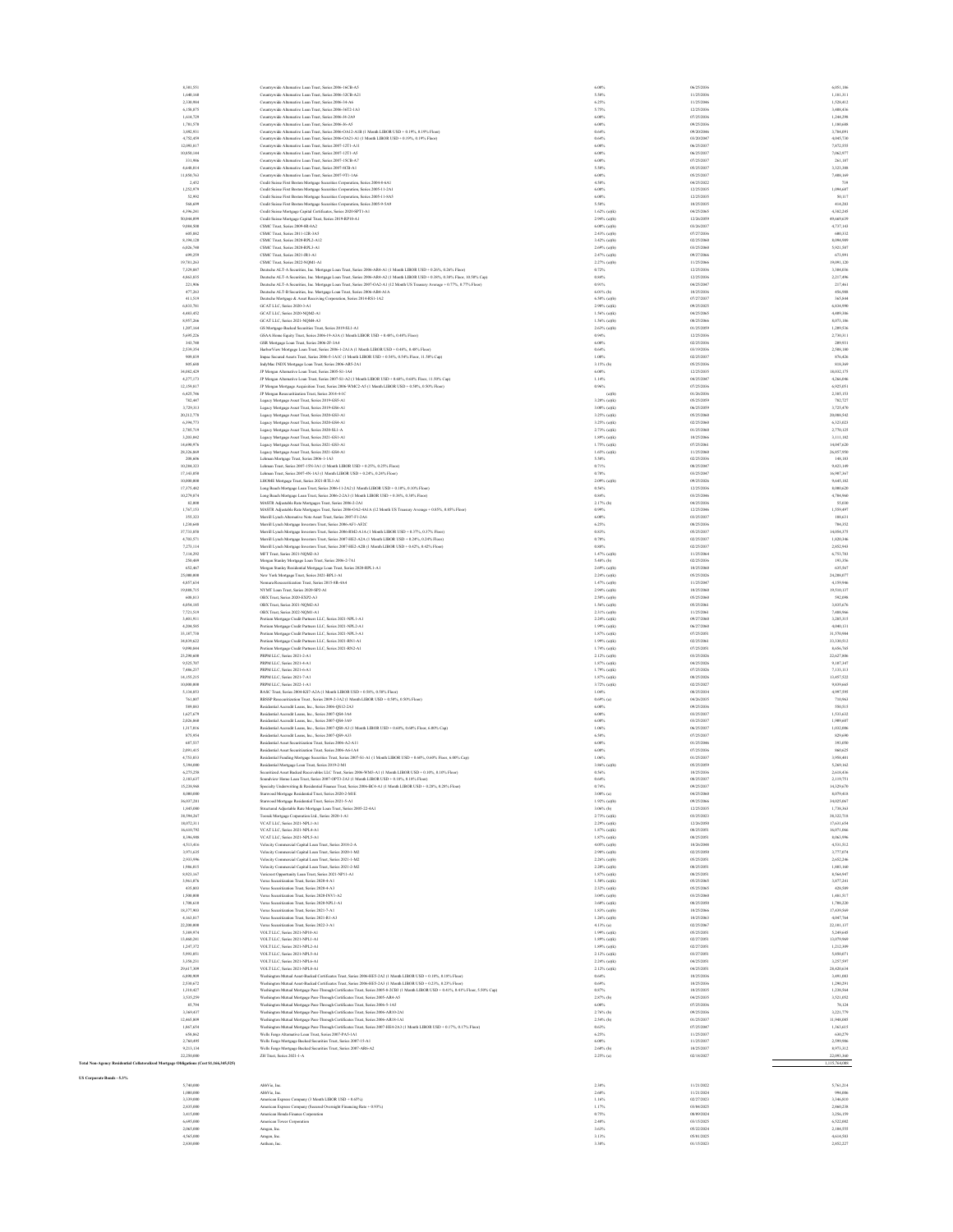| 8,301,551                                                                               | Countrywide Alternative Loan Trust, Series 2006-16CB-A5                                                                                                                                                                                                     | 6.00%                              | 06/25/2036               | 6,051,186               |
|-----------------------------------------------------------------------------------------|-------------------------------------------------------------------------------------------------------------------------------------------------------------------------------------------------------------------------------------------------------------|------------------------------------|--------------------------|-------------------------|
| 1,640,160<br>2,330,984                                                                  | Countrywide Alternative Loan Trust, Series 2006-32CB-A21<br>Countrywide Alternative Loan Trust, Series 2006-34-A6                                                                                                                                           | 5.50%<br>6.25%                     | 11/25/2036<br>11/25/2046 | 1,181,311<br>1,528,412  |
| 6,158,875                                                                               | Countrywide Alternative Loan Trust, Series 2006-36T2-1A3                                                                                                                                                                                                    | 5.75%                              | 12/25/2036               | 3,408,436               |
| 1.614.729<br>1,701,570                                                                  | Countrywide Alternative Loan Trust, Series 2006-J4-2A9<br>Countrywide Alternative Loan Trust, Series 2006-J6-A5                                                                                                                                             | 6,00%<br>6.00%                     | 07/25/2036<br>09/25/2036 | 1.244.298<br>1,180,688  |
| 3,892,931                                                                               | Countrywide Alternative Loan Trust, Series 2006-OA12-A1B (1 Month LIBOR USD + 0.19%, 0.19% Floor)                                                                                                                                                           | 0.64%                              | 09/20/2046               | 3,784,091               |
| 4,752,459<br>12,093,817                                                                 | Countrywide Alternative Loan Trust, Series 2006-OA21-A1 (1 Month LIBOR USD + 0.19%, 0.19% Floor)<br>Countrywide Alternative Loan Trust, Series 2007-12T1-A11                                                                                                | 0.64%<br>6.00%                     | 03/20/2047<br>06/25/2037 | 4,045,730<br>7,872,555  |
| 10,850,144                                                                              | Countrywide Alternative Loan Trust, Series 2007-12T1-A5                                                                                                                                                                                                     | 6.00%                              | 06/25/2037               | 7,062,977               |
| 331,986<br>4,648,014                                                                    | Countrywide Alternative Loan Trust, Series 2007-15CB-A7<br>Countrywide Alternative Loan Trust, Series 2007-8CB-A1                                                                                                                                           | 6.00%<br>5.50%                     | 07/25/2037<br>05/25/2037 | 261,187<br>3,323,388    |
| 11,850,763                                                                              | Countrywide Alternative Loan Trust, Series 2007-9T1-1A6                                                                                                                                                                                                     | 6.00%                              | 05/25/2037               | 7,408,169               |
| 2.452<br>1,252,979                                                                      | Credit Suisse First Boston Mortgage Securities Corporation, Series 2004-8-6A1<br>Credit Suisse First Boston Mortgage Securities Corporation, Series 2005-11-2A1                                                                                             | 4.50%<br>6.00%                     | 04/25/2022<br>12/25/2035 | 739<br>1,094,687        |
| 52,992                                                                                  | Credit Suisse First Boston Mortgage Securities Corporation, Series 2005-11-8A5                                                                                                                                                                              | 6,00%                              | 12/25/2035               | 50.117                  |
| 568,699<br>4,396,241                                                                    | Credit Suisse First Boston Mortgage Securities Corporation, Series 2005-9-5A9<br>Credit Suisse Mortgage Capital Certificates, Series 2020-SPT1-A1                                                                                                           | 5.50%<br>$1.62\%$ (a)(k)           | 10/25/2035<br>04/25/2065 | 414,283<br>4,382,24     |
| 50,044,099                                                                              | Credit Suisse Mortgage Capital Trust, Series 2019-RP10-A1                                                                                                                                                                                                   | $2.94\%$ (a)(b)                    | 12/26/2059               | 49,669,63               |
| 9,084,500<br>605,882                                                                    | CSMC Trust, Series 2009-8R-8A2<br>CSMC Trust, Series 2011-12R-3A5                                                                                                                                                                                           | $6.00\%$ (a)(b)<br>2.43% (a)(b)    | 03/26/2037<br>07/27/2036 | 4,737,143<br>600.332    |
| 8,194,120                                                                               | CSMC Trust, Series 2020-RPL2-A12                                                                                                                                                                                                                            | 3.42% (a)(b)                       | 02/25/2060               | 8.094.989               |
| 6,026,740<br>699,259                                                                    | CSMC Trust Series 2020-RPI 3-A1                                                                                                                                                                                                                             | $2.69\%$ (a)(b)                    | 03/25/2060<br>09/27/2066 | \$,921,587              |
| 19,781,263                                                                              | CSMC Trust, Series 2021-JR1-A1<br>CSMC Trust, Series 2022-NQMI-A1                                                                                                                                                                                           | $2.47%$ (a)(b)<br>2.27% (a)(b)     | 11/25/2066               | 673,991<br>19,091,120   |
| 7,329,887                                                                               | Deutsche ALT-A Securities, Inc. Mortgage Loan Trust, Series 2006-AR4-A1 (1 Month LIBOR USD + 0.26%, 0.26% Floor)                                                                                                                                            | 0.72%                              | 12/25/2036               | 3,304,036               |
| 4,863,835<br>221,906                                                                    | Deutsche ALT-A Securities, Inc. Mortgage Loan Trust, Series 2006-AR4-A2 (1 Month LIBOR USD + 0.38%, 0.38% Floor, 10.50% Cap)<br>Deutsche ALT-A Securities, Inc. Mortgage Loan Trust, Series 2007-OA2-A1 (12 Month US Treasury Average + 0.77%, 0.77% Flore) | $0.84\%$<br>0.91%                  | 12/25/2036<br>04/25/2047 | 2,217,496<br>217,461    |
| 477.263                                                                                 | Deutsche ALT-B Securities, Inc. Mortgage Loan Trust, Series 2006-AB4-A1A                                                                                                                                                                                    | 6.01% (b)                          | 10/25/2036               | 456,988                 |
| 411.519<br>6,833,781                                                                    | Deutsche Mortgage & Asset Receiving Corporation, Series 2014-RS1-1A2<br>GCAT LLC, Series 2020-3-A1                                                                                                                                                          | 6.50% (a)(b)<br>$2.98\%$ (a)(k)    | 07/27/2037<br>09/25/2025 | 365,844<br>6,834,99     |
| 4,483,452                                                                               | GCAT LLC, Series 2020-NQM2-A1                                                                                                                                                                                                                               | $1.56\%$ (a)(k)                    | 04/25/2065               | 4,409,386               |
| 8,957,266<br>1,207,164                                                                  | GCAT LLC, Series 2021-NQM4-A3<br>GS Mortgage-Backed Securities Trust, Series 2019-SL1-A1                                                                                                                                                                    | $1.56\%$ (a)(b)<br>$2.63\%$ (a)(b) | 08/25/2066<br>01/25/2059 | 8,073,186<br>1,209,536  |
| 5,695,226                                                                               | GSAA Home Equity Trust, Series 2006-19-A3A (1 Month LIBOR USD + 0.48%, 0.48% Floor)                                                                                                                                                                         | 0.94%                              | 12/25/2036               | 2,730,311               |
| 343,740<br>2.539.354                                                                    | GSR Mortgage Loan Trust, Series 2006-2F-3A4<br>HarborView Mortgage Loan Trust, Series 2006-1-2A1A (1 Month LIBOR USD + 0.48%, 0.48% Floor)                                                                                                                  | 6.00%<br>$0.64\%$                  | 02/25/2036<br>03/19/2036 | 209,931<br>2,508,180    |
| 909,839                                                                                 | Impac Secured Assets Trust, Series 2006-5-1A1C (1 Month LIBOR USD + 0.54%, 0.54% Floor, 11.50% Cap)                                                                                                                                                         | 1.00%                              | 02/25/2037               | 876.426                 |
| 805,688<br>34,082,429                                                                   | IndyMac INDX Mortgage Loan Trust, Series 2006-AR5-2A1<br>JP Morgan Alternative Loan Trust, Series 2005-S1-1A4                                                                                                                                               | 3.15% (b)<br>6.00%                 | 05/25/2036<br>12/25/2035 | 818,369<br>18,032,175   |
| 4.277.173                                                                               | JP Morgan Alternative Loan Trust, Series 2007-S1-A2 (1 Month LIBOR USD + 0.68%, 0.68% Floor, 11.50% Cap)                                                                                                                                                    | 1.14%                              | 04/25/2047               | 4.266.046               |
| 12,159,817<br>6,425,746                                                                 | JP Morgan Mortgage Acquisition Trust, Series 2006-WMC2-A5 (1 Month LIBOR USD + 0.50%, 0.50% Floor)<br>JP Morgan Resecuritization Trust, Series 2014-4-1C                                                                                                    | $0.96\%$<br>(a)(b)                 | 07/25/2036<br>01/26/2036 | 6,925,051<br>2,385,153  |
| 782,447                                                                                 | Legacy Mortgage Asset Trust, Series 2019-GS5-A1                                                                                                                                                                                                             | $3.20\%$ (a)(k)                    | 05/25/2059               | 782,727                 |
| 3,729,313                                                                               | Legacy Mortgage Asset Trust, Series 2019-GS6-A1                                                                                                                                                                                                             | 3.00% (a)(k)                       | 06/25/2059               | 3,725,476<br>20.088.542 |
| 20.212.778<br>6,394,773                                                                 | Legacy Mortgage Asset Trust, Series 2020-GS3-A1<br>Legacy Mortgage Asset Trust, Series 2020-GS4-A1                                                                                                                                                          | 3.25% (a)(k)<br>$3.25\%$ (a)(k)    | 05/25/2060<br>02/25/2060 | 6,323.023               |
| 2,785,719                                                                               | Legacy Mortgage Asset Trust, Series 2020-SL1-A                                                                                                                                                                                                              | 2.73% (a)(k)                       | 01/25/2060               | 2,770,125               |
| 3,203,042<br>14,690,976                                                                 | Legacy Mortgage Asset Trust, Series 2021-GS1-A1<br>Legacy Mortgage Asset Trust, Series 2021-GS3-A1                                                                                                                                                          | $1.89\%$ (a)(k)<br>$1.75\%$ (a)(k) | 10/25/2066<br>07/25/2061 | 3,111,182<br>14,047,620 |
| 28,326,869                                                                              | Legacy Mortgage Asset Trust, Series 2021-GS4-A1                                                                                                                                                                                                             | $1.65\%$ (a)(k)                    | 11/25/2060               | 26,857,950              |
| 208,606<br>10,284,323                                                                   | Lehman Mortgage Trust, Series 2006-1-1A3<br>Lehman Trust, Series 2007-15N-3A1 (1 Month LIBOR USD + 0.25%, 0.25% Floor)                                                                                                                                      | 5.50%<br>0.71%                     | 02/25/2036<br>08/25/2047 | 148,183<br>9,423,148    |
| 17,143,050                                                                              | Lehman Trust, Series 2007-4N-1A3 (1 Month LIBOR USD + 0.24%, 0.24% Floor)                                                                                                                                                                                   | 0.70%                              | 03/25/2047               | 16,907,367              |
| 10,000,000<br>17,375,482                                                                | LHOME Mortgage Trust, Series 2021-RTL1-A1<br>Long Beach Mortgage Loan Trust, Series 2006-11-2A2 (1 Month LIBOR USD + 0.10%, 0.10% Floor)                                                                                                                    | 2.09% (a)(b)<br>0.56%              | 09/25/2026<br>12/25/2036 | 9,645,182<br>8,000,62   |
| 10,279,874                                                                              | Long Beach Mortgage Loan Trust, Series 2006-2-2A3 (1 Month LIBOR USD + 0.38%, 0.38% Floor)                                                                                                                                                                  | 0.84%                              | 03/25/2046               | 4,704,960               |
| 82,000<br>1,767,153                                                                     | MASTR Adjustable Rate Mortgages Trust, Series 2006-2-2A1<br>MASTR Adjustable Rate Mortgages Trust, Series 2006-OA2-4A1A (12 Month US Treasury Average + 0.85%, 0.85% Floor)                                                                                 | 2.17% (b)<br>0.99%                 | 04/25/2036<br>12/25/2046 | \$5,030<br>1,559,497    |
| 355,323                                                                                 | Merrill Lynch Alternative Note Asset Trust. Series 2007-F1-2A6                                                                                                                                                                                              | 6.00%                              | 03/25/2037               | 188,631                 |
| 1,230,648<br>37,733,858                                                                 | Merrill Lynch Mortgage Investors Trust, Series 2006-AF1-AF2C<br>Merrill Lyuch Mortgage Investors Trust, Series 2006-RM2-A1A (1 Month LIBOR USD + 0.37%, 0.37% Floor)                                                                                        | 6.25%<br>0.83%                     | 08/25/2036<br>05/25/2037 | 704,352<br>14.054.375   |
| 4.703.571                                                                               | Merrill Lynch Mortgage Investors Trust, Series 2007-HE2-A2A (1 Month LIBOR USD + 0.24%, 0.24% Floor)                                                                                                                                                        | 0.70%                              | 02/25/2037               | 1.820.346               |
| 7,273,114<br>7,114,292                                                                  | Memill Lynch Mortgage Investors Trust, Series 2007-HE2-A2B (1 Month LIBOR USD + 0.42%, 0.42% Floor)<br>MFT Trust, Series 2021-NQM2-A3                                                                                                                       | $0.88\%$<br>$1.47%$ (a)(b)         | 02/25/2037<br>11/25/2064 | 2852.943<br>6,753,783   |
| 250,489                                                                                 | Morgan Stanley Mortgage Loan Trust, Series 2006-2-7A1                                                                                                                                                                                                       | 5.48% (b)                          | 02/25/2036               | 193,356                 |
| 652,467<br>25,000,000                                                                   | Morgan Stanley Residential Mortgage Loan Trust, Series 2020-RPL1-A1                                                                                                                                                                                         | $2.69\%$ (a)(b)<br>$2.24\%$ (a)(k) | 10/25/2060<br>05/25/2026 | 635,567<br>24,208,07    |
| 4,857,634                                                                               | New York Mortgage Trust, Series 2021-BPL1-A1<br>Nomura Resecuritization Trust, Series 2015-8R-4A4                                                                                                                                                           | $1.47%$ (a)(b)                     | 11/25/2047               | 4,159,946               |
| 19,888,715                                                                              | NYMT Loan Trust, Series 2020-SP2-A1                                                                                                                                                                                                                         | $2.94\%$ (a)(b)                    | 10/25/2060               | 19,510,137              |
| 608,813<br>4.054.185                                                                    | OBX Trust, Series 2020-EXP2-A3<br>OBX Trust, Series 2021-NQM2-A3                                                                                                                                                                                            | 2.50% (a)(b)<br>1.56% (a)(b)       | 05/25/2060<br>05/25/2061 | 592,098<br>3,835,676    |
| 7,721,519                                                                               | OBX Trust, Series 2022-NQM1-A1                                                                                                                                                                                                                              | $2.31\%$ (a)(b)                    | 11/25/2061               | 7,488,966               |
| 3,401,911<br>4,204,585                                                                  | Pretium Mortgage Credit Partners LLC, Series 2021-NPL1-A1<br>Pretium Mortgage Credit Partners LLC, Series 2021-NPL2-A1                                                                                                                                      | $2.24\%$ (a)(k)<br>$1.99\%$ (a)(k) | 09/27/2060<br>06/27/2060 | 3,285,315<br>4,040,131  |
| 33,187,738                                                                              | Pretium Mortgage Credit Partners LLC, Series 2021-NPL3-A1                                                                                                                                                                                                   | $1.87\%$ (a)(k)                    | 07/25/2051               | 31,570,984              |
| 34,839,622<br>9,090,844                                                                 | Pretium Mortgage Credit Partners LLC, Series 2021-RN1-A1<br>Pretium Mortgage Credit Partners LLC, Series 2021-RN2-A1                                                                                                                                        | $1.99\%$ (a)(k)<br>$1.74\%$ (a)(k) | 02/25/2061<br>07/25/2051 | 33,330,512<br>8,656,765 |
| 23,290,600                                                                              | PRPM LLC, Series 2021-2-A1                                                                                                                                                                                                                                  | 2.12% (a)(b)                       | 03/25/2026               | 22.627.806              |
| 9,525,707<br>7,486,237                                                                  | PRPM LLC, Series 2021-4-A1<br>PRPM LLC, Series 2021-6-A1                                                                                                                                                                                                    | 1.87% (a)(k)<br>$1.79\%$ (a)(k)    | 04/25/2026<br>07/25/2026 | 9.107.347<br>7,133,113  |
| 14,155,215                                                                              | PRPM LLC, Series 2021-7-A1                                                                                                                                                                                                                                  | $1.87%$ (a)(k)                     | 08/25/2026               | 13,457,522              |
| 10,000,000<br>5,134,853                                                                 | PRPM LLC, Series 2022-1-A1<br>RASC Trust, Series 2004-KS7-A2A (1 Month LIBOR USD + 0.58%, 0.58% Floor)                                                                                                                                                      | 3.72% (a)(k)<br>1.04%              | 02/25/2027<br>08/25/2034 | 9,839,665<br>4,997,595  |
| 761,807                                                                                 | RBSSP Resecuritization Trust , Series 2009-2-3A2 (1 Month LIBOR USD + 0.50%, 0.50% Floor)                                                                                                                                                                   | $0.69\%$ (a)                       | 04/26/2035               | 710,963                 |
| 589,883<br>1,627,679                                                                    | Residential Accredit Loans, Inc., Series 2006-QS12-2A3<br>Residential Accredit Loans, Inc., Series 2007-OS4-3A4                                                                                                                                             | 6.00%<br>6.00%                     | 09/25/2036<br>03/25/2037 | \$50.515<br>1,533,632   |
| 2.026.860                                                                               | Residential Accredit Loans, Inc., Series 2007-OS4-3A9                                                                                                                                                                                                       | 6.00%                              | 03/25/2037               | 1,909.607               |
| 1,317,016<br>875,954                                                                    | Residential Accredit Loans, Inc., Series 2007-QS8-A3 (1 Month LIBOR USD + 0.60%, 0.60% Floor, 6.00% Cap)                                                                                                                                                    | 1.06%<br>6.50%                     | 06/25/2037<br>07/25/2037 | 1,032,006               |
| 687,537                                                                                 | Residential Accredit Loans, Inc., Series 2007-QS9-A33<br>Residential Asset Securitization Trust, Series 2006-A2-A11                                                                                                                                         | 6.00%                              | 01/25/2046               | 829,690<br>393,050      |
| 2,091,415                                                                               | Residential Asset Securitization Trust, Series 2006-A6-1A4                                                                                                                                                                                                  | 6.00%                              | 07/25/2036               | 860,62                  |
| 4,753,033<br>5,394,000                                                                  | Residential Funding Mortgage Securities Trust, Series 2007-S1-A1 (1 Month LIBOR USD + 0.60%, 0.60% Floor, 6.00% Cap)<br>Residential Mortgage Loan Trust, Series 2019-2-M1                                                                                   | 1.06%<br>3.86% (a)(b)              | 01/25/2037<br>05/25/2059 | 3,958,40<br>5,269,162   |
| 6,275,258<br>183.637                                                                    | Securitized Asset Backed Receivables LLC Trust. Series 2006-WM3-A1 (1 Month LIBOR USD + 0.10%, 0.10% Floor)<br>Close Trust Series 2007-OPT3-2A3 (1 Month LIF                                                                                                | 0.56%<br>0.64%                     | 10/25/2036<br>25/2033    | 2,618,436<br>211975     |
| 15,238,968                                                                              | Specialty Underwriting & Residential Finance Trust, Series 2006-BC4-A1 (1 Month LIBOR USD + 0.28%, 0.28% Floor)                                                                                                                                             | 0.74%                              | 09/25/2037               | 14.329.670              |
| 8,000,000                                                                               | Starwood Mortgage Residential Trust, Series 2020-2-MIE                                                                                                                                                                                                      | 3.00% (a)                          | 04/25/2060               | 8,079,418               |
| 36,037,281<br>1,845,080                                                                 | Starwood Mortgage Residential Trust, Series 2021-5-A1<br>Structured Adjustable Rate Mortgage Loan Trust, Series 2005-22-4A1                                                                                                                                 | $1.92\%$ (a)(b)<br>3.06% (b)       | 09/25/2066<br>12/25/2035 | 34,025,067<br>1,738,363 |
| 38,594,267                                                                              | Toorak Mortgage Corporation Ltd., Series 2020-1-A1                                                                                                                                                                                                          | 2.73% (a)(k)                       | 03/25/2023               | 38,322,718              |
| 18,072,311<br>16,610,792                                                                | VCAT LLC, Series 2021-NPL1-A1<br>VCAT LLC, Series 2021-NPL4-A1                                                                                                                                                                                              | 2.29% (a)(k)<br>$1.87%$ (a)(k)     | 12/26/2050<br>08/25/2051 | 17,631,65<br>16,071,066 |
| 8,396,908                                                                               | VCAT LLC, Series 2021-NPL5-A1                                                                                                                                                                                                                               | 1.87% (a)(k)                       | 08/25/2051               | 8.063.996               |
| 4.513.416<br>3,971,635                                                                  | Velocity Commercial Capital Loan Trust, Series 2018-2-A<br>Velocity Commercial Capital Loan Trust, Series 2020-1-M2                                                                                                                                         | 4.05% (a)(b)<br>$2.98\%$ (a)(b)    | 10/26/2048<br>02/25/2050 | 4.531.512<br>3,777,074  |
| 2,933,996                                                                               | Velocity Commercial Capital Loan Trust, Series 2021-1-M2                                                                                                                                                                                                    | $2.26\%$ (a)(b)                    | 05/25/2051               | 2,652,246               |
| 1,986,015<br>8,923,167                                                                  | Velocity Commercial Capital Loan Trust, Series 2021-2-M2<br>Vericrest Opportunity Loan Trust, Series 2021-NP11-A1                                                                                                                                           | $2.20\%$ (a)(b)<br>$1.87%$ (a)(k)  | 08/25/2051<br>08/25/2051 | 1,803,160<br>8,564,947  |
| 3,961,076                                                                               | Verus Securitization Trust, Series 2020-4-A1                                                                                                                                                                                                                | $1.50\%$ (a)(k)                    | 05/25/2065               | 3,877,24                |
| 435,803<br>1,500,000                                                                    | Verus Securitization Trust, Series 2020-4-A3<br>Verus Securitization Trust. Series 2020-INV1-A2                                                                                                                                                             | $2.32\%$ (a)(k)<br>3.04% (a)(b)    | 05/25/2065<br>03/25/2060 | 428,589<br>1,481,517    |
| 1,708,610                                                                               | Verus Securitization Trust Series 2020-NPLLA1                                                                                                                                                                                                               | $3.60\%$ (a)(k)                    | 08/25/2050               | 1,708,220               |
| 18,377,903<br>4,163,817                                                                 | Verus Securitization Trust. Series 2021-7-A1<br>Verus Securitization Trust, Series 2021-R1-A3                                                                                                                                                               | $1.83\%$ (a)(b)<br>$1.26\%$ (a)(b) | 10/25/2066<br>10/25/2063 | 17,439,566<br>4,047,764 |
| 22,200,000                                                                              | Verus Securitization Trust, Series 2022-3-A1                                                                                                                                                                                                                | 4.13% (a)                          | 02/25/2067               | 22,101,137              |
| 5,389,974<br>13,460,241                                                                 | VOLT LLC. Series 2021-NP10-A1<br>VOLT LLC, Series 2021-NPL1-A1                                                                                                                                                                                              | $1.99\%$ (a)(k)<br>$1.89\%$ (a)(k) | 05/25/2051<br>02/27/2051 | 5,249,645<br>13,079,969 |
| 1,247,372                                                                               | VOLT LLC, Series 2021-NPL2-A1                                                                                                                                                                                                                               | $1.89\%$ (a)(k)                    | 02/27/2051               | 1,212,309               |
| 5,993,051<br>3,358,231                                                                  | VOLT LLC. Series 2021-NPLS-A1<br>VOLT LLC. Series 2021-NPL6-A1                                                                                                                                                                                              | $2.12\%$ (a)(k)<br>2.24% (a)(k)    | 03/27/2051<br>04/25/2051 | 5,850,07<br>3.257.597   |
| 29.617.309                                                                              | VOLT LLC. Series 2021-NPL8-A1                                                                                                                                                                                                                               | $2.12\%$ (a)(k)                    | 04/25/2051               | 28.420.634              |
| 6,890,909                                                                               | Washington Matual Asset-Backed Certificates Trust, Series 2006-HES-2A2 (1 Month LIBOR USD + 0.18%, 0.18% Floor)                                                                                                                                             | 0.64%                              | 10/25/2036               | 3,491,083               |
| 2,530,672<br>1,310,427                                                                  | Washington Mutual Asset-Backed Certificates Trust, Series 2006-HES-2A3 (1 Month LIBOR USD + 0.23%, 0.23% Floor)<br>Washington Mutual Mortgage Pass-Through Certificates Trust, Series 2005-8-2CB3 (1 Month LIBOR USD + 0.41%, 0.41% Floor, 5.50% Cap)       | 0.69%<br>0.87%                     | 10/25/2036<br>10/25/2035 | 1,290,29<br>1,238,564   |
| 3,535,259                                                                               | Washington Mutual Mortgage Pass-Through Certificates Trust, Series 2005-AR4-A5                                                                                                                                                                              | 2.87% (b)                          | 04/25/2035               | 3,521,052               |
| 85,794<br>3,369,437                                                                     | Washington Mutual Mortgage Pass-Through Certificates Trust, Series 2006-5-1A5<br>Washington Mutual Mortgage Pass-Through Certificates Trust, Series 2006-AR10-2A1                                                                                           | 6.00%<br>2.76% (b)                 | 07/25/2036<br>09/25/2036 | 78,124<br>3,221,779     |
| 12,465,809                                                                              | Washington Mutual Mortgage Pass-Through Certificates Trust, Series 2006-AR18-1A1                                                                                                                                                                            | 2.54% (b)                          | 01/25/2037               | 11,948,085              |
| 1,867,654<br>658,862                                                                    | Washington Mutual Mortgage Pass-Through Certificates Trust, Series 2007-HE4-2A3 (1 Month LIBOR USD + 0.17%, 0.17% Floor)<br>Wells Fargo Alternative Loan Trust, Series 2007-PA5-1A1                                                                         | 0.63%<br>6.25%                     | 07/25/2047<br>11/25/2037 | 1.363,615<br>630,279    |
| 2,760,495                                                                               | Wells Fargo Mortgage Backed Securities Trust, Series 2007-15-A1                                                                                                                                                                                             | 6.00%                              | 11/25/2037               | 2,599,986               |
| 9,213,134<br>22,250,000                                                                 | Wells Fargo Mortgage Backed Securities Trust, Series 2007-AR6-A2<br>ZH Trust, Series 2021-1-A                                                                                                                                                               | 2.60% (b)<br>2.25% (a)             | 10/25/2037<br>02/18/2027 | 8,973,312<br>22,093,360 |
| Total Non-Agency Residential Collateralized Mortgage Obligations (Cost \$1,166,345,525) |                                                                                                                                                                                                                                                             |                                    |                          | 1,115,764,000           |
|                                                                                         |                                                                                                                                                                                                                                                             |                                    |                          |                         |

| 5,740,000 |
|-----------|
| 1.000.000 |
| 3 339 000 |
| 2,835,000 |
| 3.415.000 |
| 6,695,000 |
| 2.065.000 |
| 4.565.000 |
| 3.635.000 |

**US Corporate Bonds - 5.3%**

 $1.500,000$  AMWhiching<br>  $1.000,000$  Announce Experiment Company (CM and LIDOR USD + 6.05%)<br>  $1.000,000$  Announce Experiment Company (CM and LIDOR USD + 6.05%)<br>  $1.000,000$  Announce Experiment Company (Shown LIDOR USD + 6.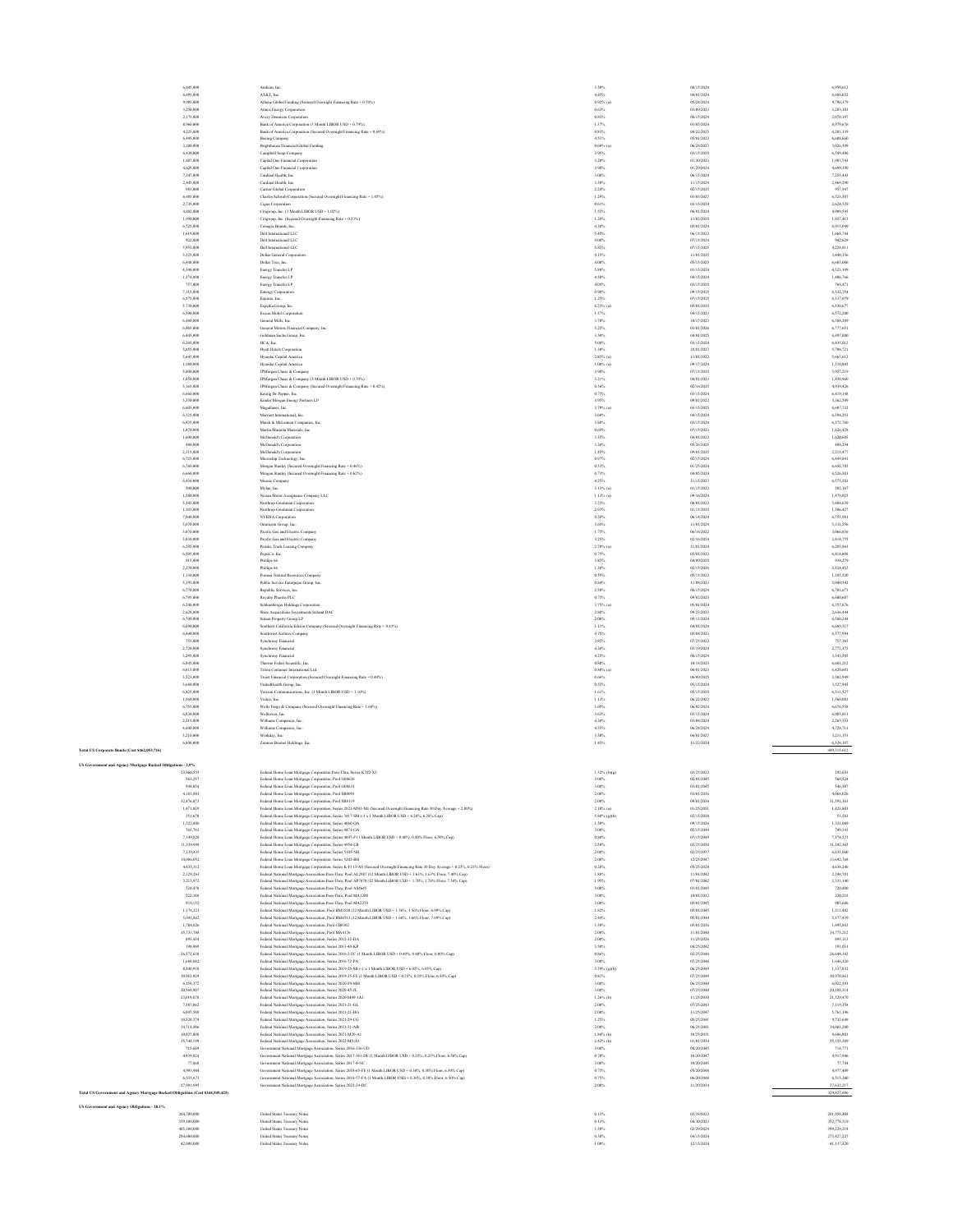|                                                                                 | 6,845,000                  | Anthem, Inc.                                                                                                                                                                                                               | 3.50%                        | 08/15/2024               | 6,950,612                  |
|---------------------------------------------------------------------------------|----------------------------|----------------------------------------------------------------------------------------------------------------------------------------------------------------------------------------------------------------------------|------------------------------|--------------------------|----------------------------|
|                                                                                 | 6,495,000<br>9,905,000     | AT&T, Inc.<br>Athene Global Funding (Secured Overnight Financing Rate + 0.70%)                                                                                                                                             | 4.45%<br>$0.92\%$ (a)        | 04/01/2024<br>05/24/2024 | 6,688,632<br>9,790,379     |
|                                                                                 | 3,250,000                  | Atmos Energy Corporation                                                                                                                                                                                                   | 0.63%                        | 03/09/2023               | 3.203.303                  |
|                                                                                 | 2.175.000                  | Avery Dennison Corporation                                                                                                                                                                                                 | 0.85%                        | 08/15/2024               | 2.070.197                  |
|                                                                                 | 8,960,000<br>4.225.000     | Bank of America Corporation (3 Month LIBOR USD + 0.79%)<br>Bank of America Corporation (Secured Overnight Financing Rate + 0.69%)                                                                                          | 1.37%<br>0.83%               | 03/05/2024<br>04/22/2025 | 8,979,676<br>4,203,139     |
|                                                                                 | 6,495,000                  | Boeing Company                                                                                                                                                                                                             | 4.51%                        | 05/01/2023               | 6,608,660                  |
|                                                                                 | 3,100,000<br>6,430,000     | <b>Brighthouse Financial Global Funding</b><br>Campbell Soup Company                                                                                                                                                       | $0.60\%$ (a)<br>3.95%        | 06/28/2023<br>03/15/2025 | 3,026,509<br>6,549,486     |
|                                                                                 | 1,887,000                  | Capital One Financial Corporation                                                                                                                                                                                          | 3.20%                        | 01/30/2023               | 1,903,743                  |
|                                                                                 | 4,625,000<br>7.247.000     | Capital One Financial Corporation<br>Cardinal Health, Inc.                                                                                                                                                                 | 3.90%<br>3.08%               | 01/29/2024<br>06/15/2024 | 4,699,390<br>7.255.443     |
|                                                                                 | 2,445,000                  | Cardinal Health, Inc.                                                                                                                                                                                                      | 3.50%                        | 11/15/2024               | 2,469,290                  |
|                                                                                 | 983,000                    | Carrier Global Corporation                                                                                                                                                                                                 | 2.24%                        | 02/15/2025               | 957,947                    |
|                                                                                 | 6,485,000                  | Charles Schwab Corporation (Secured Overnight Financing Rate + 1.05%)                                                                                                                                                      | 1.29%                        | 03/03/2027               | 6,523,507                  |
|                                                                                 | 2,735,000<br>4,882,000     | Cigna Corporation<br>Citigroup, Inc. (3 Month LIBOR USD + 1.02%)                                                                                                                                                           | 0.61%<br>1.55%               | 03/15/2024<br>06/01/2024 | 2,624,729<br>4,909,595     |
|                                                                                 | 1,950,000                  | Citigroup, Inc. (Secured Overnight Financing Rate + 0.53%)                                                                                                                                                                 | 1.28%                        | 11/03/2025               | 1,857,415                  |
|                                                                                 | 6,725,000<br>1,619,000     | Conagra Brands, Inc.<br>Dell International LLC                                                                                                                                                                             | 4.30%<br>5.45%               | 05/01/2024<br>06/15/2023 | 6,915,049<br>1,668,744     |
|                                                                                 | 922,000                    | Dell International LLC                                                                                                                                                                                                     | 4.00%                        | 07/15/2024               | 942.629                    |
|                                                                                 | 3,955,000                  | Dell International LLC                                                                                                                                                                                                     | 5.85%                        | 07/15/2025               | 4,224,811                  |
|                                                                                 | 3,325,000<br>6,448,000     | Dollar General Corporation<br>Dollar Tree, Inc.                                                                                                                                                                            | 4.15%<br>4.00%               | 11/01/2025<br>05/15/2025 | 3,440,156<br>6,603,086     |
|                                                                                 | 4,340,000                  | Energy Transfer LP                                                                                                                                                                                                         | 5.88%                        | 01/15/2024               | 4,523,109                  |
|                                                                                 | 1,374,000                  | Energy Transfer LP                                                                                                                                                                                                         | 4.50%                        | 04/15/2024               | 1,406,766                  |
|                                                                                 | 757,000<br>7.115.000       | Energy Transfer LP                                                                                                                                                                                                         | 4.05%<br>0.90%               | 03/15/2025<br>09/15/2025 | 768,471<br>6,532,754       |
|                                                                                 | 6,575,000                  | <b>Entergy Corporation</b><br>Equinix, Inc.                                                                                                                                                                                | 1.25%                        | 07/15/2025               | 6.137.079                  |
|                                                                                 | 5,730,000                  | Expedia Group, Inc.                                                                                                                                                                                                        | $6.25\%$ (a)                 | 05/01/2025               | 6,130,677                  |
|                                                                                 | 6,590,000<br>6,480,000     | Exxon Mobil Corporatio<br>General Mills, Inc.                                                                                                                                                                              | 1.57%<br>3.70%               | 04/15/2023<br>10/17/2023 | 6,572,280<br>6,588,209     |
|                                                                                 | 6,465,000                  | General Motors Financial Company, Inc.                                                                                                                                                                                     | 5.25%                        | 03/01/2026               | 6,777,651                  |
|                                                                                 | 6,445,000                  | Goldman Sachs Group, Inc.                                                                                                                                                                                                  | 3.50%                        | 04/01/2025               | 6,497,000                  |
|                                                                                 | 6,205,000<br>5,855,000     | HCA, Inc.<br>Hyatt Hotels Corporation                                                                                                                                                                                      | 5.00%<br>1.30%               | 03/15/2024<br>10/01/2023 | 6,435,012<br>5.708.721     |
|                                                                                 | 5,645,000                  | Hyundai Capital America                                                                                                                                                                                                    | 2.85% (a)                    | 11/01/2022               | 5,663,612                  |
|                                                                                 | 1.180,000                  | Hyundai Capital America                                                                                                                                                                                                    | $1.00\%$ (a)<br>3,90%        | 09/17/2024<br>07/15/2025 | 1,110,845                  |
|                                                                                 | 5,800,000<br>1,850,000     | JPMorgan Chase & Company<br>JPMorgan Chase & Company (3 Month LIBOR USD + 0.70%)                                                                                                                                           | 3.21%                        | 04/01/2023               | 5,957,219<br>1,850,960     |
|                                                                                 | 5,165,000                  | JPMorgan Chase & Company (Secured Overnight Financing Rate + 0.42%)                                                                                                                                                        | 0.56%                        | 02/16/2025               | 4,939,426                  |
|                                                                                 | 6,660,000<br>3,350,000     | Keurig De Pepper, Inc.<br>Kinder Morgan Energy Partners LP                                                                                                                                                                 | 0.75%<br>3.95%               | 03/15/2024<br>09/01/2022 | 6,419,148<br>3,362,589     |
|                                                                                 | 6,605,000                  | Magallanes, Inc.                                                                                                                                                                                                           | 3.79% (a)                    | 03/15/2025               | 6,607,732                  |
|                                                                                 | 6,325,000                  | Marriott International, Inc.                                                                                                                                                                                               | 3.60%                        | 04/15/2024               | 6,394,253                  |
|                                                                                 | 6,435,000<br>1,870,000     | Marsh & McLennan Companies, Inc.<br>Martin Marietta Materials, Inc.                                                                                                                                                        | 3.88%<br>0.65%               | 03/15/2024<br>07/15/2023 | 6,572,760<br>1,826,428     |
|                                                                                 | 1,600,000                  | McDonald's Corporation                                                                                                                                                                                                     | 3.35%                        | 04/01/2023               | 1,620,605                  |
|                                                                                 | 480,000                    | McDonald's Corporation                                                                                                                                                                                                     | 3.38%                        | 05/26/2025               | 488,294                    |
|                                                                                 | 2,315,000<br>6,725,000     | McDonald's Corporation<br>Microchip Technology, Inc.                                                                                                                                                                       | 1.45%<br>0.97%               | 09/01/2025<br>02/15/2024 | 2,215,47<br>6,449,841      |
|                                                                                 | 6,760,000                  | Morgan Stanley (Secured Overnight Financing Rate + 0.46%)                                                                                                                                                                  | 0.53%                        | 01/25/2024               | 6,652,705                  |
|                                                                                 | 6,660,000                  | Morgan Stanley (Secured Overnight Financing Rate + 0.62%)                                                                                                                                                                  | 0.73%                        | 04/05/2024               | 6.526.301                  |
|                                                                                 | 6,436,000<br>\$00,000      | Mosaic Company<br>Mylan, Inc.                                                                                                                                                                                              | 4.25%<br>3.13% (a)           | 11/15/2023<br>01/15/2023 | 6,575,503<br>502,167       |
|                                                                                 | 1,580,000                  | Nissan Motor Acceptance Company LLC                                                                                                                                                                                        | 1.13% (a)                    | 09/16/2024               | 1,479,025                  |
|                                                                                 | 5,345,000                  | Northrop Grumman Corporatio                                                                                                                                                                                                | 3.25%                        | 08/01/2023               | 5,404,639                  |
|                                                                                 | 1,103,000<br>7,040,000     | Northrop Grumman Corporation<br>NVIDIA Corporation                                                                                                                                                                         | 2.93%<br>0.58%               | 01/15/2025<br>06/14/2024 | 1,106,427<br>6,755,981     |
|                                                                                 | 5,070,000                  | Omnicom Group, Inc.                                                                                                                                                                                                        | 3.65%                        | 11/01/2024               | 5,131,556                  |
|                                                                                 | 3,070,000<br>3,830,000     | Pacific Gas and Electric Commany                                                                                                                                                                                           | 1.75%<br>3.25%               | 06/16/2022<br>02/16/2024 | 3,066,836<br>3.814.755     |
|                                                                                 | 6,295,000                  | Pacific Gas and Electric Company<br>Penske Truck Leasing Company                                                                                                                                                           | 2.70% (a)                    | 11/01/2024               | 6,205,863                  |
|                                                                                 | 6,505,000                  | PepsiCo, Inc.                                                                                                                                                                                                              | 0.75%                        | 05/01/2023               | 6,414,808                  |
|                                                                                 | 915,000<br>2,270,000       | Phillips 66                                                                                                                                                                                                                | 3.85%<br>1.30%               | 04/09/2025<br>02/15/2026 | 934,279<br>2,124,452       |
|                                                                                 | 1,130,000                  | Phillips 66<br>Pioneer Natural Resources Company                                                                                                                                                                           | 0.55%                        | 05/15/2023               | 1,105,520                  |
|                                                                                 | 5,195,000                  | Public Service Enterprise Group, Inc.                                                                                                                                                                                      | 0.84%                        | 11/08/2023               | 5,040,542                  |
|                                                                                 | 6,770,000<br>6,795,000     | Republic Services, Inc.<br>Royalty Pharma PLC                                                                                                                                                                              | 2.50%<br>0.75%               | 08/15/2024<br>09/02/2023 | 6,703,673<br>6,600,607     |
|                                                                                 | 6,240,000                  | Schlumberger Holdings Corporation                                                                                                                                                                                          | 3.75% (a)                    | 05/01/2024               | 6,357,676                  |
|                                                                                 | 2,628,000                  | Shire Acquisitions Investments Ireland DAC                                                                                                                                                                                 | 2.88%                        | 09/23/2023               | 2,636,444                  |
|                                                                                 | 6,700,000<br>6,690,000     | Simon Property Group LP<br>Southern California Edison Company (Secured Overnight Financing Rate + 0.83%)                                                                                                                   | 2.00%<br>1.11%               | 09/13/2024<br>04/01/2024 | 6,580,244<br>6,689,317     |
|                                                                                 | 6,440,000                  | Southwest Airlines Company                                                                                                                                                                                                 | 4.75%                        | 05/04/2023               | 6,577,994                  |
|                                                                                 | 755,000<br>2,720,000       | Synchrony Financial<br>Synchrony Financial                                                                                                                                                                                 | 2.85%                        | 07/25/2022               | 757,165<br>2,772,375       |
|                                                                                 | 3,295,000                  | Synchrony Financial                                                                                                                                                                                                        | 4.38%<br>4.25%               | 03/19/2024<br>08/15/2024 | 3.343.505                  |
|                                                                                 | 6,845,000                  | Thermo Fisher Scientific, Inc.                                                                                                                                                                                             | $0.80\%$                     | 10/18/2023               | 6,681,212                  |
|                                                                                 | 6,615,000<br>3,523,000     | Triton Container International Ltd.                                                                                                                                                                                        | $0.80\%$ (a)<br>0.66%        | 08/01/2023<br>06/09/2025 | 6,420,601<br>3,502,949     |
|                                                                                 | 3,680,000                  | Truist Financial Corporation (Secured Overnight Financing Rate + 0.40%)<br>UnitedHealth Group, Inc.                                                                                                                        | 0.55%                        | 05/15/2024               | 3,527,945                  |
|                                                                                 | 6,425,000                  | sications, Inc. (3 Month LIBOR USD + 1.10%)<br>Verizon Com                                                                                                                                                                 | 1.61%                        | 05/15/2025               | 6,511,527                  |
|                                                                                 | 1,560,000<br>6,755,000     | Viatris, Inc.<br>Wells Fargo & Company (Secured Overnight Financing Rate + 1.60%)                                                                                                                                          | 1.13%<br>1.65%               | 06/22/2022<br>06/02/2024 | 1,560,083<br>6,676,558     |
|                                                                                 | 6,830,000                  | Welltower, Inc.                                                                                                                                                                                                            | 3.63%                        | 03/15/2024               | 6,905,813                  |
|                                                                                 | 2.215,000                  | Williams Companies, Inc.                                                                                                                                                                                                   | 4.30%                        | 03/04/2024               | 2.265.553                  |
|                                                                                 | 4,600,000<br>3,210,000     | Williams Companies, Inc.<br>Workday, Inc.                                                                                                                                                                                  | 4.55%<br>3.50%               | 06/24/2024<br>04/01/2027 | 4,728,713<br>3,211,353     |
|                                                                                 | 6,800,000                  | Zimmer Biomet Holdings, Inc.                                                                                                                                                                                               | 1.45%                        | 11/22/2024               | 6,528,107                  |
| Total US Corporate Bonds (Cost \$462,053,716)                                   |                            |                                                                                                                                                                                                                            |                              |                          | 449,315,612                |
| US Government and Agency Mortgage Backed Obligations - 3.9%                     |                            |                                                                                                                                                                                                                            |                              |                          |                            |
|                                                                                 | 23,860.55                  | in Mortgage Corpora<br>Series K722-X1                                                                                                                                                                                      | $1.32\%$ (b)(g)              | 03/25/2027               | 192.69                     |
|                                                                                 | 563,257<br>\$49,054        | Federal Home Loan Mortgage Corporation, Pool G08626                                                                                                                                                                        | 3.00%<br>3.00%               | 02/01/2045<br>03/01/2045 | 560,524<br>546,387         |
|                                                                                 | 4,181,883                  | Federal Home Loan Mortgage Corporation, Pool G08631<br>Federal Home Loan Mortgage Corporation, Pool SB8093                                                                                                                 | 2.00%                        | 03/01/2036               | 4,068,026                  |
|                                                                                 | 32,476,873                 | Federal Home Loan Mortgage Corporation, Pool SB8119                                                                                                                                                                        | 2.00%                        | 09/01/2036               | 31,591,363                 |
|                                                                                 | 1,471,019<br>351,670       | Federal Home Loan Mortgage Corporation, Series 2021-MN1-M1 (Secured Overright Financing Rate 30 Day Average + 2.00%)<br>Federal Home Loan Mortgage Corporation, Series 3417-SM (-1 x 1 Month LIBOR USD + 6.28%, 6.28% Cap) | $2.10\%$ (a)<br>5.88% (g)(h) | 01/25/2051<br>02/15/2038 | 1,423,800<br>53,583        |
|                                                                                 | 1,322,480                  | Federal Home Loan Mortgage Corporation, Series 4060-QA                                                                                                                                                                     | 1.50%                        | 09/15/2026               | 1,321,089                  |
|                                                                                 | 765,703<br>7.149.828       | Federal Home Loan Mortgage Corporation, Series 4471-GA<br>Federal Home Loan Mortgage Corporation, Series 4897-F (1 Month LIBOR USD + 0.40%, 0.40% Floor, 6.50% Cap)                                                        | 3.00%<br>0.80%               | 02/15/2044<br>07/15/2049 | 749,343<br>7.174.521       |
|                                                                                 | 11,339,998                 | Federal Home Loan Mortgage Corporation, Series 4954-LB                                                                                                                                                                     | 2.50%                        | 02/25/2050               | 11.102.365                 |
|                                                                                 | 7,139,435                  | Federal Home Loan Mortgage Corporation, Series 5105-NH                                                                                                                                                                     | 2.00%                        | 02/25/2037               | 6,831,060                  |
|                                                                                 | 14,086,052<br>4,635,312    | Federal Home Loan Mortgage Corporation, Series 5202-BH<br>Federal Home Loan Mortgage Corporation, Series K-F113-AS (Secured Overnight Financing Rate 30 Day Average + 0.23%, 0.23% Floor)                                  | 2.00%<br>$0.28\%$            | 12/25/2047<br>05/25/2028 | 13,692,768<br>4,638,246    |
|                                                                                 | 2,129,263                  | Federal National Mortgage Association Pass-Thru, Pool AL2987 (12 Month LIBOR USD + 1.63%, 1.63% Floor, 7.40% Cap)                                                                                                          | $1.88\%$                     | 11/01/2042               | 2,198,701                  |
|                                                                                 | 3,213,972<br>724,478       | Federal National Mortgage Association Pass-Thru, Pool AP7870 (12 Month LIBOR USD + 1.70%, 1.70% Floor, 7.54% Cap)<br>Federal National Mortgage Association Pass-Thru, Pool AS4645                                          | 1.95%                        | 07/01/2042<br>03/01/2045 | 3,333,140<br>720,480       |
|                                                                                 | 222,388                    | Federal National Mortgage Association Pass-Thru, Pool MA1200                                                                                                                                                               | 3.00%<br>3.00%               | 10/01/2032               | 220.218                    |
|                                                                                 | 931.152                    | Federal National Mortgage Association Pass-Thru, Pool MA2270                                                                                                                                                               | 3.00%                        | 05/01/2045               | 905,686                    |
|                                                                                 | 1,174,221<br>5,041,862     | Federal National Mortgage Association, Pool BM3520 (12 Month LIBOR USD + 1.56%, 1.56% Floor, 6.99% Cap)<br>Federal National Mortgage Association, Pool BM4513 (12 Month LIBOR USD + 1.66%, 1.66% Floor, 7.69% Cap)         | $1.82\%$<br>2.44%            | 05/01/2045<br>05/01/2044 | 1,213,482<br>5,177,439     |
|                                                                                 | 1,784,826                  | Federal National Mortgage Association, Pool CB0302                                                                                                                                                                         | 1.50%                        | 05/01/2036               | 1,695,843                  |
|                                                                                 | 15,733,788                 | Federal National Mortgage Association, Pool MA4176                                                                                                                                                                         | 2.00%                        | 11/01/2040               | 14,775,212                 |
|                                                                                 | 895,434<br>190,989         | Federal National Mortgage Association, Series 2012-32-DA<br>Federal National Mortgage Association, Series 2013-40-KP                                                                                                       | 2.00%<br>3.50%               | 11/25/2026<br>04/25/2042 | 895,113<br>191,031         |
|                                                                                 | 26,572,638                 | Federal National Mortgage Association, Series 2016-2-FC (1 Month LIBOR USD + 0.40%, 0.40% Floor, 6.00% Cap)                                                                                                                | 0.86%                        | 02/25/2046               | 26,648,142                 |
|                                                                                 | 1,680,842<br>8,500,910     | Federal National Mortgage Association, Series 2016-72-PA                                                                                                                                                                   | 3.00%                        | 07/25/2046<br>06/25/2049 | 1,646,320<br>1,337,832     |
|                                                                                 | 10,983,929                 | Federal National Mortgage Association, Series 2019-25-SB (-1 x 1 Month LIBOR USD + 6.05%, 6.05% Cap)<br>Federal National Mortgage Association, Series 2019-35-FE (1 Month LIBOR USD + 0.35%, 0.35% Floor, 6.50% Cap)       | 5.59% (g)(h)<br>0.81%        | 07/25/2049               | 10,970,861                 |
|                                                                                 | 6,159,372                  | Federal National Mortgage Association, Series 2020-39-MH                                                                                                                                                                   | 3.00%                        | 06/25/2040               | 6,022,591                  |
|                                                                                 | 20,569,907<br>23,019,878   | Federal National Mortgage Association, Series 2020-45-JL                                                                                                                                                                   | 3.00%<br>$1.26\%$ (b)        | 07/25/2040<br>11/25/2030 | 20,108,314<br>21,529,470   |
|                                                                                 | 7,587,062                  | Federal National Mortgage Association, Series 2020-M49-1A1<br>Federal National Mortgage Association, Series 2021-21-GL                                                                                                     | 2.00%                        | 07/25/2043               | 7,119,158                  |
|                                                                                 | 6,007,588                  | Federal National Mortgage Association, Series 2021-21-HG                                                                                                                                                                   | 2.00%                        | 11/25/2047               | 5,761,196                  |
|                                                                                 | 10,520,379<br>14,714,446   | Federal National Mortgage Association, Series 2021-29-CG<br>Federal National Mortgage Association, Series 2021-31-AB                                                                                                       | 1.25%<br>2.00%               | 05/25/2041<br>06/25/2041 | 9.732.649<br>14.081.280    |
|                                                                                 | 10.027.008                 | Federal National Mortgage Association, Series 2021-M20-A1                                                                                                                                                                  | $1.84\%$ (b)                 | 10/25/2031               | 9,606,803                  |
|                                                                                 | 35,744,199                 | Federal National Mortgage Association, Series 2022-M5-A1                                                                                                                                                                   | 2.42% (b)                    | 01/01/2034               | 35,155,589                 |
|                                                                                 | 715,689<br>4,939,824       | Government National Mortgage Association, Series 2016-136-UD<br>nent National Mortgage Association, Series 2017-161-DF (1 Month LIBOR USD + 0.25%, 0.25% Floor, 6.50% Cap)                                                 | $3.00\%$<br>0.70%            | 04/20/2045<br>10/20/2047 | 714,771<br>4,917,946       |
|                                                                                 | 77,860                     | Government National Mortgage Association, Series 2017-4-NC                                                                                                                                                                 | 3.00%                        | 10/20/2045               | 77,744                     |
|                                                                                 | 4,993,904<br>6,535,673     | Government National Mortgage Association, Series 2018-65-FE (1 Month LIBOR USD + 0.30% o.30% Floor, 6.50% Cap)                                                                                                             | 0.75%<br>0.75%               | 05/20/2048<br>06/20/2048 | 4,977,409<br>6.515.280     |
|                                                                                 | 27,991,995                 | Government National Mortgage Association, Series 2018-77-FA (1 Month LIBOR USD + 0.30%, 0.30% Floor, 6.50% Cap)<br>Government National Mortgage Association, Series 2022-24-DC                                             | 2.00%                        | 11/20/2034               | 27,632,217                 |
| Fotal US Government and Agency Mortgage Backed Obligations (Cost \$344,549,425) |                            |                                                                                                                                                                                                                            |                              |                          | 329,827,686                |
| US Government and Agency Obligations - 18.1%                                    |                            |                                                                                                                                                                                                                            |                              |                          |                            |
|                                                                                 | 204,700,000                | United States Treasury Notes                                                                                                                                                                                               | $0.13\%$                     | 02/28/2023               | 201,958,488                |
|                                                                                 | 359,100,000<br>405,100,000 | United States Treasury Notes<br>United States Treasury Notes                                                                                                                                                               | $0.13\%$<br>1.50%            | 04/30/2023<br>02/29/2024 | 352,778,519<br>399,229,214 |
|                                                                                 | 284,600,000                | United States Treasury Notes                                                                                                                                                                                               | 0.38%                        | 04/15/2024               | 273,427,227                |
|                                                                                 | 42,800,000                 | United States Treasury Notes                                                                                                                                                                                               | 1,00%                        | 12/15/2024               | 41,137,320                 |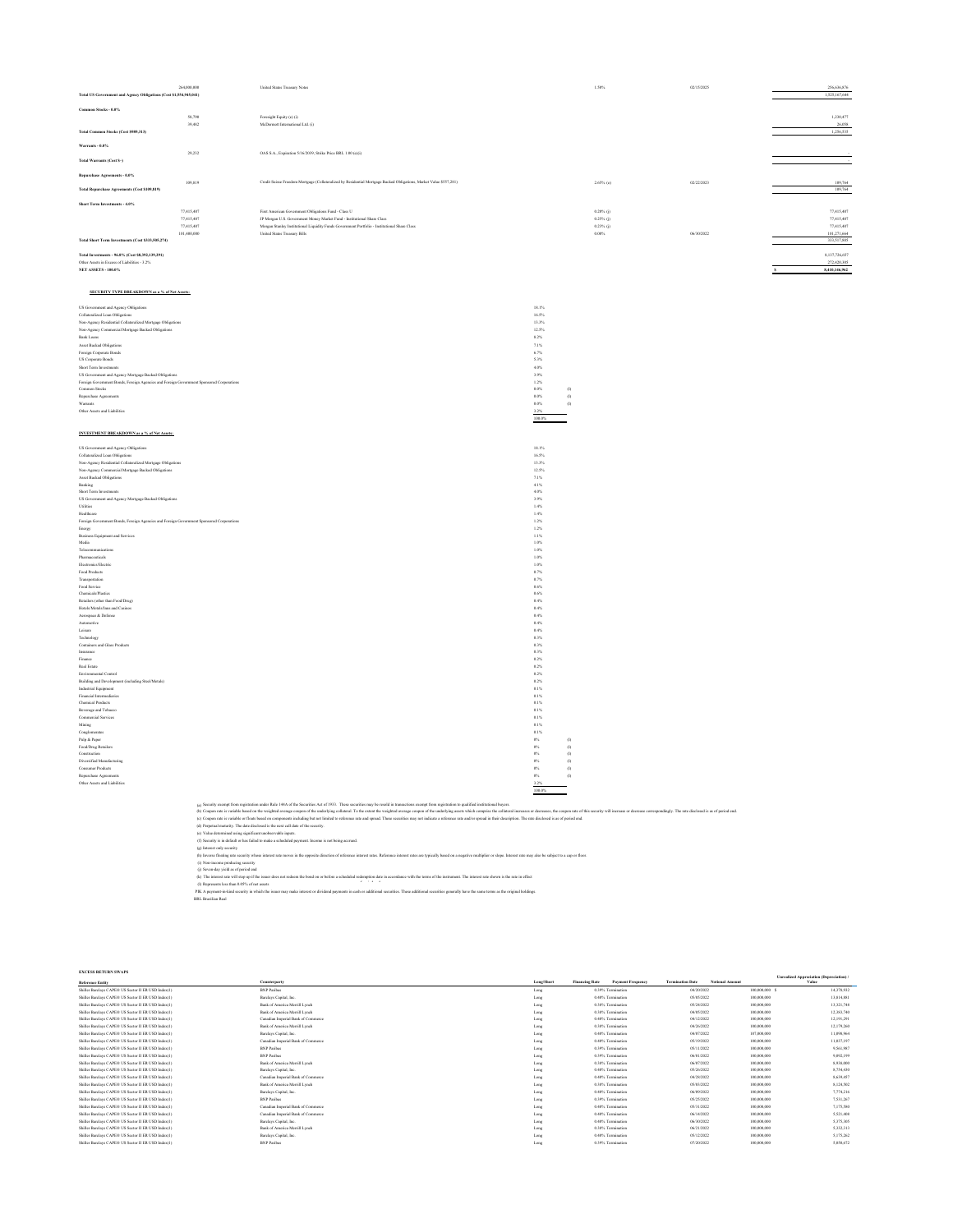|                                                                                          | 264,000,000                                                 | United States Treasury Notes                                                                                                                                                                                                                                                                                        |                    | 1.50%             | 02/15/2025 | 256,636,876   |
|------------------------------------------------------------------------------------------|-------------------------------------------------------------|---------------------------------------------------------------------------------------------------------------------------------------------------------------------------------------------------------------------------------------------------------------------------------------------------------------------|--------------------|-------------------|------------|---------------|
| Total US Government and Agency Obligations (Cost \$1,554,945,041)                        |                                                             |                                                                                                                                                                                                                                                                                                                     |                    |                   |            | 1,525,167,644 |
| Common Stocks - 0.0%                                                                     |                                                             |                                                                                                                                                                                                                                                                                                                     |                    |                   |            |               |
|                                                                                          | \$8,790                                                     | Foresight Equity (e) (i)                                                                                                                                                                                                                                                                                            |                    |                   |            | 1,230,477     |
|                                                                                          | 39,482                                                      | McDermott International Ltd. (i)                                                                                                                                                                                                                                                                                    |                    |                   |            | 26,058        |
| Total Common Stocks (Cost \$989,313)                                                     |                                                             |                                                                                                                                                                                                                                                                                                                     |                    |                   |            | 1,256,535     |
| Warrants - $0.0\%$                                                                       |                                                             |                                                                                                                                                                                                                                                                                                                     |                    |                   |            |               |
|                                                                                          | 29,232                                                      | OAS S.A., Expiration 5/16/2039, Strike Price BRL 1.00 (e)(i)                                                                                                                                                                                                                                                        |                    |                   |            |               |
| Total Warrants (Cost \$-)                                                                |                                                             |                                                                                                                                                                                                                                                                                                                     |                    |                   |            |               |
|                                                                                          |                                                             |                                                                                                                                                                                                                                                                                                                     |                    |                   |            |               |
| ${\bf Repurchase\:A} {\bf greenents} \cdot {\bf 0.0}\%$                                  |                                                             |                                                                                                                                                                                                                                                                                                                     |                    |                   |            |               |
| Total Repurchase Agreements (Cost \$109,819)                                             | 109.819                                                     | Credit Suisse Freedom Mortgage (Collateralized by Residential Mortgage Backed Obligations, Market Value \$557,281)                                                                                                                                                                                                  |                    | $2.65\%$ (c)      | 02/22/2023 | 109,764       |
|                                                                                          |                                                             |                                                                                                                                                                                                                                                                                                                     |                    |                   |            | 109,764       |
| Short Term Investments - 4.0%                                                            |                                                             |                                                                                                                                                                                                                                                                                                                     |                    |                   |            |               |
|                                                                                          | 77,415,407                                                  | First American Government Obligations Fund - Class U                                                                                                                                                                                                                                                                |                    | $0.20\%$ (j)      |            | 77,415,407    |
|                                                                                          | 77,415,407                                                  | JP Morgan U.S. Government Money Market Fund - Institutional Share Class                                                                                                                                                                                                                                             |                    | $0.25\%$ (j)      |            | 77,415,407    |
|                                                                                          | 27.415.407                                                  | Morgan Stanley Institutional Liquidity Funds Government Portfolio - Institutional Share Class                                                                                                                                                                                                                       |                    | $0.23\%$ (j)      |            | 27.415.407    |
| Total Short Term Investments (Cost \$333,505,274)                                        | 101,400,000                                                 | United States Treasury Bills                                                                                                                                                                                                                                                                                        |                    | 0.00%             | 06/30/2022 | 101,271,664   |
|                                                                                          |                                                             |                                                                                                                                                                                                                                                                                                                     |                    |                   |            | 333,517,885   |
| Total Investments - 96.8% (Cost \$8,392,139,291)                                         |                                                             |                                                                                                                                                                                                                                                                                                                     |                    |                   |            | 8,137,726,657 |
| Other Assets in Excess of Liabilities - 3.2%                                             |                                                             |                                                                                                                                                                                                                                                                                                                     |                    |                   |            | 272,420,305   |
| <b>NET ASSETS - 100.0%</b>                                                               |                                                             |                                                                                                                                                                                                                                                                                                                     |                    |                   |            | 8,410,146,962 |
|                                                                                          |                                                             |                                                                                                                                                                                                                                                                                                                     |                    |                   |            |               |
|                                                                                          |                                                             |                                                                                                                                                                                                                                                                                                                     |                    |                   |            |               |
| SECURITY TYPE BREAKDOWN as a % of Net Assets:                                            |                                                             |                                                                                                                                                                                                                                                                                                                     |                    |                   |            |               |
| US Government and Agency Obligations                                                     |                                                             |                                                                                                                                                                                                                                                                                                                     | 18.1%              |                   |            |               |
| Collateralized Loan Obligations                                                          |                                                             |                                                                                                                                                                                                                                                                                                                     | 16.5%              |                   |            |               |
| Non-Agency Residential Collateralized Mortgage Obligations                               |                                                             |                                                                                                                                                                                                                                                                                                                     | 13.3%              |                   |            |               |
| Non-Agency Commercial Mortgage Backed Obligations                                        |                                                             |                                                                                                                                                                                                                                                                                                                     | 12.5%              |                   |            |               |
| Bank Loans                                                                               |                                                             |                                                                                                                                                                                                                                                                                                                     | 8.2%               |                   |            |               |
| Asset Backed Obligations                                                                 |                                                             |                                                                                                                                                                                                                                                                                                                     | 7.1%               |                   |            |               |
| Foreign Corporate Bonds                                                                  |                                                             |                                                                                                                                                                                                                                                                                                                     | 6.7%               |                   |            |               |
| US Corporate Bonds                                                                       |                                                             |                                                                                                                                                                                                                                                                                                                     | 5.3%               |                   |            |               |
| Short Term Investments<br>US Government and Agency Mortgage Backed Obligations           |                                                             |                                                                                                                                                                                                                                                                                                                     | 4.0%<br>3.9%       |                   |            |               |
| Foreign Government Bonds, Foreign Agencies and Foreign Government Sponsored Corporations |                                                             |                                                                                                                                                                                                                                                                                                                     | 1.2%               |                   |            |               |
| Common Stocks                                                                            |                                                             |                                                                                                                                                                                                                                                                                                                     | $0.0\%$            | $\left( l\right)$ |            |               |
| Repurchase Agreement                                                                     |                                                             |                                                                                                                                                                                                                                                                                                                     | $0.0\%$            | (1)               |            |               |
| Warrants                                                                                 |                                                             |                                                                                                                                                                                                                                                                                                                     | $0.0\%$            | $\left( l\right)$ |            |               |
| Other Assets and Liabilities                                                             |                                                             |                                                                                                                                                                                                                                                                                                                     | 3.2%<br>100.0%     |                   |            |               |
|                                                                                          |                                                             |                                                                                                                                                                                                                                                                                                                     |                    |                   |            |               |
| INVESTMENT BREAKDOWN as a % of Net Assets:                                               |                                                             |                                                                                                                                                                                                                                                                                                                     |                    |                   |            |               |
|                                                                                          |                                                             |                                                                                                                                                                                                                                                                                                                     |                    |                   |            |               |
| US Government and Agency Obligations                                                     |                                                             |                                                                                                                                                                                                                                                                                                                     | 18.1%              |                   |            |               |
| Collateralized Loan Obligations                                                          |                                                             |                                                                                                                                                                                                                                                                                                                     | 16.5%              |                   |            |               |
| Non-Agency Residential Collateralized Mortgage Obligations                               |                                                             |                                                                                                                                                                                                                                                                                                                     | 13.3%              |                   |            |               |
| Non-Agency Commercial Mortgage Backed Obligations                                        |                                                             |                                                                                                                                                                                                                                                                                                                     | 12.5%<br>7.1%      |                   |            |               |
| Asset Backed Obligations<br>Banking                                                      |                                                             |                                                                                                                                                                                                                                                                                                                     | 4.1%               |                   |            |               |
| Short Term Investments                                                                   |                                                             |                                                                                                                                                                                                                                                                                                                     | 4.0%               |                   |            |               |
| US Government and Agency Mortgage Backed Obligations                                     |                                                             |                                                                                                                                                                                                                                                                                                                     | 3.9%               |                   |            |               |
| $_{\rm Utilies}$                                                                         |                                                             |                                                                                                                                                                                                                                                                                                                     | $1.4\%$            |                   |            |               |
| Healthcare                                                                               |                                                             |                                                                                                                                                                                                                                                                                                                     | $1.4\%$            |                   |            |               |
| Foreign Government Bonds, Foreign Agencies and Foreign Government Sponsored Corporations |                                                             |                                                                                                                                                                                                                                                                                                                     | $1.2\%$<br>1.2%    |                   |            |               |
| $_{\rm Energy}$<br>Business Equipment and Services                                       |                                                             |                                                                                                                                                                                                                                                                                                                     | 1.1%               |                   |            |               |
| Media                                                                                    |                                                             |                                                                                                                                                                                                                                                                                                                     | 1.0%               |                   |            |               |
| Telecommunications                                                                       |                                                             |                                                                                                                                                                                                                                                                                                                     | 1.0%               |                   |            |               |
| Pharmaceuticals                                                                          |                                                             |                                                                                                                                                                                                                                                                                                                     | $1.0\%$            |                   |            |               |
| Electronics/Electric                                                                     |                                                             |                                                                                                                                                                                                                                                                                                                     | $1.0\%$            |                   |            |               |
| $\operatorname{\mathsf{Food}}$ Products                                                  |                                                             |                                                                                                                                                                                                                                                                                                                     | $0.7\%$<br>0.7%    |                   |            |               |
| Transportation<br>Food Service                                                           |                                                             |                                                                                                                                                                                                                                                                                                                     | 0.6%               |                   |            |               |
| Chemicals/Plastics                                                                       |                                                             |                                                                                                                                                                                                                                                                                                                     | 0.6%               |                   |            |               |
| Retailers (other than Food/Drug)                                                         |                                                             |                                                                                                                                                                                                                                                                                                                     | 0.4%               |                   |            |               |
| Hotels/Motels/Inns and Casinos                                                           |                                                             |                                                                                                                                                                                                                                                                                                                     | 0.4%               |                   |            |               |
| Aerospace & Defense                                                                      |                                                             |                                                                                                                                                                                                                                                                                                                     | $0.4\%$            |                   |            |               |
| Automotive<br>$\rm Lcisure$                                                              |                                                             |                                                                                                                                                                                                                                                                                                                     | $0.4\%$<br>0.4%    |                   |            |               |
| Technology                                                                               |                                                             |                                                                                                                                                                                                                                                                                                                     | 0.3%               |                   |            |               |
| Containers and Glass Products                                                            |                                                             |                                                                                                                                                                                                                                                                                                                     | 0.3%               |                   |            |               |
| Insurance                                                                                |                                                             |                                                                                                                                                                                                                                                                                                                     | 0.3%               |                   |            |               |
| Finance                                                                                  |                                                             |                                                                                                                                                                                                                                                                                                                     | 0.2%               |                   |            |               |
| Real Estate                                                                              |                                                             |                                                                                                                                                                                                                                                                                                                     | 0.2%               |                   |            |               |
| Environmental Control                                                                    |                                                             |                                                                                                                                                                                                                                                                                                                     | 0.2%               |                   |            |               |
| Building and Development (including Steel Metals)<br>Industrial Equipment                |                                                             |                                                                                                                                                                                                                                                                                                                     | 0.2%<br>0.1%       |                   |            |               |
| Financial Intermediaries                                                                 |                                                             |                                                                                                                                                                                                                                                                                                                     | 0.1%               |                   |            |               |
| Chemical Products                                                                        |                                                             |                                                                                                                                                                                                                                                                                                                     | 0.1%               |                   |            |               |
| Beverage and Tobacco                                                                     |                                                             |                                                                                                                                                                                                                                                                                                                     | 0.1%               |                   |            |               |
| Commercial Services                                                                      |                                                             |                                                                                                                                                                                                                                                                                                                     | 0.1%               |                   |            |               |
| $\mathbf{Mining}$<br>Conglomera                                                          |                                                             |                                                                                                                                                                                                                                                                                                                     | $0.1\%$<br>$0.1\%$ |                   |            |               |
| Pulp & Paper                                                                             |                                                             |                                                                                                                                                                                                                                                                                                                     | $0\%$              | $\left( l\right)$ |            |               |
| Food/Drug Retailers                                                                      |                                                             |                                                                                                                                                                                                                                                                                                                     | $0\%$              | $\left( l\right)$ |            |               |
| Construction                                                                             |                                                             |                                                                                                                                                                                                                                                                                                                     | $0\%$              | (1)               |            |               |
| Diversified Manufacturing                                                                |                                                             |                                                                                                                                                                                                                                                                                                                     | $0\%$              | $\oplus$          |            |               |
| <b>Consumer Products</b>                                                                 |                                                             |                                                                                                                                                                                                                                                                                                                     | $0\%$              | (1)               |            |               |
| Repurchase Agreements<br>Other Assets and Liabilities                                    |                                                             |                                                                                                                                                                                                                                                                                                                     | $0\%$<br>3.2%      | (1)               |            |               |
|                                                                                          |                                                             |                                                                                                                                                                                                                                                                                                                     | 100.0%             |                   |            |               |
|                                                                                          |                                                             |                                                                                                                                                                                                                                                                                                                     |                    |                   |            |               |
|                                                                                          |                                                             | (a) Security exempt from registration under Rule 144A of the Securities Act of 1933. These securities may be resold in transactions exempt from registration to qualified institutional buyers.                                                                                                                     |                    |                   |            |               |
|                                                                                          |                                                             | (b) Coupon rate is variable based on the weighted average coupon of the underlying collateral. To the extent the weighted average coupon of the underlying assets which comprise the collateral increases or decreases, the co                                                                                      |                    |                   |            |               |
|                                                                                          |                                                             | (c) Coupon rate is variable or floats based on components including but not limited to reference rate and spread. These securities may not indicate a reference rate and/or spenad in their description. The rate disclosed is<br>(d) Perpetual maturity. The date disclosed is the next call date of the security. |                    |                   |            |               |
|                                                                                          | (c) Value determined using significant unobservable inputs. |                                                                                                                                                                                                                                                                                                                     |                    |                   |            |               |
|                                                                                          |                                                             | (f) Security is in default or has failed to make a scheduled payment. Income is not being accrued.                                                                                                                                                                                                                  |                    |                   |            |               |
|                                                                                          |                                                             |                                                                                                                                                                                                                                                                                                                     |                    |                   |            |               |

The interest rate will step up if the issuer does not redeem the bond on or before a scheduled redemption date in accordance with the terms of the instrument. The interest rate shown is the rate in effect of the terms of t

(5 Searly in definite has failed to mike a scheduled payment. Income in terring second<br>(g) haves only security whose interest and more in the opposite discussion of reference interest man are pricilly hard on a supplice sl

| <b>EXCESS RETURN SWAPS</b>                          |                                    |            |                       |                          |                         |                        |               |                                                   |
|-----------------------------------------------------|------------------------------------|------------|-----------------------|--------------------------|-------------------------|------------------------|---------------|---------------------------------------------------|
| <b>Reference Entity</b>                             | Counterparty                       | Long/Short | <b>Financing Rate</b> | <b>Payment Frequency</b> | <b>Termination Date</b> | <b>Notional Amount</b> |               | Unrealized Appreciation (Depreciation) /<br>Value |
| Shiller Barclays CAPE® US Sector II ER USD Index(1) | <b>BNP Paribas</b>                 | Long       |                       | 0.39% Termination        | 04/20/2022              |                        | 100,000,000 S | 14,378,932                                        |
| Shiller Barclays CAPE® US Sector II ER USD Index(1) | Barclays Capital, Inc.             | Long       |                       | 0.40% Termination        | 05/05/2022              |                        | 100,000,000   | 13,814,881                                        |
| Shiller Barclays CAPE® US Sector II ER USD Index(1) | Bank of America Merrill Lynch      | Long       |                       | 0.38% Termination        | 05/24/2022              |                        | 100,000,000   | 13,321,748                                        |
| Shiller Barclays CAPE® US Sector II ER USD Index(1) | Bank of America Merrill Lynch      | Long       |                       | 0.38% Termination        | 04/05/2022              |                        | 100,000,000   | 12,383,740                                        |
| Shiller Barclays CAPE® US Sector II ER USD Index(1) | Canadian Imperial Bank of Commerce | Long       |                       | 0.40% Termination        | 04/12/2022              |                        | 100,000,000   | 12.191.291                                        |
| Shiller Barclays CAPE® US Sector II ER USD Index(1) | Bank of America Merrill Lynch      | Long       |                       | 0.38% Termination        | 04/26/2022              |                        | 100,000,000   | 12.179.260                                        |
| Shiller Barclays CAPE® US Sector II ER USD Index(1) | Barclays Capital, Inc.             | Long       |                       | 0.40% Termination        | 04/07/2022              |                        | 107,000,000   | 11,098,964                                        |
| Shiller Barclays CAPE® US Sector II ER USD Index(1) | Canadian Imperial Bank of Commerce | Long       |                       | 0.40% Termination        | 05/19/2022              |                        | 100,000,000   | 11.037.197                                        |
| Shiller Barclays CAPE® US Sector II ER USD Index(1) | <b>BNP Paribas</b>                 | Long       |                       | 0.39% Termination        | 05/11/2022              |                        | 100,000,000   | 9.561.987                                         |
| Shiller Barclays CAPE® US Sector II ER USD Index(1) | <b>BNP Paribas</b>                 | Long       |                       | 0.39% Termination        | 06/01/2022              |                        | 100,000,000   | 9.092.199                                         |
| Shiller Barclays CAPE® US Sector II ER USD Index(1) | Bank of America Merrill Lynch      | Long       |                       | 0.38% Termination        | 06/07/2022              |                        | 100,000,000   | 8,938,000                                         |
| Shiller Barclays CAPE® US Sector II ER USD Index(1) | Barclays Capital, Inc.             | Long       |                       | 0.40% Termination        | 05/26/2022              |                        | 100,000,000   | 8,754,430                                         |
| Shiller Barclays CAPE® US Sector II ER USD Index(1) | Canadian Imperial Bank of Commerce | Long       |                       | 0.40% Termination        | 04/28/2022              |                        | 100,000,000   | 8.639.457                                         |
| Shiller Barclays CAPE® US Sector II ER USD Index(1) | Bank of America Merrill Lynch      | Long       |                       | 0.38% Termination        | 05/03/2022              |                        | 100,000,000   | 8.124.502                                         |
| Shiller Barclays CAPE® US Sector II ER USD Index(1) | Barclays Capital, Inc.             | Long       |                       | 0.40% Termination        | 06/09/2022              |                        | 100,000,000   | 7.774.216                                         |
| Shiller Barclays CAPE® US Sector II ER USD Index(1) | <b>BNP Paribas</b>                 | Long       |                       | 0.39% Termination        | 05/25/2022              |                        | 100,000,000   | 7.531.267                                         |
| Shiller Barclays CAPE® US Sector II ER USD Index(1) | Canadian Imperial Bank of Commerce | Long       |                       | 0.40% Termination        | 05/31/2022              |                        | 100,000,000   | 7.175.580                                         |
| Shiller Barclays CAPE® US Sector II ER USD Index(1) | Canadian Imperial Bank of Commerce | Long       |                       | 0.40% Termination        | 06/14/2022              |                        | 100,000,000   | 5.521,408                                         |
| Shiller Barclays CAPE® US Sector II ER USD Index(1) | Barclays Capital, Inc.             | Long       |                       | 0.40% Termination        | 06/30/2022              |                        | 100,000,000   | 5.375.305                                         |
| Shiller Barclays CAPE® US Sector II ER USD Index(1) | Bank of America Merrill Lynch      | Long       |                       | 0.38% Termination        | 06/21/2022              |                        | 100,000,000   | 5.332.313                                         |
| Shiller Barclays CAPE® US Sector II ER USD Index(1) | Barclays Capital, Inc.             | Long       |                       | 0.40% Termination        | 05/12/2022              |                        | 100,000,000   | 5.175.262                                         |
| Shiller Barclays CAPE® US Sector II ER USD Index(1) | <b>BNP Paribas</b>                 | Long       |                       | 0.39% Termination        | 07/20/2022              |                        | 100,000,000   | 5.050,672                                         |